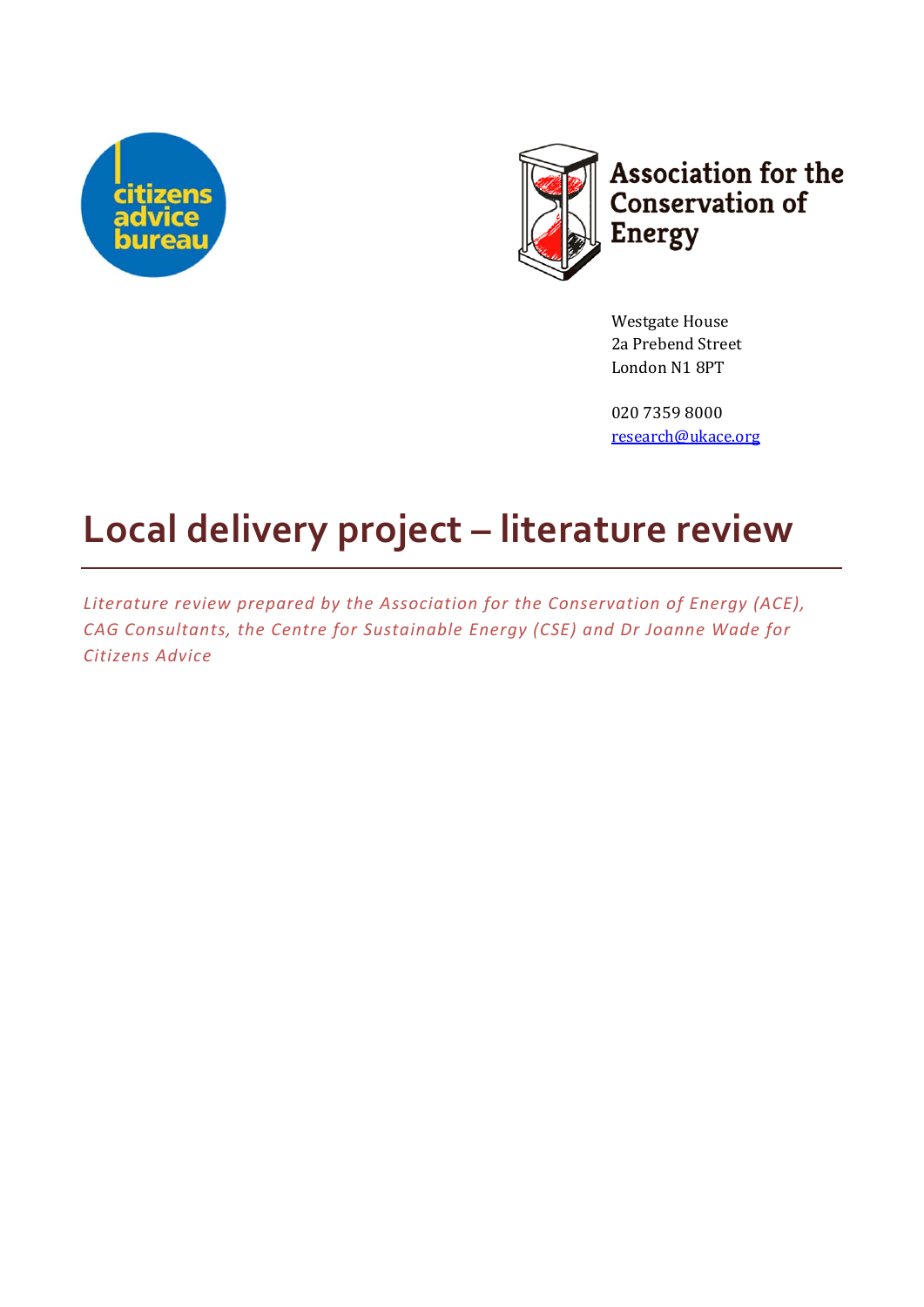



Westgate House 2a Prebend Street London N1 8PT 

020 7359 8000 research@ukace.org

# **Local delivery project – literature review**

*Literature review prepared by the Association for the Conservation of Energy (ACE), CAG Consultants, the Centre for Sustainable Energy (CSE) and Dr Joanne Wade for Citizens Advice*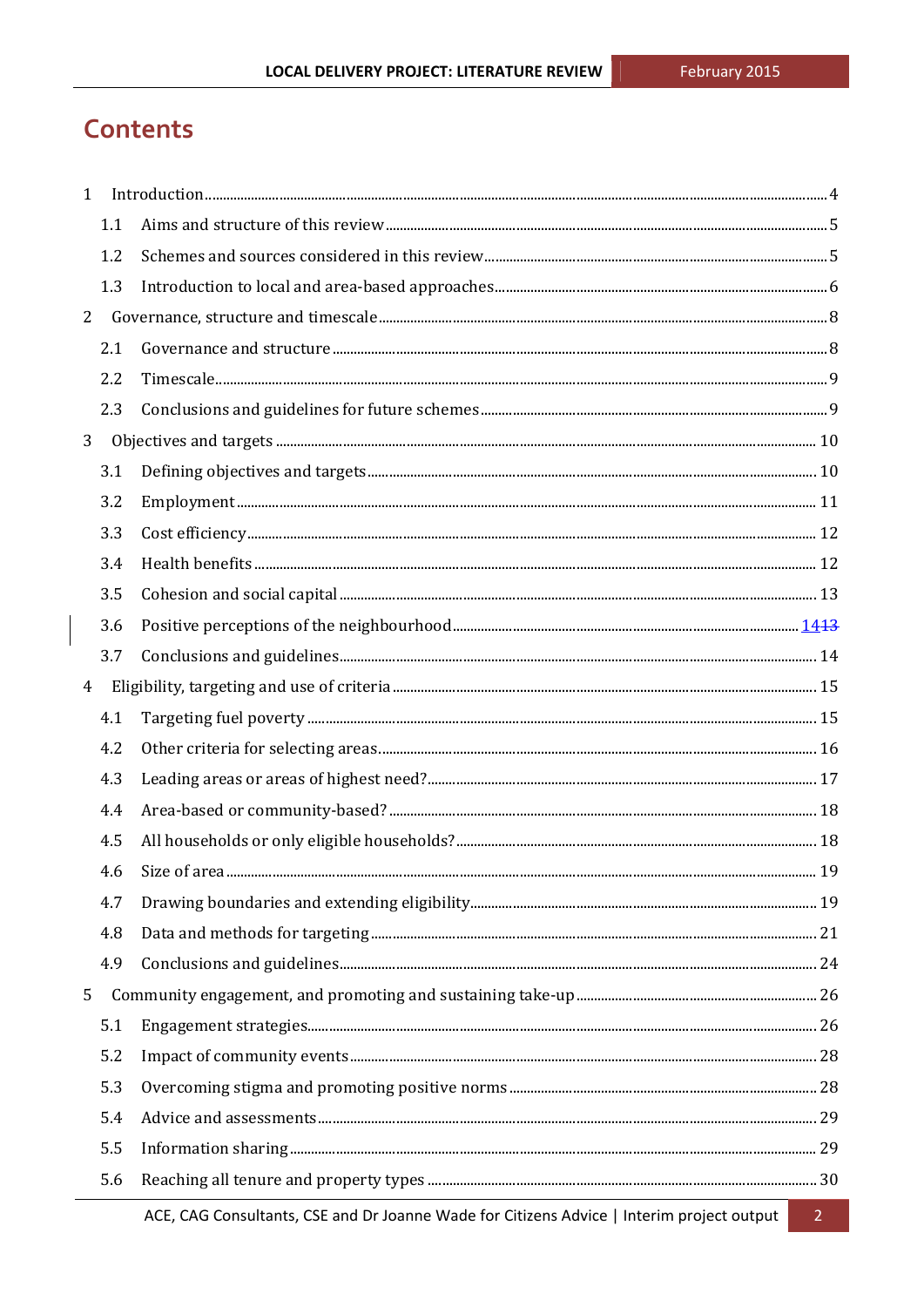## **Contents**

| $\mathbf{1}$   |     |                                                                                                                                                                                                                                                                                                                                                                                                                                                                                                                                                                                |  |
|----------------|-----|--------------------------------------------------------------------------------------------------------------------------------------------------------------------------------------------------------------------------------------------------------------------------------------------------------------------------------------------------------------------------------------------------------------------------------------------------------------------------------------------------------------------------------------------------------------------------------|--|
|                | 1.1 |                                                                                                                                                                                                                                                                                                                                                                                                                                                                                                                                                                                |  |
|                | 1.2 |                                                                                                                                                                                                                                                                                                                                                                                                                                                                                                                                                                                |  |
|                | 1.3 |                                                                                                                                                                                                                                                                                                                                                                                                                                                                                                                                                                                |  |
| 2              |     |                                                                                                                                                                                                                                                                                                                                                                                                                                                                                                                                                                                |  |
|                | 2.1 |                                                                                                                                                                                                                                                                                                                                                                                                                                                                                                                                                                                |  |
|                | 2.2 |                                                                                                                                                                                                                                                                                                                                                                                                                                                                                                                                                                                |  |
|                | 2.3 |                                                                                                                                                                                                                                                                                                                                                                                                                                                                                                                                                                                |  |
| 3              |     |                                                                                                                                                                                                                                                                                                                                                                                                                                                                                                                                                                                |  |
|                | 3.1 | $\textbf{Defining objectives and targets.}\label{def:1} \vspace{-0.1cm} \begin{minipage}[t]{0.9\linewidth} \centering \begin{minipage}[t]{0.9\linewidth} \centering \begin{minipage}[t]{0.9\linewidth} \centering \end{minipage}[t]{0.9\linewidth} \centering \begin{minipage}[t]{0.9\linewidth} \centering \end{minipage}[t]{0.9\linewidth} \centering \begin{minipage}[t]{0.9\linewidth} \centering \end{minipage}[t]{0.9\linewidth} \centering \begin{minipage}[t]{0.9\linewidth} \centering \end{minipage}[t]{0.9\linewidth} \centering \begin{minipage}[t]{0.9\linewidth$ |  |
|                | 3.2 |                                                                                                                                                                                                                                                                                                                                                                                                                                                                                                                                                                                |  |
|                | 3.3 |                                                                                                                                                                                                                                                                                                                                                                                                                                                                                                                                                                                |  |
|                | 3.4 |                                                                                                                                                                                                                                                                                                                                                                                                                                                                                                                                                                                |  |
|                | 3.5 |                                                                                                                                                                                                                                                                                                                                                                                                                                                                                                                                                                                |  |
|                | 3.6 |                                                                                                                                                                                                                                                                                                                                                                                                                                                                                                                                                                                |  |
|                | 3.7 |                                                                                                                                                                                                                                                                                                                                                                                                                                                                                                                                                                                |  |
| $\overline{4}$ |     |                                                                                                                                                                                                                                                                                                                                                                                                                                                                                                                                                                                |  |
|                | 4.1 |                                                                                                                                                                                                                                                                                                                                                                                                                                                                                                                                                                                |  |
|                | 4.2 |                                                                                                                                                                                                                                                                                                                                                                                                                                                                                                                                                                                |  |
|                | 4.3 |                                                                                                                                                                                                                                                                                                                                                                                                                                                                                                                                                                                |  |
|                | 4.4 |                                                                                                                                                                                                                                                                                                                                                                                                                                                                                                                                                                                |  |
|                | 4.5 |                                                                                                                                                                                                                                                                                                                                                                                                                                                                                                                                                                                |  |
|                | 4.6 |                                                                                                                                                                                                                                                                                                                                                                                                                                                                                                                                                                                |  |
|                | 4.7 |                                                                                                                                                                                                                                                                                                                                                                                                                                                                                                                                                                                |  |
|                | 4.8 |                                                                                                                                                                                                                                                                                                                                                                                                                                                                                                                                                                                |  |
|                | 4.9 |                                                                                                                                                                                                                                                                                                                                                                                                                                                                                                                                                                                |  |
| 5              |     |                                                                                                                                                                                                                                                                                                                                                                                                                                                                                                                                                                                |  |
|                | 5.1 |                                                                                                                                                                                                                                                                                                                                                                                                                                                                                                                                                                                |  |
|                | 5.2 |                                                                                                                                                                                                                                                                                                                                                                                                                                                                                                                                                                                |  |
|                | 5.3 |                                                                                                                                                                                                                                                                                                                                                                                                                                                                                                                                                                                |  |
|                | 5.4 |                                                                                                                                                                                                                                                                                                                                                                                                                                                                                                                                                                                |  |
|                | 5.5 |                                                                                                                                                                                                                                                                                                                                                                                                                                                                                                                                                                                |  |
|                | 5.6 |                                                                                                                                                                                                                                                                                                                                                                                                                                                                                                                                                                                |  |
|                |     |                                                                                                                                                                                                                                                                                                                                                                                                                                                                                                                                                                                |  |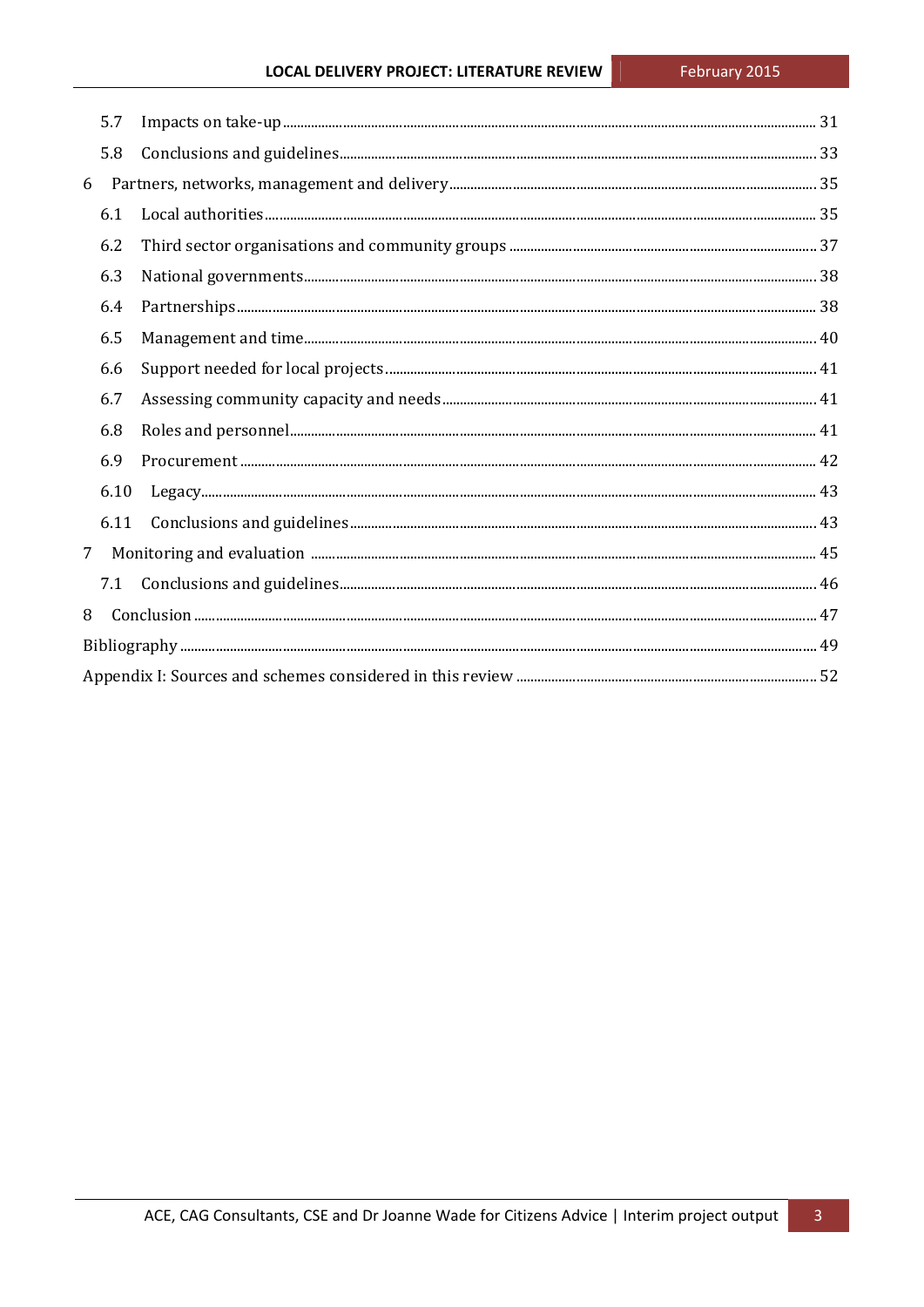|                | 5.7  |  |  |  |
|----------------|------|--|--|--|
|                | 5.8  |  |  |  |
|                |      |  |  |  |
|                | 6.1  |  |  |  |
|                | 6.2  |  |  |  |
|                | 6.3  |  |  |  |
|                | 6.4  |  |  |  |
|                | 6.5  |  |  |  |
|                | 6.6  |  |  |  |
|                | 6.7  |  |  |  |
|                | 6.8  |  |  |  |
|                | 6.9  |  |  |  |
|                | 6.10 |  |  |  |
|                | 6.11 |  |  |  |
| 7 <sup>7</sup> |      |  |  |  |
|                | 7.1  |  |  |  |
| 8              |      |  |  |  |
|                |      |  |  |  |
|                |      |  |  |  |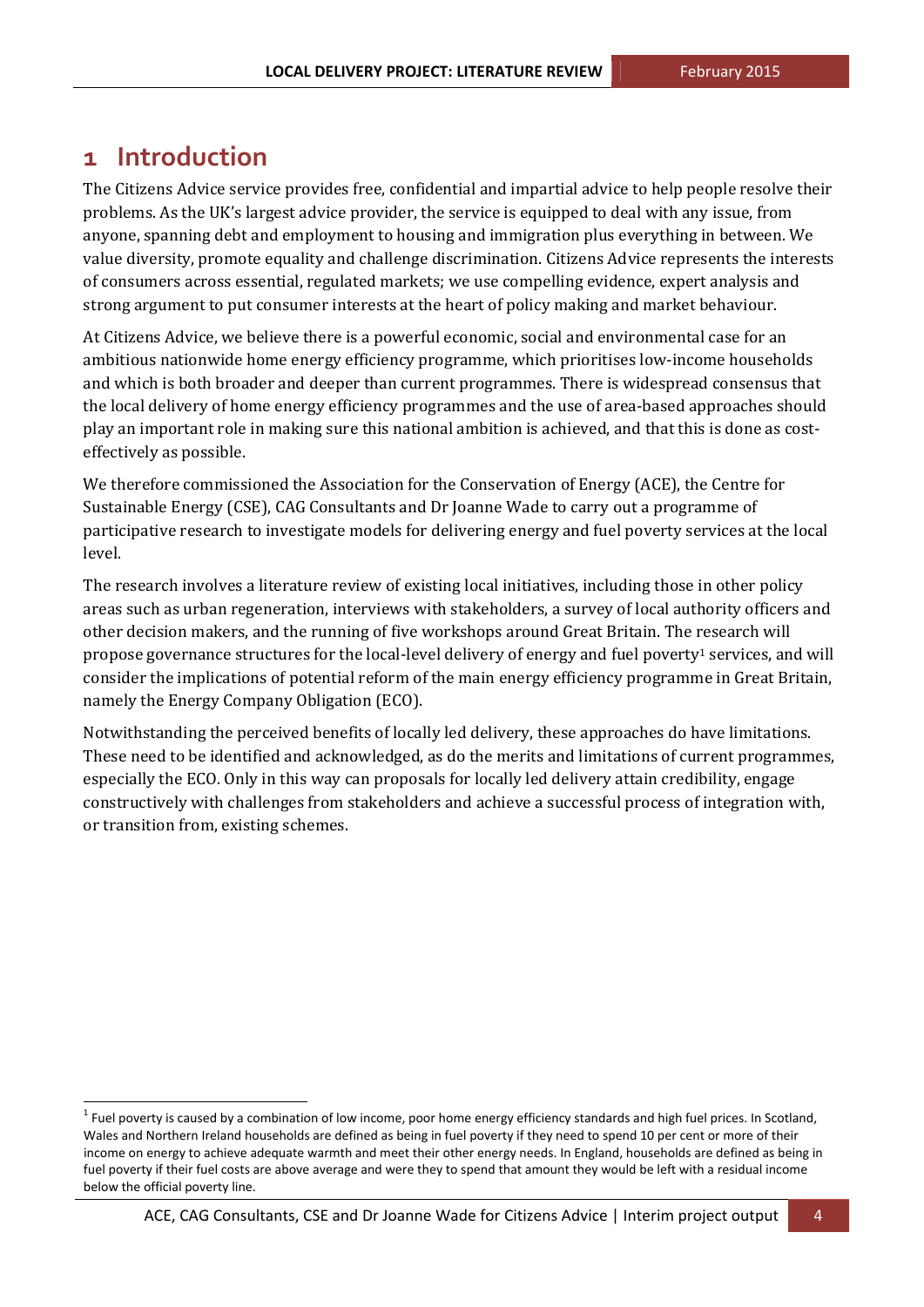## **1 Introduction**

 

The Citizens Advice service provides free, confidential and impartial advice to help people resolve their problems. As the UK's largest advice provider, the service is equipped to deal with any issue, from anyone, spanning debt and employment to housing and immigration plus everything in between. We value diversity, promote equality and challenge discrimination. Citizens Advice represents the interests of consumers across essential, regulated markets; we use compelling evidence, expert analysis and strong argument to put consumer interests at the heart of policy making and market behaviour.

At Citizens Advice, we believe there is a powerful economic, social and environmental case for an ambitious nationwide home energy efficiency programme, which prioritises low-income households and which is both broader and deeper than current programmes. There is widespread consensus that the local delivery of home energy efficiency programmes and the use of area-based approaches should play an important role in making sure this national ambition is achieved, and that this is done as costeffectively as possible.

We therefore commissioned the Association for the Conservation of Energy (ACE), the Centre for Sustainable Energy (CSE), CAG Consultants and Dr Joanne Wade to carry out a programme of participative research to investigate models for delivering energy and fuel poverty services at the local level. 

The research involves a literature review of existing local initiatives, including those in other policy areas such as urban regeneration, interviews with stakeholders, a survey of local authority officers and other decision makers, and the running of five workshops around Great Britain. The research will propose governance structures for the local-level delivery of energy and fuel poverty<sup>1</sup> services, and will consider the implications of potential reform of the main energy efficiency programme in Great Britain, namely the Energy Company Obligation (ECO).

Notwithstanding the perceived benefits of locally led delivery, these approaches do have limitations. These need to be identified and acknowledged, as do the merits and limitations of current programmes, especially the ECO. Only in this way can proposals for locally led delivery attain credibility, engage constructively with challenges from stakeholders and achieve a successful process of integration with, or transition from, existing schemes.

 $1$  Fuel poverty is caused by a combination of low income, poor home energy efficiency standards and high fuel prices. In Scotland, Wales and Northern Ireland households are defined as being in fuel poverty if they need to spend 10 per cent or more of their income on energy to achieve adequate warmth and meet their other energy needs. In England, households are defined as being in fuel poverty if their fuel costs are above average and were they to spend that amount they would be left with a residual income below the official poverty line.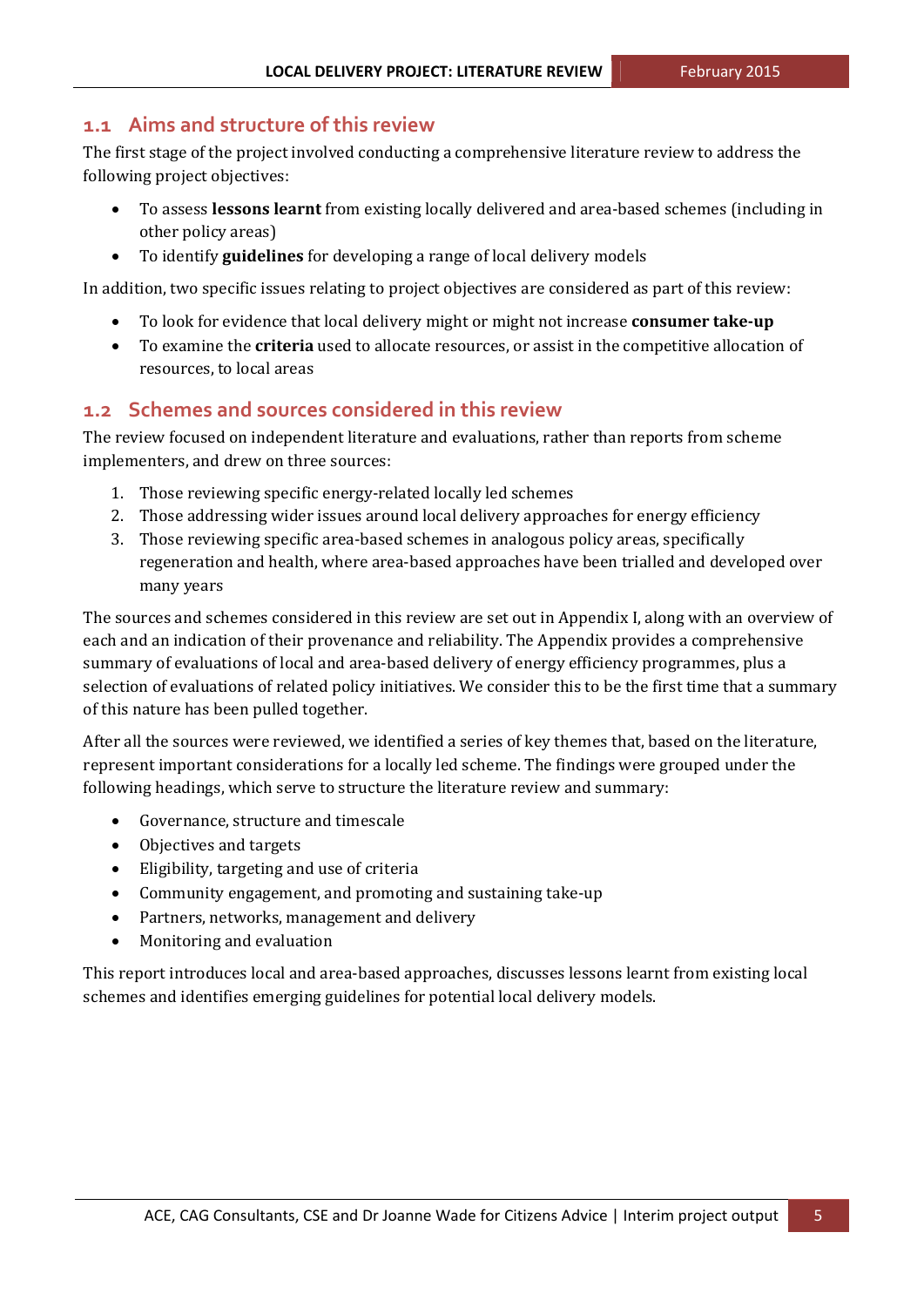### **1.1 Aims and structure of this review**

The first stage of the project involved conducting a comprehensive literature review to address the following project objectives:

- To assess **lessons learnt** from existing locally delivered and area-based schemes (including in other policy areas)
- To identify **guidelines** for developing a range of local delivery models

In addition, two specific issues relating to project objectives are considered as part of this review:

- To look for evidence that local delivery might or might not increase **consumer take-up**
- To examine the **criteria** used to allocate resources, or assist in the competitive allocation of resources, to local areas

## **1.2 Schemes and sources considered in this review**

The review focused on independent literature and evaluations, rather than reports from scheme implementers, and drew on three sources:

- 1. Those reviewing specific energy-related locally led schemes
- 2. Those addressing wider issues around local delivery approaches for energy efficiency
- 3. Those reviewing specific area-based schemes in analogous policy areas, specifically regeneration and health, where area-based approaches have been trialled and developed over many years

The sources and schemes considered in this review are set out in Appendix I, along with an overview of each and an indication of their provenance and reliability. The Appendix provides a comprehensive summary of evaluations of local and area-based delivery of energy efficiency programmes, plus a selection of evaluations of related policy initiatives. We consider this to be the first time that a summary of this nature has been pulled together.

After all the sources were reviewed, we identified a series of key themes that, based on the literature, represent important considerations for a locally led scheme. The findings were grouped under the following headings, which serve to structure the literature review and summary:

- Governance, structure and timescale
- Objectives and targets
- Eligibility, targeting and use of criteria
- Community engagement, and promoting and sustaining take-up
- Partners, networks, management and delivery
- Monitoring and evaluation

This report introduces local and area-based approaches, discusses lessons learnt from existing local schemes and identifies emerging guidelines for potential local delivery models.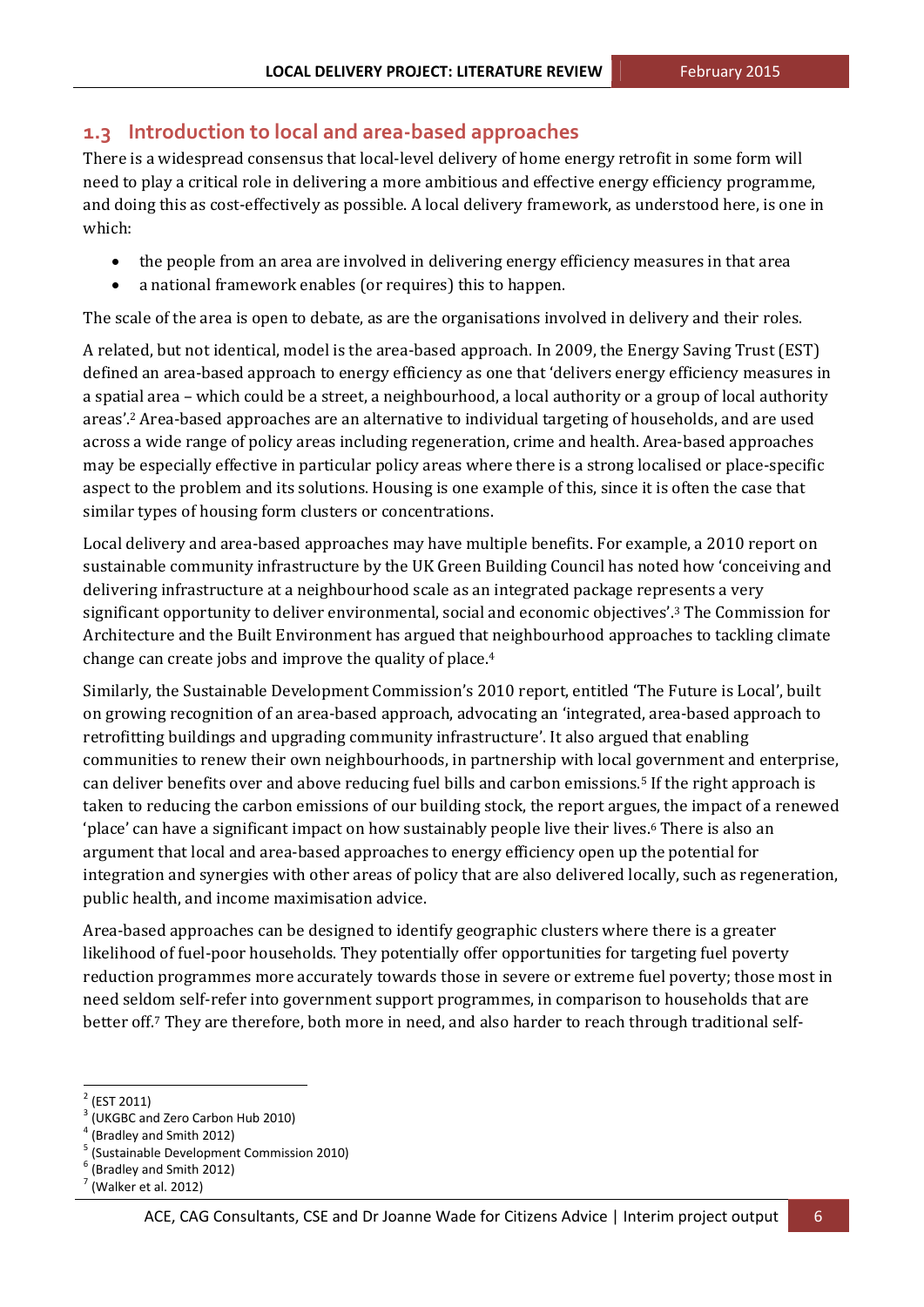## **1.3 Introduction to local and area‐based approaches**

There is a widespread consensus that local-level delivery of home energy retrofit in some form will need to play a critical role in delivering a more ambitious and effective energy efficiency programme, and doing this as cost-effectively as possible. A local delivery framework, as understood here, is one in which: 

- the people from an area are involved in delivering energy efficiency measures in that area
- a national framework enables (or requires) this to happen.

The scale of the area is open to debate, as are the organisations involved in delivery and their roles.

A related, but not identical, model is the area-based approach. In 2009, the Energy Saving Trust (EST) defined an area-based approach to energy efficiency as one that 'delivers energy efficiency measures in a spatial area – which could be a street, a neighbourhood, a local authority or a group of local authority areas'.<sup>2</sup> Area-based approaches are an alternative to individual targeting of households, and are used across a wide range of policy areas including regeneration, crime and health. Area-based approaches may be especially effective in particular policy areas where there is a strong localised or place-specific aspect to the problem and its solutions. Housing is one example of this, since it is often the case that similar types of housing form clusters or concentrations.

Local delivery and area-based approaches may have multiple benefits. For example, a 2010 report on sustainable community infrastructure by the UK Green Building Council has noted how 'conceiving and delivering infrastructure at a neighbourhood scale as an integrated package represents a very significant opportunity to deliver environmental, social and economic objectives'.<sup>3</sup> The Commission for Architecture and the Built Environment has argued that neighbourhood approaches to tackling climate change can create jobs and improve the quality of place.<sup>4</sup>

Similarly, the Sustainable Development Commission's 2010 report, entitled 'The Future is Local', built on growing recognition of an area-based approach, advocating an 'integrated, area-based approach to retrofitting buildings and upgrading community infrastructure'. It also argued that enabling communities to renew their own neighbourhoods, in partnership with local government and enterprise, can deliver benefits over and above reducing fuel bills and carbon emissions.<sup>5</sup> If the right approach is taken to reducing the carbon emissions of our building stock, the report argues, the impact of a renewed 'place' can have a significant impact on how sustainably people live their lives.<sup>6</sup> There is also an argument that local and area-based approaches to energy efficiency open up the potential for integration and synergies with other areas of policy that are also delivered locally, such as regeneration, public health, and income maximisation advice.

Area-based approaches can be designed to identify geographic clusters where there is a greater likelihood of fuel-poor households. They potentially offer opportunities for targeting fuel poverty reduction programmes more accurately towards those in severe or extreme fuel poverty; those most in need seldom self-refer into government support programmes, in comparison to households that are better off.<sup>7</sup> They are therefore, both more in need, and also harder to reach through traditional self-

<sup>&</sup>lt;u> 1989 - Jan Samuel Barbara, político establecido de la propia de la propia de la propia de la propia de la pro</u>

<sup>&</sup>lt;sup>2</sup> (EST 2011)<br><sup>3</sup> (UKGBC and Zero Carbon Hub 2010)<br><sup>4</sup> (Bradley and Smith 2012)<br><sup>5</sup> (Sustainable Development Commission 2010)<br><sup>6</sup> (Bradley and Smith 2012)<br><sup>7</sup> (Walker et al. 2012)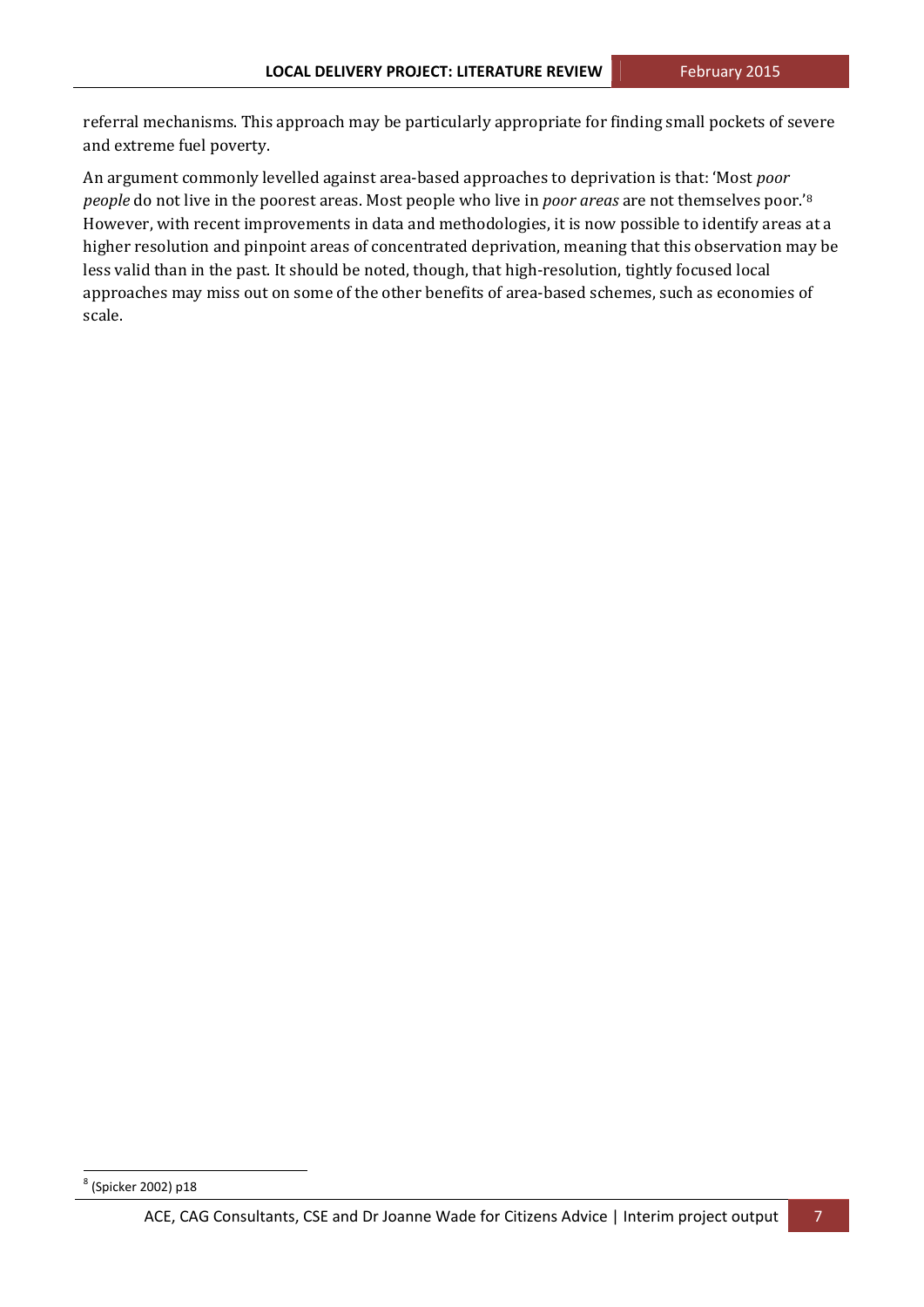referral mechanisms. This approach may be particularly appropriate for finding small pockets of severe and extreme fuel poverty.

An argument commonly levelled against area-based approaches to deprivation is that: 'Most *poor people* do not live in the poorest areas. Most people who live in *poor areas* are not themselves poor.'<sup>8</sup> However, with recent improvements in data and methodologies, it is now possible to identify areas at a higher resolution and pinpoint areas of concentrated deprivation, meaning that this observation may be less valid than in the past. It should be noted, though, that high-resolution, tightly focused local approaches may miss out on some of the other benefits of area-based schemes, such as economies of scale. 

<sup>8</sup> (Spicker 2002) p18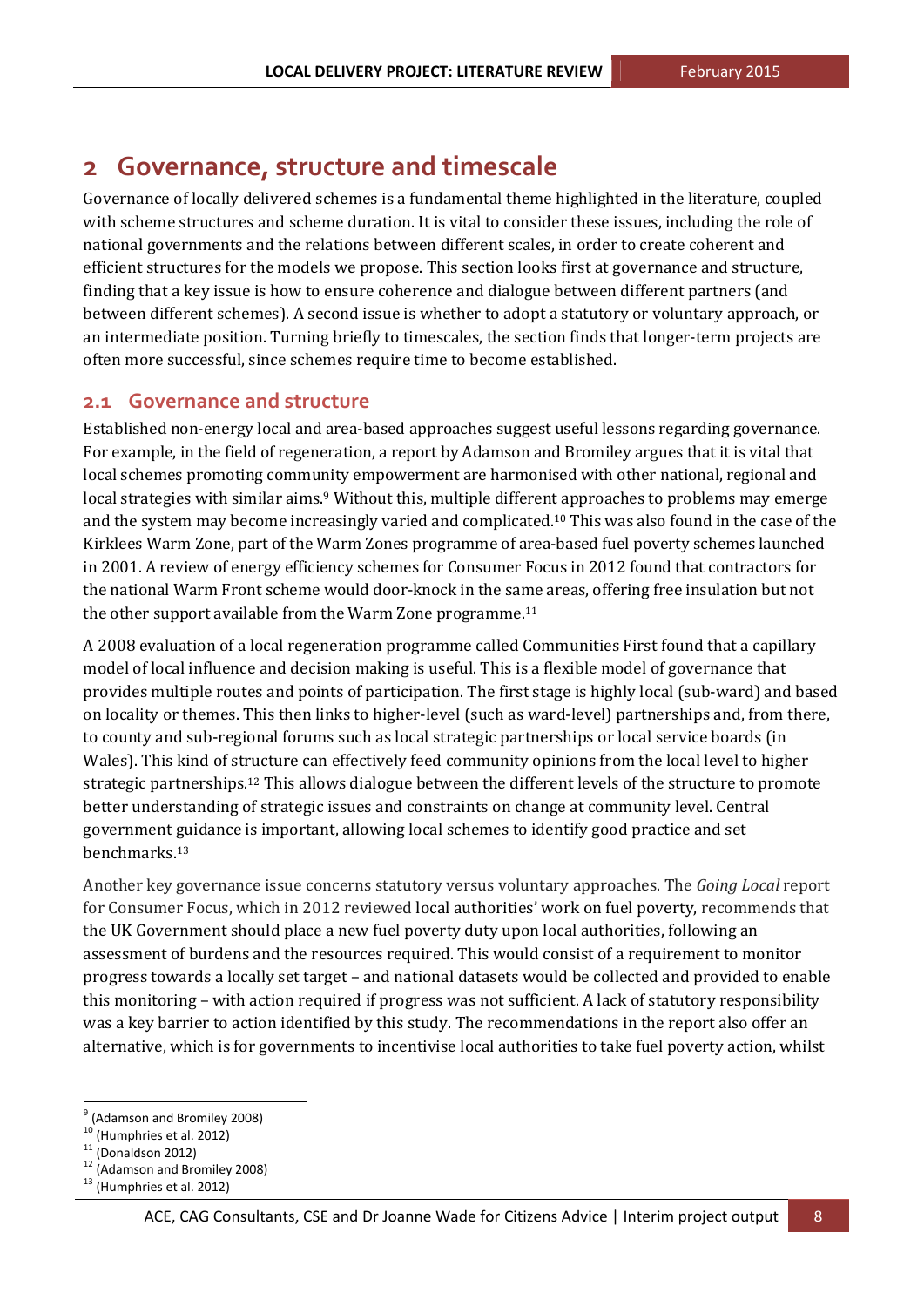## **2 Governance, structure and timescale**

Governance of locally delivered schemes is a fundamental theme highlighted in the literature, coupled with scheme structures and scheme duration. It is vital to consider these issues, including the role of national governments and the relations between different scales, in order to create coherent and efficient structures for the models we propose. This section looks first at governance and structure, finding that a key issue is how to ensure coherence and dialogue between different partners (and between different schemes). A second issue is whether to adopt a statutory or voluntary approach, or an intermediate position. Turning briefly to timescales, the section finds that longer-term projects are often more successful, since schemes require time to become established.

### **2.1 Governance and structure**

Established non-energy local and area-based approaches suggest useful lessons regarding governance. For example, in the field of regeneration, a report by Adamson and Bromiley argues that it is vital that local schemes promoting community empowerment are harmonised with other national, regional and local strategies with similar aims.<sup>9</sup> Without this, multiple different approaches to problems may emerge and the system may become increasingly varied and complicated.<sup>10</sup> This was also found in the case of the Kirklees Warm Zone, part of the Warm Zones programme of area-based fuel poverty schemes launched in 2001. A review of energy efficiency schemes for Consumer Focus in 2012 found that contractors for the national Warm Front scheme would door-knock in the same areas, offering free insulation but not the other support available from the Warm Zone programme.<sup>11</sup>

A 2008 evaluation of a local regeneration programme called Communities First found that a capillary model of local influence and decision making is useful. This is a flexible model of governance that provides multiple routes and points of participation. The first stage is highly local (sub-ward) and based on locality or themes. This then links to higher-level (such as ward-level) partnerships and, from there, to county and sub-regional forums such as local strategic partnerships or local service boards (in Wales). This kind of structure can effectively feed community opinions from the local level to higher strategic partnerships.<sup>12</sup> This allows dialogue between the different levels of the structure to promote better understanding of strategic issues and constraints on change at community level. Central government guidance is important, allowing local schemes to identify good practice and set benchmarks.13 

Another key governance issue concerns statutory versus voluntary approaches. The *Going Local* report for Consumer Focus, which in 2012 reviewed local authorities' work on fuel poverty, recommends that the UK Government should place a new fuel poverty duty upon local authorities, following an assessment of burdens and the resources required. This would consist of a requirement to monitor progress towards a locally set target – and national datasets would be collected and provided to enable this monitoring – with action required if progress was not sufficient. A lack of statutory responsibility was a key barrier to action identified by this study. The recommendations in the report also offer an alternative, which is for governments to incentivise local authorities to take fuel poverty action, whilst

<sup>&</sup>lt;sup>9</sup> (Adamson and Bromiley 2008)<br><sup>10</sup> (Humphries et al. 2012)<br><sup>11</sup> (Donaldson 2012)<br><sup>12</sup> (Adamson and Bromiley 2008)<br><sup>13</sup> (Humphries et al. 2012)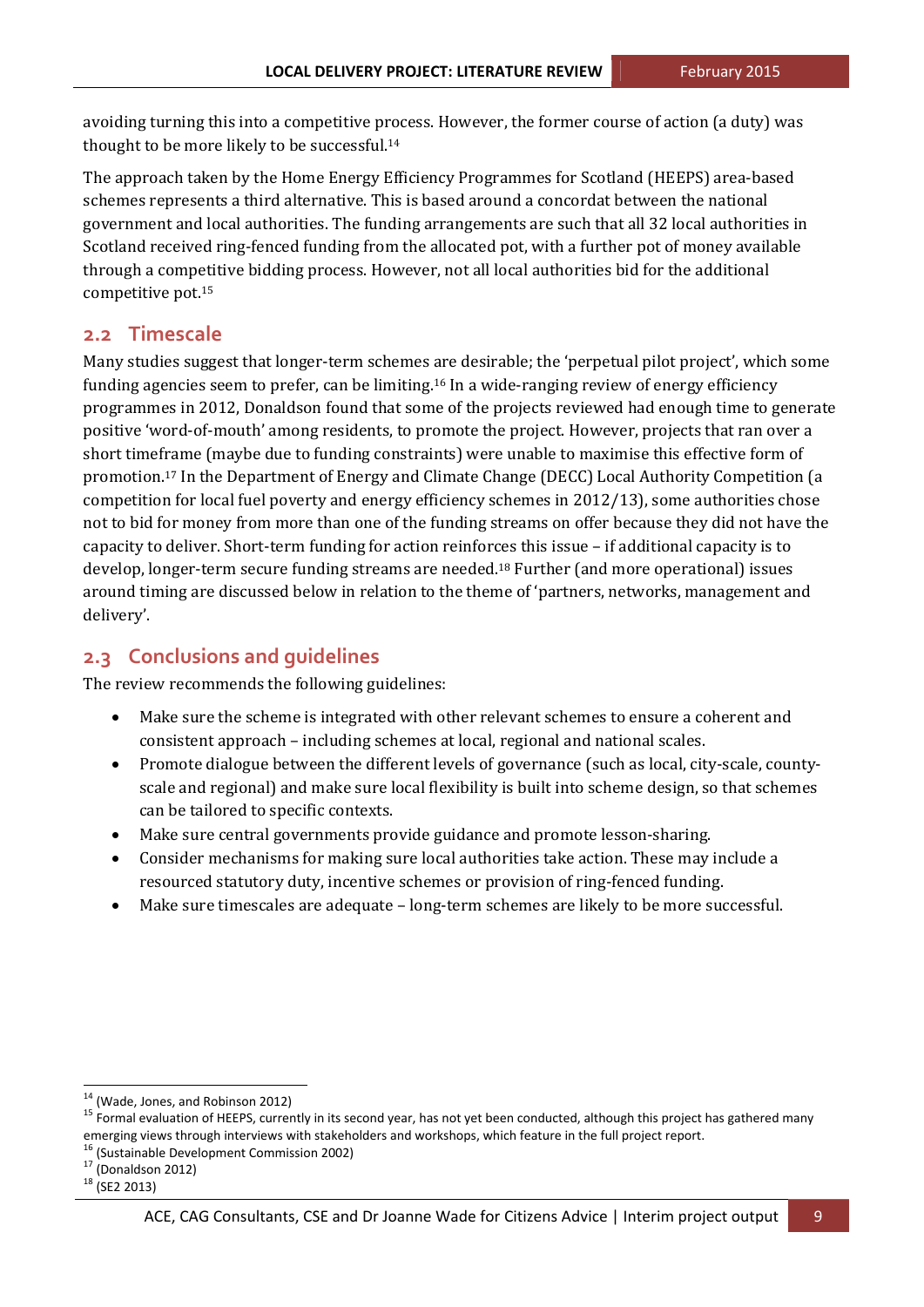avoiding turning this into a competitive process. However, the former course of action (a duty) was thought to be more likely to be successful.<sup>14</sup>

The approach taken by the Home Energy Efficiency Programmes for Scotland (HEEPS) area-based schemes represents a third alternative. This is based around a concordat between the national government and local authorities. The funding arrangements are such that all 32 local authorities in Scotland received ring-fenced funding from the allocated pot, with a further pot of money available through a competitive bidding process. However, not all local authorities bid for the additional competitive pot. $15$ 

## **2.2 Timescale**

Many studies suggest that longer-term schemes are desirable; the 'perpetual pilot project', which some funding agencies seem to prefer, can be limiting.<sup>16</sup> In a wide-ranging review of energy efficiency programmes in 2012, Donaldson found that some of the projects reviewed had enough time to generate positive 'word-of-mouth' among residents, to promote the project. However, projects that ran over a short timeframe (maybe due to funding constraints) were unable to maximise this effective form of promotion.<sup>17</sup> In the Department of Energy and Climate Change (DECC) Local Authority Competition (a competition for local fuel poverty and energy efficiency schemes in 2012/13), some authorities chose not to bid for money from more than one of the funding streams on offer because they did not have the capacity to deliver. Short-term funding for action reinforces this issue – if additional capacity is to develop, longer-term secure funding streams are needed.<sup>18</sup> Further (and more operational) issues around timing are discussed below in relation to the theme of 'partners, networks, management and delivery'. 

## **2.3 Conclusions and guidelines**

The review recommends the following guidelines:

- Make sure the scheme is integrated with other relevant schemes to ensure a coherent and consistent approach – including schemes at local, regional and national scales.
- Promote dialogue between the different levels of governance (such as local, city-scale, countyscale and regional) and make sure local flexibility is built into scheme design, so that schemes can be tailored to specific contexts.
- Make sure central governments provide guidance and promote lesson-sharing.
- Consider mechanisms for making sure local authorities take action. These may include a resourced statutory duty, incentive schemes or provision of ring-fenced funding.
- Make sure timescales are adequate  $-$  long-term schemes are likely to be more successful.

<sup>&</sup>lt;u> 1989 - Jan Samuel Barbara, político establecido de la propia de la propia de la propia de la propia de la pro</u>

<sup>&</sup>lt;sup>14</sup> (Wade, Jones, and Robinson 2012)<br><sup>15</sup> Formal evaluation of HEEPS, currently in its second year, has not yet been conducted, although this project has gathered many emerging views through interviews with stakeholders and workshops, which feature in the full project report.<br>
<sup>16</sup> (Sustainable Development Commission 2002)<br>
<sup>17</sup> (Donaldson 2012)<br>
<sup>18</sup> (SE2 2013)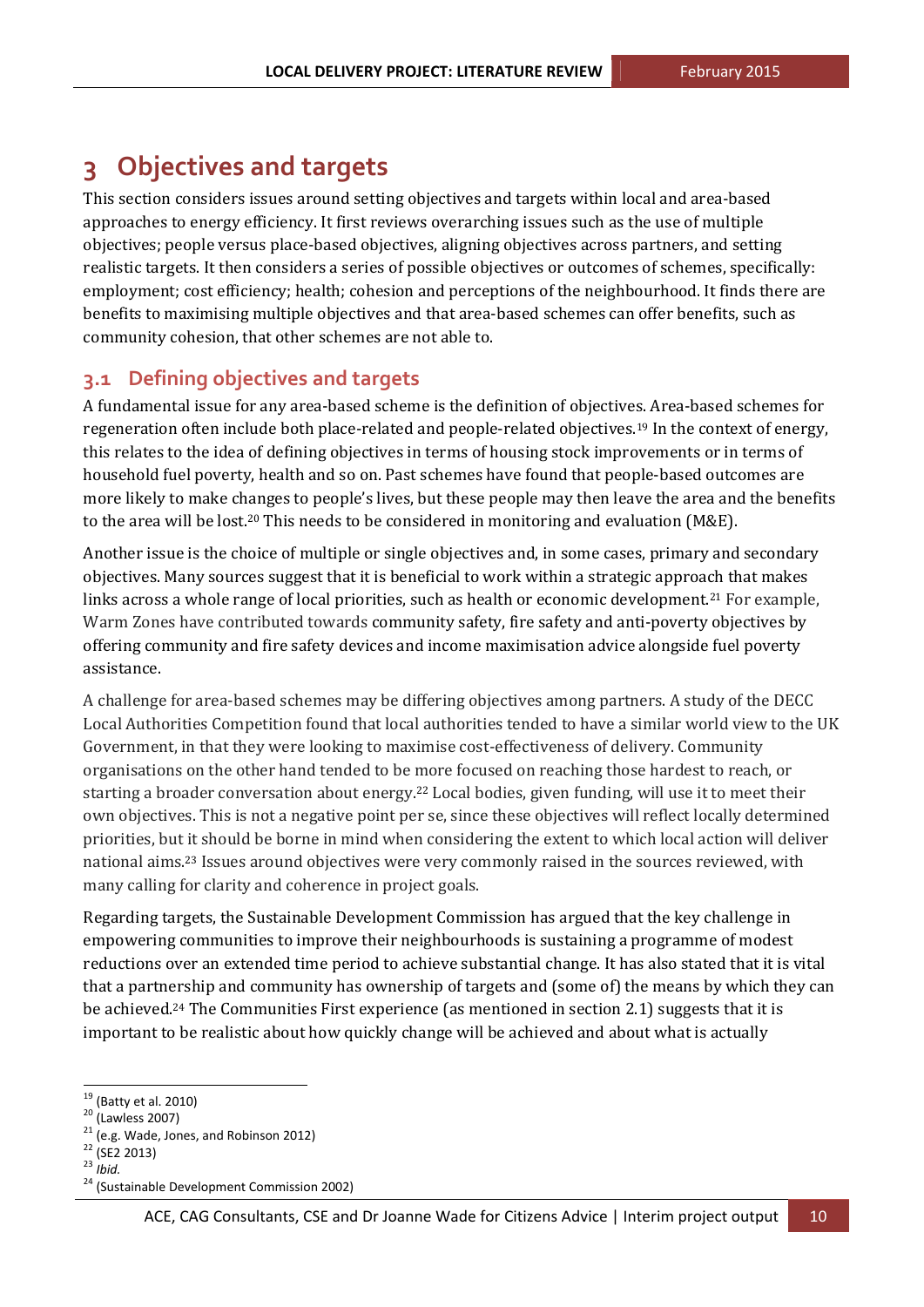## **3 Objectives and targets**

This section considers issues around setting objectives and targets within local and area-based approaches to energy efficiency. It first reviews overarching issues such as the use of multiple objectives; people versus place-based objectives, aligning objectives across partners, and setting realistic targets. It then considers a series of possible objectives or outcomes of schemes, specifically: employment; cost efficiency; health; cohesion and perceptions of the neighbourhood. It finds there are benefits to maximising multiple objectives and that area-based schemes can offer benefits, such as community cohesion, that other schemes are not able to.

## **3.1 Defining objectives and targets**

A fundamental issue for any area-based scheme is the definition of objectives. Area-based schemes for regeneration often include both place-related and people-related objectives.<sup>19</sup> In the context of energy, this relates to the idea of defining objectives in terms of housing stock improvements or in terms of household fuel poverty, health and so on. Past schemes have found that people-based outcomes are more likely to make changes to people's lives, but these people may then leave the area and the benefits to the area will be lost.<sup>20</sup> This needs to be considered in monitoring and evaluation (M&E).

Another issue is the choice of multiple or single objectives and, in some cases, primary and secondary objectives. Many sources suggest that it is beneficial to work within a strategic approach that makes links across a whole range of local priorities, such as health or economic development.<sup>21</sup> For example, Warm Zones have contributed towards community safety, fire safety and anti-poverty objectives by offering community and fire safety devices and income maximisation advice alongside fuel poverty assistance.

A challenge for area-based schemes may be differing objectives among partners. A study of the DECC Local Authorities Competition found that local authorities tended to have a similar world view to the UK Government, in that they were looking to maximise cost-effectiveness of delivery. Community organisations on the other hand tended to be more focused on reaching those hardest to reach, or starting a broader conversation about energy.<sup>22</sup> Local bodies, given funding, will use it to meet their own objectives. This is not a negative point per se, since these objectives will reflect locally determined priorities, but it should be borne in mind when considering the extent to which local action will deliver national aims.<sup>23</sup> Issues around objectives were very commonly raised in the sources reviewed, with many calling for clarity and coherence in project goals.

Regarding targets, the Sustainable Development Commission has argued that the key challenge in empowering communities to improve their neighbourhoods is sustaining a programme of modest reductions over an extended time period to achieve substantial change. It has also stated that it is vital that a partnership and community has ownership of targets and (some of) the means by which they can be achieved.<sup>24</sup> The Communities First experience (as mentioned in section 2.1) suggests that it is important to be realistic about how quickly change will be achieved and about what is actually

<sup>&</sup>lt;sup>19</sup> (Batty et al. 2010)<br>
<sup>20</sup> (Lawless 2007)<br>
<sup>21</sup> (e.g. Wade, Jones, and Robinson 2012)<br>
<sup>22</sup> (SE2 2013)<br>
<sup>23</sup> *Ibid.*<br>
<sup>24</sup> (Sustainable Development Commission 2002)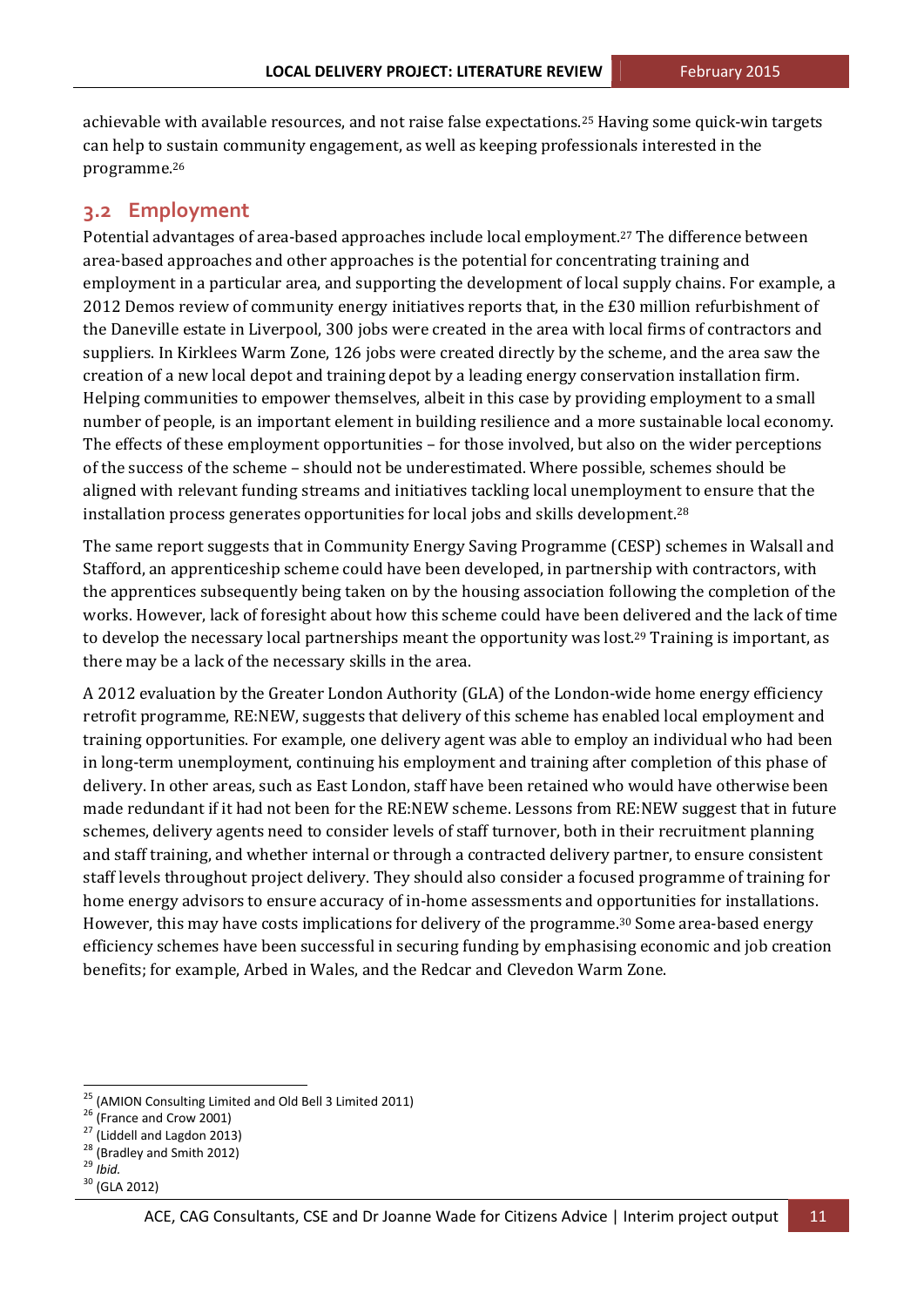achievable with available resources, and not raise false expectations.<sup>25</sup> Having some quick-win targets can help to sustain community engagement, as well as keeping professionals interested in the programme.26

#### **3.2 Employment**

Potential advantages of area-based approaches include local employment.<sup>27</sup> The difference between area-based approaches and other approaches is the potential for concentrating training and employment in a particular area, and supporting the development of local supply chains. For example, a 2012 Demos review of community energy initiatives reports that, in the £30 million refurbishment of the Daneville estate in Liverpool, 300 jobs were created in the area with local firms of contractors and suppliers. In Kirklees Warm Zone, 126 jobs were created directly by the scheme, and the area saw the creation of a new local depot and training depot by a leading energy conservation installation firm. Helping communities to empower themselves, albeit in this case by providing employment to a small number of people, is an important element in building resilience and a more sustainable local economy. The effects of these employment opportunities – for those involved, but also on the wider perceptions of the success of the scheme – should not be underestimated. Where possible, schemes should be aligned with relevant funding streams and initiatives tackling local unemployment to ensure that the installation process generates opportunities for local jobs and skills development.<sup>28</sup>

The same report suggests that in Community Energy Saving Programme (CESP) schemes in Walsall and Stafford, an apprenticeship scheme could have been developed, in partnership with contractors, with the apprentices subsequently being taken on by the housing association following the completion of the works. However, lack of foresight about how this scheme could have been delivered and the lack of time to develop the necessary local partnerships meant the opportunity was lost.<sup>29</sup> Training is important, as there may be a lack of the necessary skills in the area.

A 2012 evaluation by the Greater London Authority (GLA) of the London-wide home energy efficiency retrofit programme, RE:NEW, suggests that delivery of this scheme has enabled local employment and training opportunities. For example, one delivery agent was able to employ an individual who had been in long-term unemployment, continuing his employment and training after completion of this phase of delivery. In other areas, such as East London, staff have been retained who would have otherwise been made redundant if it had not been for the RE:NEW scheme. Lessons from RE:NEW suggest that in future schemes, delivery agents need to consider levels of staff turnover, both in their recruitment planning and staff training, and whether internal or through a contracted delivery partner, to ensure consistent staff levels throughout project delivery. They should also consider a focused programme of training for home energy advisors to ensure accuracy of in-home assessments and opportunities for installations. However, this may have costs implications for delivery of the programme.<sup>30</sup> Some area-based energy efficiency schemes have been successful in securing funding by emphasising economic and job creation benefits; for example, Arbed in Wales, and the Redcar and Clevedon Warm Zone.

<sup>&</sup>lt;sup>25</sup> (AMION Consulting Limited and Old Bell 3 Limited 2011)<br><sup>26</sup> (France and Crow 2001)<br><sup>27</sup> (Liddell and Lagdon 2013)<br><sup>28</sup> (Bradley and Smith 2012)<br><sup>29</sup> *Ibid.* 30 (GLA 2012)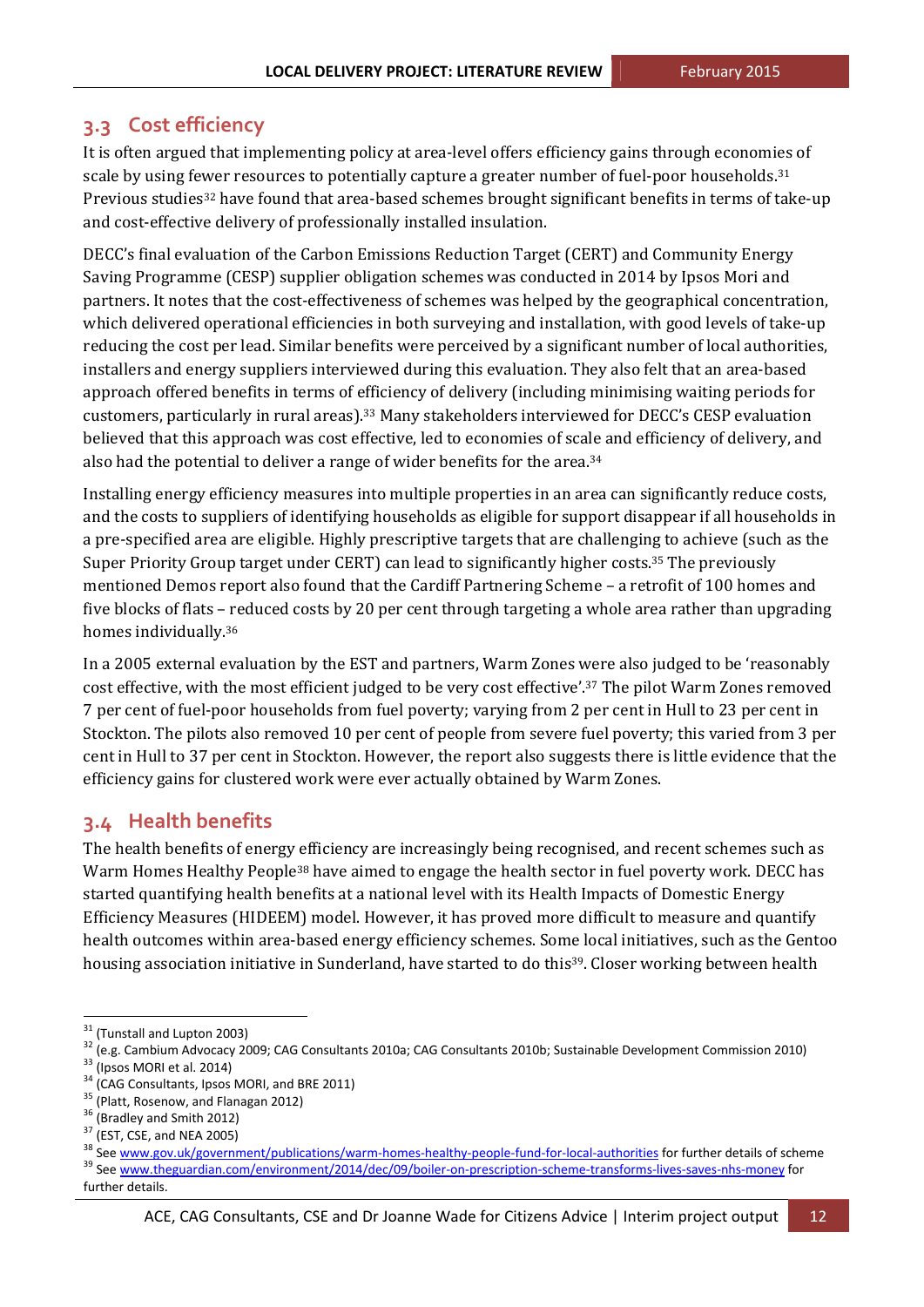## **3.3 Cost efficiency**

It is often argued that implementing policy at area-level offers efficiency gains through economies of scale by using fewer resources to potentially capture a greater number of fuel-poor households.<sup>31</sup> Previous studies<sup>32</sup> have found that area-based schemes brought significant benefits in terms of take-up and cost-effective delivery of professionally installed insulation.

DECC's final evaluation of the Carbon Emissions Reduction Target (CERT) and Community Energy Saving Programme (CESP) supplier obligation schemes was conducted in 2014 by Ipsos Mori and partners. It notes that the cost-effectiveness of schemes was helped by the geographical concentration, which delivered operational efficiencies in both surveying and installation, with good levels of take-up reducing the cost per lead. Similar benefits were perceived by a significant number of local authorities, installers and energy suppliers interviewed during this evaluation. They also felt that an area-based approach offered benefits in terms of efficiency of delivery (including minimising waiting periods for customers, particularly in rural areas).<sup>33</sup> Many stakeholders interviewed for DECC's CESP evaluation believed that this approach was cost effective, led to economies of scale and efficiency of delivery, and also had the potential to deliver a range of wider benefits for the area.<sup>34</sup>

Installing energy efficiency measures into multiple properties in an area can significantly reduce costs, and the costs to suppliers of identifying households as eligible for support disappear if all households in a pre-specified area are eligible. Highly prescriptive targets that are challenging to achieve (such as the Super Priority Group target under CERT) can lead to significantly higher costs.<sup>35</sup> The previously mentioned Demos report also found that the Cardiff Partnering Scheme - a retrofit of 100 homes and five blocks of flats – reduced costs by 20 per cent through targeting a whole area rather than upgrading homes individually.<sup>36</sup>

In a 2005 external evaluation by the EST and partners, Warm Zones were also judged to be 'reasonably cost effective, with the most efficient judged to be very cost effective'.<sup>37</sup> The pilot Warm Zones removed 7 per cent of fuel-poor households from fuel poverty; varying from 2 per cent in Hull to 23 per cent in Stockton. The pilots also removed 10 per cent of people from severe fuel poverty; this varied from 3 per cent in Hull to 37 per cent in Stockton. However, the report also suggests there is little evidence that the efficiency gains for clustered work were ever actually obtained by Warm Zones.

## **3.4 Health benefits**

The health benefits of energy efficiency are increasingly being recognised, and recent schemes such as Warm Homes Healthy People<sup>38</sup> have aimed to engage the health sector in fuel poverty work. DECC has started quantifying health benefits at a national level with its Health Impacts of Domestic Energy Efficiency Measures (HIDEEM) model. However, it has proved more difficult to measure and quantify health outcomes within area-based energy efficiency schemes. Some local initiatives, such as the Gentoo housing association initiative in Sunderland, have started to do this<sup>39</sup>. Closer working between health

<sup>&</sup>lt;sup>31</sup> (Tunstall and Lupton 2003)<br><sup>32</sup> (e.g. Cambium Advocacy 2009; CAG Consultants 2010a; CAG Consultants 2010b; Sustainable Development Commission 2010)<br><sup>33</sup> (Ipsos MORI et al. 2014)<br><sup>34</sup> (CAG Consultants, Ipsos MORI, and

further details.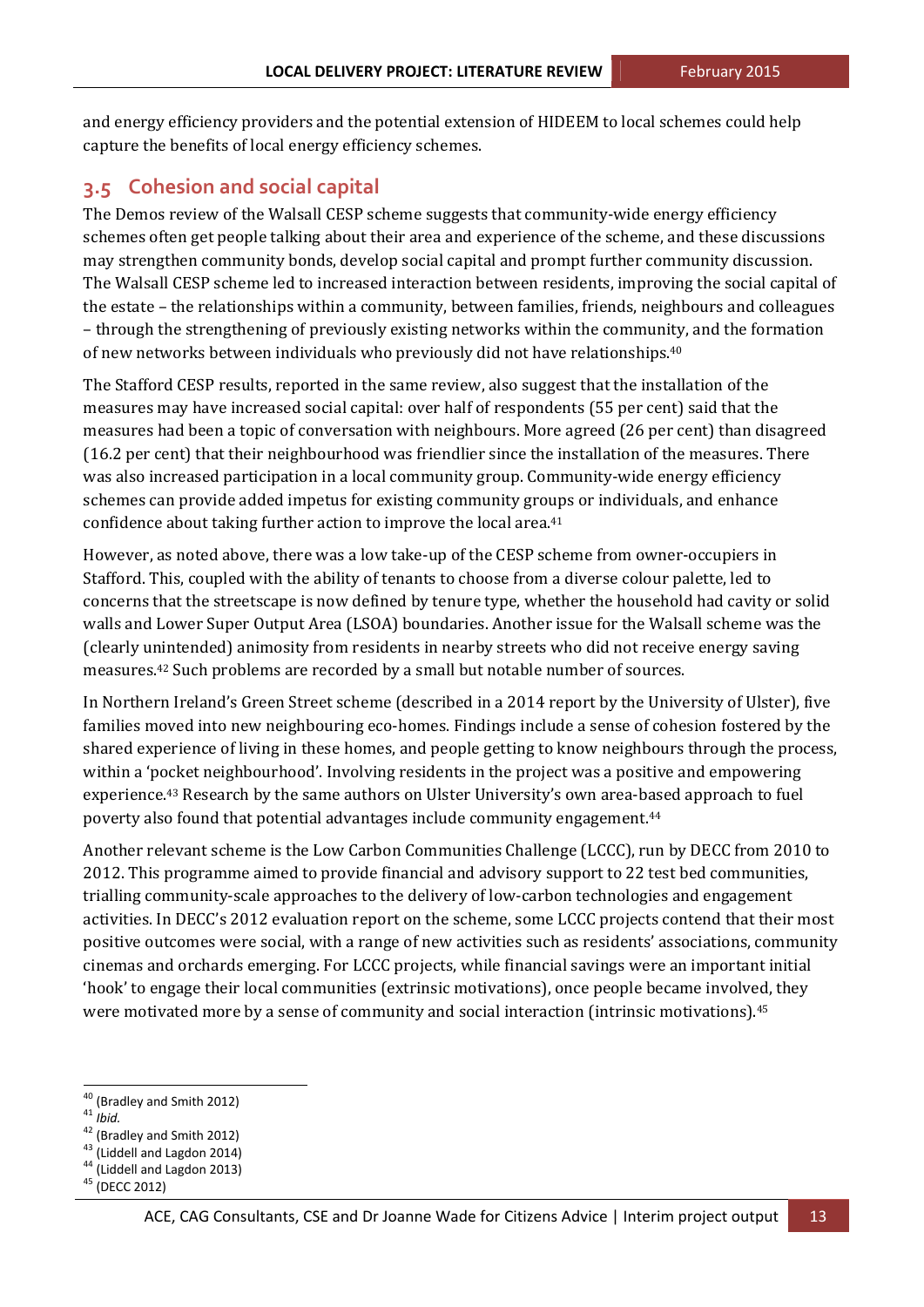and energy efficiency providers and the potential extension of HIDEEM to local schemes could help capture the benefits of local energy efficiency schemes.

## **3.5 Cohesion and social capital**

The Demos review of the Walsall CESP scheme suggests that community-wide energy efficiency schemes often get people talking about their area and experience of the scheme, and these discussions may strengthen community bonds, develop social capital and prompt further community discussion. The Walsall CESP scheme led to increased interaction between residents, improving the social capital of the estate – the relationships within a community, between families, friends, neighbours and colleagues - through the strengthening of previously existing networks within the community, and the formation of new networks between individuals who previously did not have relationships.<sup>40</sup>

The Stafford CESP results, reported in the same review, also suggest that the installation of the measures may have increased social capital: over half of respondents (55 per cent) said that the measures had been a topic of conversation with neighbours. More agreed (26 per cent) than disagreed (16.2 per cent) that their neighbourhood was friendlier since the installation of the measures. There was also increased participation in a local community group. Community-wide energy efficiency schemes can provide added impetus for existing community groups or individuals, and enhance confidence about taking further action to improve the local area.<sup>41</sup>

However, as noted above, there was a low take-up of the CESP scheme from owner-occupiers in Stafford. This, coupled with the ability of tenants to choose from a diverse colour palette, led to concerns that the streetscape is now defined by tenure type, whether the household had cavity or solid walls and Lower Super Output Area (LSOA) boundaries. Another issue for the Walsall scheme was the (clearly unintended) animosity from residents in nearby streets who did not receive energy saving measures.<sup>42</sup> Such problems are recorded by a small but notable number of sources.

In Northern Ireland's Green Street scheme (described in a 2014 report by the University of Ulster), five families moved into new neighbouring eco-homes. Findings include a sense of cohesion fostered by the shared experience of living in these homes, and people getting to know neighbours through the process, within a 'pocket neighbourhood'. Involving residents in the project was a positive and empowering experience.<sup>43</sup> Research by the same authors on Ulster University's own area-based approach to fuel poverty also found that potential advantages include community engagement.<sup>44</sup>

Another relevant scheme is the Low Carbon Communities Challenge (LCCC), run by DECC from 2010 to 2012. This programme aimed to provide financial and advisory support to 22 test bed communities, trialling community-scale approaches to the delivery of low-carbon technologies and engagement activities. In DECC's 2012 evaluation report on the scheme, some LCCC projects contend that their most positive outcomes were social, with a range of new activities such as residents' associations, community cinemas and orchards emerging. For LCCC projects, while financial savings were an important initial 'hook' to engage their local communities (extrinsic motivations), once people became involved, they were motivated more by a sense of community and social interaction (intrinsic motivations).<sup>45</sup>

<sup>&</sup>lt;sup>40</sup> (Bradley and Smith 2012)<br><sup>41</sup> *Ibid.*<br><sup>42</sup> (Bradley and Smith 2012)<br><sup>43</sup> (Liddell and Lagdon 2014)<br><sup>44</sup> (Liddell and Lagdon 2013)<br><sup>45</sup> (DECC 2012)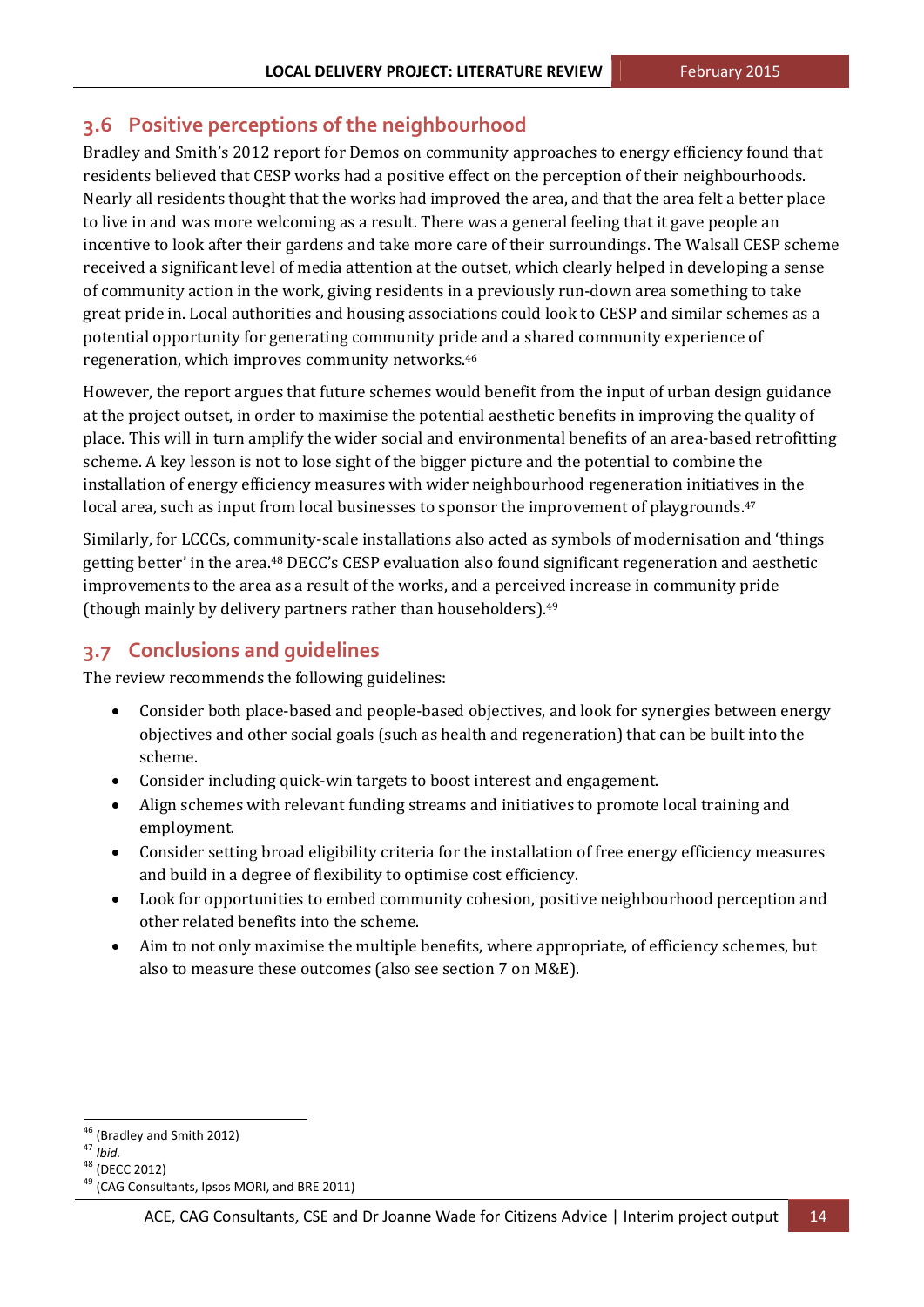## **3.6 Positive perceptions of the neighbourhood**

Bradley and Smith's 2012 report for Demos on community approaches to energy efficiency found that residents believed that CESP works had a positive effect on the perception of their neighbourhoods. Nearly all residents thought that the works had improved the area, and that the area felt a better place to live in and was more welcoming as a result. There was a general feeling that it gave people an incentive to look after their gardens and take more care of their surroundings. The Walsall CESP scheme received a significant level of media attention at the outset, which clearly helped in developing a sense of community action in the work, giving residents in a previously run-down area something to take great pride in. Local authorities and housing associations could look to CESP and similar schemes as a potential opportunity for generating community pride and a shared community experience of regeneration, which improves community networks.<sup>46</sup>

However, the report argues that future schemes would benefit from the input of urban design guidance at the project outset, in order to maximise the potential aesthetic benefits in improving the quality of place. This will in turn amplify the wider social and environmental benefits of an area-based retrofitting scheme. A key lesson is not to lose sight of the bigger picture and the potential to combine the installation of energy efficiency measures with wider neighbourhood regeneration initiatives in the local area, such as input from local businesses to sponsor the improvement of playgrounds.<sup>47</sup>

Similarly, for LCCCs, community-scale installations also acted as symbols of modernisation and 'things getting better' in the area.<sup>48</sup> DECC's CESP evaluation also found significant regeneration and aesthetic improvements to the area as a result of the works, and a perceived increase in community pride (though mainly by delivery partners rather than householders). $49$ 

## **3.7 Conclusions and guidelines**

The review recommends the following guidelines:

- Consider both place-based and people-based objectives, and look for synergies between energy objectives and other social goals (such as health and regeneration) that can be built into the scheme.
- Consider including quick-win targets to boost interest and engagement.
- Align schemes with relevant funding streams and initiatives to promote local training and employment.
- Consider setting broad eligibility criteria for the installation of free energy efficiency measures and build in a degree of flexibility to optimise cost efficiency.
- Look for opportunities to embed community cohesion, positive neighbourhood perception and other related benefits into the scheme.
- Aim to not only maximise the multiple benefits, where appropriate, of efficiency schemes, but also to measure these outcomes (also see section 7 on M&E).

<sup>&</sup>lt;sup>46</sup> (Bradley and Smith 2012)<br><sup>47</sup> *Ibid.*<br><sup>48</sup> (DECC 2012)<br><sup>49</sup> (CAG Consultants, Ipsos MORI, and BRE 2011)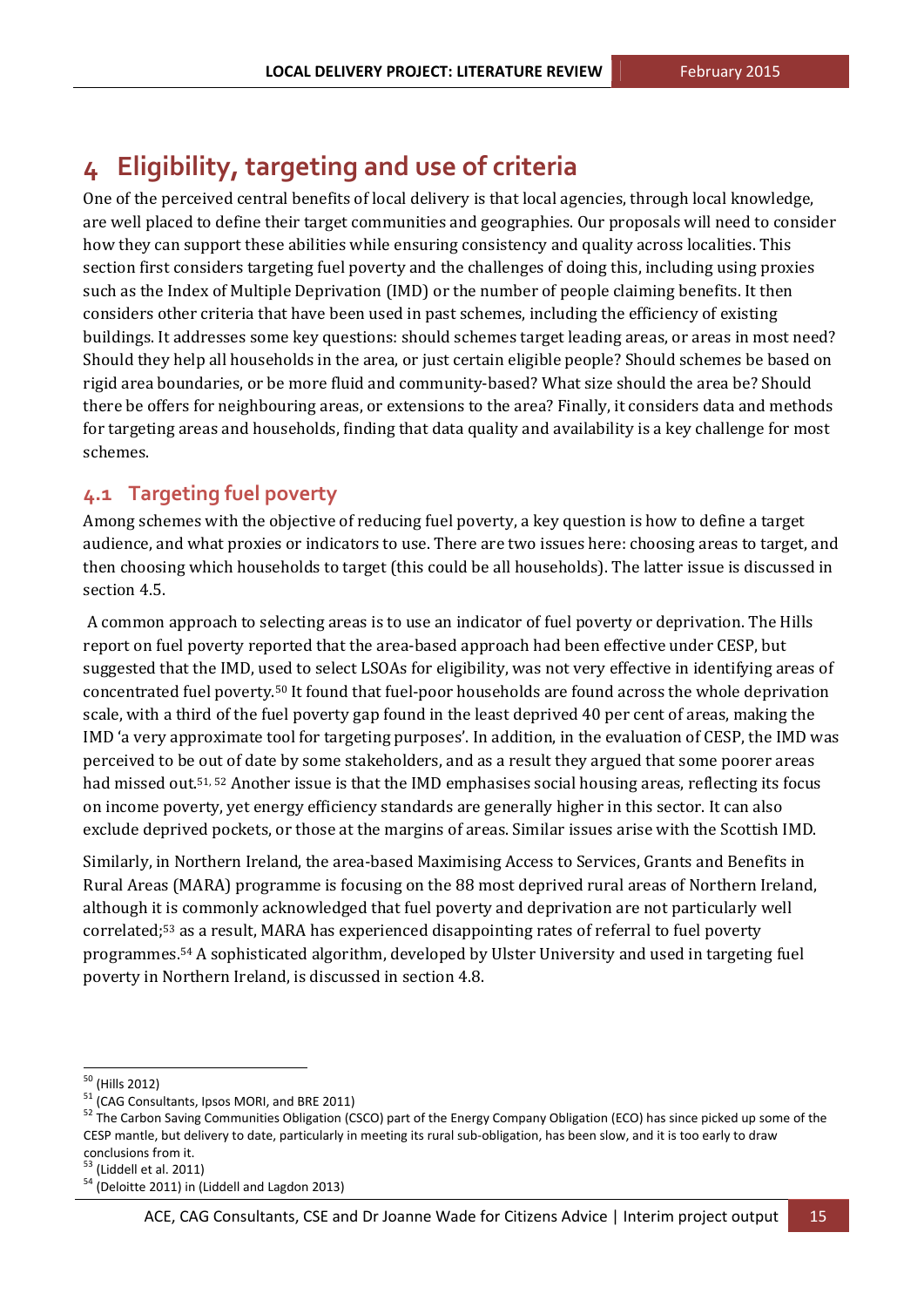## **4 Eligibility, targeting and use of criteria**

One of the perceived central benefits of local delivery is that local agencies, through local knowledge, are well placed to define their target communities and geographies. Our proposals will need to consider how they can support these abilities while ensuring consistency and quality across localities. This section first considers targeting fuel poverty and the challenges of doing this, including using proxies such as the Index of Multiple Deprivation (IMD) or the number of people claiming benefits. It then considers other criteria that have been used in past schemes, including the efficiency of existing buildings. It addresses some key questions: should schemes target leading areas, or areas in most need? Should they help all households in the area, or just certain eligible people? Should schemes be based on rigid area boundaries, or be more fluid and community-based? What size should the area be? Should there be offers for neighbouring areas, or extensions to the area? Finally, it considers data and methods for targeting areas and households, finding that data quality and availability is a key challenge for most schemes. 

## **4.1 Targeting fuel poverty**

Among schemes with the objective of reducing fuel poverty, a key question is how to define a target audience, and what proxies or indicators to use. There are two issues here: choosing areas to target, and then choosing which households to target (this could be all households). The latter issue is discussed in section 4.5.

A common approach to selecting areas is to use an indicator of fuel poverty or deprivation. The Hills report on fuel poverty reported that the area-based approach had been effective under CESP, but suggested that the IMD, used to select LSOAs for eligibility, was not very effective in identifying areas of concentrated fuel poverty.<sup>50</sup> It found that fuel-poor households are found across the whole deprivation scale, with a third of the fuel poverty gap found in the least deprived 40 per cent of areas, making the IMD 'a very approximate tool for targeting purposes'. In addition, in the evaluation of CESP, the IMD was perceived to be out of date by some stakeholders, and as a result they argued that some poorer areas had missed out.<sup>51, 52</sup> Another issue is that the IMD emphasises social housing areas, reflecting its focus on income poverty, yet energy efficiency standards are generally higher in this sector. It can also exclude deprived pockets, or those at the margins of areas. Similar issues arise with the Scottish IMD.

Similarly, in Northern Ireland, the area-based Maximising Access to Services, Grants and Benefits in Rural Areas (MARA) programme is focusing on the 88 most deprived rural areas of Northern Ireland, although it is commonly acknowledged that fuel poverty and deprivation are not particularly well correlated;<sup>53</sup> as a result, MARA has experienced disappointing rates of referral to fuel poverty programmes.<sup>54</sup> A sophisticated algorithm, developed by Ulster University and used in targeting fuel poverty in Northern Ireland, is discussed in section 4.8.

<sup>&</sup>lt;sup>50</sup> (Hills 2012)<br><sup>51</sup> (CAG Consultants, Ipsos MORI, and BRE 2011)<br><sup>52</sup> The Carbon Saving Communities Obligation (CSCO) part of the Energy Company Obligation (ECO) has since picked up some of the CESP mantle, but delivery to date, particularly in meeting its rural sub‐obligation, has been slow, and it is too early to draw conclusions from it.<br> $53$  (Liddell et al. 2011)<br> $54$  (Deloitte 2011) in (Liddell and Lagdon 2013)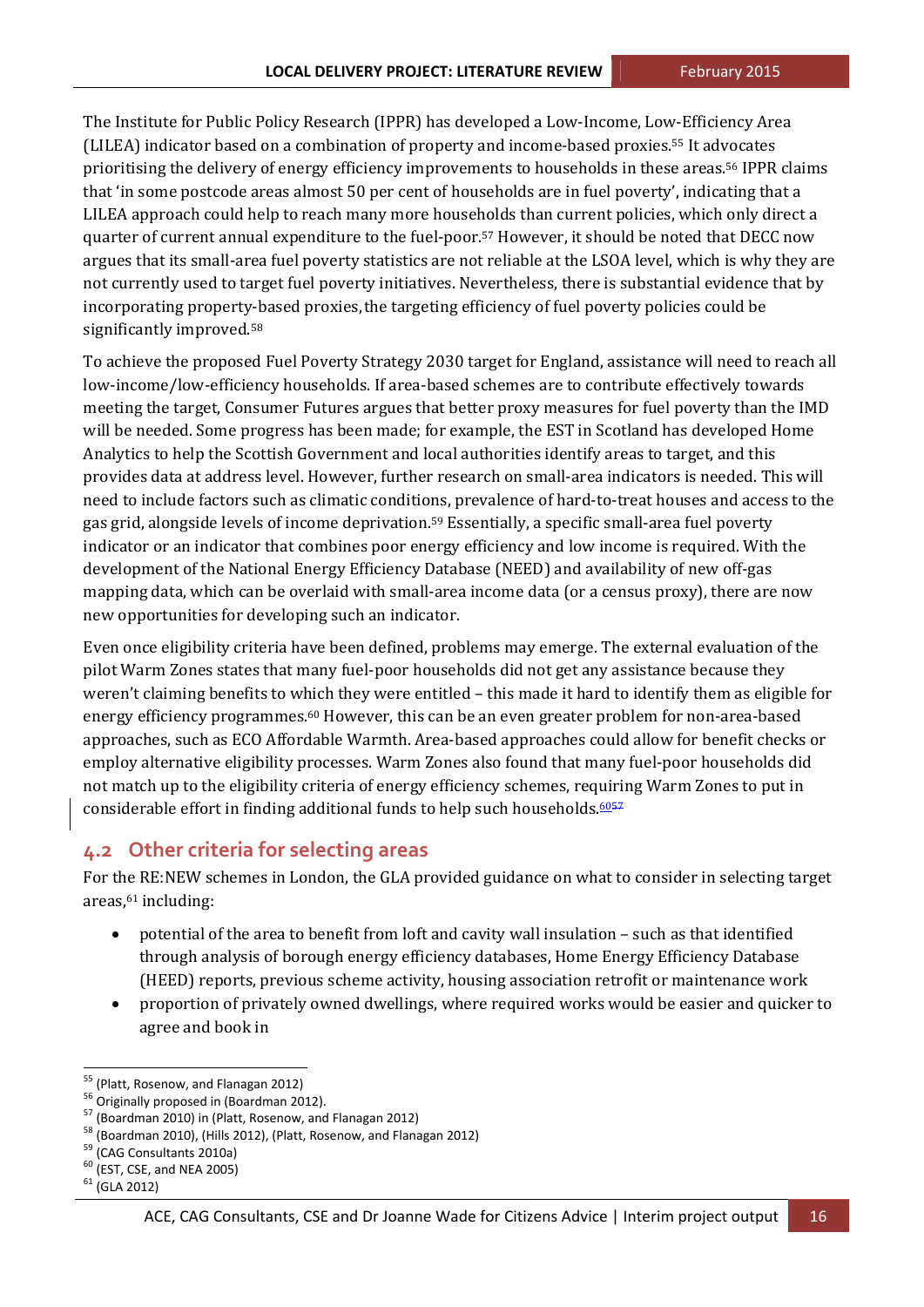The Institute for Public Policy Research (IPPR) has developed a Low-Income, Low-Efficiency Area (LILEA) indicator based on a combination of property and income-based proxies.<sup>55</sup> It advocates prioritising the delivery of energy efficiency improvements to households in these areas.<sup>56</sup> IPPR claims that 'in some postcode areas almost 50 per cent of households are in fuel poverty', indicating that a LILEA approach could help to reach many more households than current policies, which only direct a quarter of current annual expenditure to the fuel-poor.<sup>57</sup> However, it should be noted that DECC now argues that its small-area fuel poverty statistics are not reliable at the LSOA level, which is why they are not currently used to target fuel poverty initiatives. Nevertheless, there is substantial evidence that by incorporating property-based proxies, the targeting efficiency of fuel poverty policies could be significantly improved.<sup>58</sup>

To achieve the proposed Fuel Poverty Strategy 2030 target for England, assistance will need to reach all low-income/low-efficiency households. If area-based schemes are to contribute effectively towards meeting the target, Consumer Futures argues that better proxy measures for fuel poverty than the IMD will be needed. Some progress has been made; for example, the EST in Scotland has developed Home Analytics to help the Scottish Government and local authorities identify areas to target, and this provides data at address level. However, further research on small-area indicators is needed. This will need to include factors such as climatic conditions, prevalence of hard-to-treat houses and access to the gas grid, alongside levels of income deprivation.<sup>59</sup> Essentially, a specific small-area fuel poverty indicator or an indicator that combines poor energy efficiency and low income is required. With the development of the National Energy Efficiency Database (NEED) and availability of new off-gas mapping data, which can be overlaid with small-area income data (or a census proxy), there are now new opportunities for developing such an indicator.

Even once eligibility criteria have been defined, problems may emerge. The external evaluation of the pilot Warm Zones states that many fuel-poor households did not get any assistance because they weren't claiming benefits to which they were entitled – this made it hard to identify them as eligible for energy efficiency programmes.<sup>60</sup> However, this can be an even greater problem for non-area-based approaches, such as ECO Affordable Warmth. Area-based approaches could allow for benefit checks or employ alternative eligibility processes. Warm Zones also found that many fuel-poor households did not match up to the eligibility criteria of energy efficiency schemes, requiring Warm Zones to put in considerable effort in finding additional funds to help such households. $6057$ 

### **4.2 Other criteria for selecting areas**

For the RE:NEW schemes in London, the GLA provided guidance on what to consider in selecting target areas, $61$  including:

- potential of the area to benefit from loft and cavity wall insulation such as that identified through analysis of borough energy efficiency databases, Home Energy Efficiency Database (HEED) reports, previous scheme activity, housing association retrofit or maintenance work
- proportion of privately owned dwellings, where required works would be easier and quicker to agree and book in

<sup>&</sup>lt;u> 1989 - Jan Samuel Barbara, político establecido de la propia de la propia de la propia de la propia de la pro</u>

<sup>&</sup>lt;sup>55</sup> (Platt, Rosenow, and Flanagan 2012)<br><sup>56</sup> Originally proposed in (Boardman 2012).<br><sup>57</sup> (Boardman 2010) in (Platt, Rosenow, and Flanagan 2012)<br><sup>58</sup> (Boardman 2010), (Hills 2012), (Platt, Rosenow, and Flanagan 2012)<br><sup>59</sup>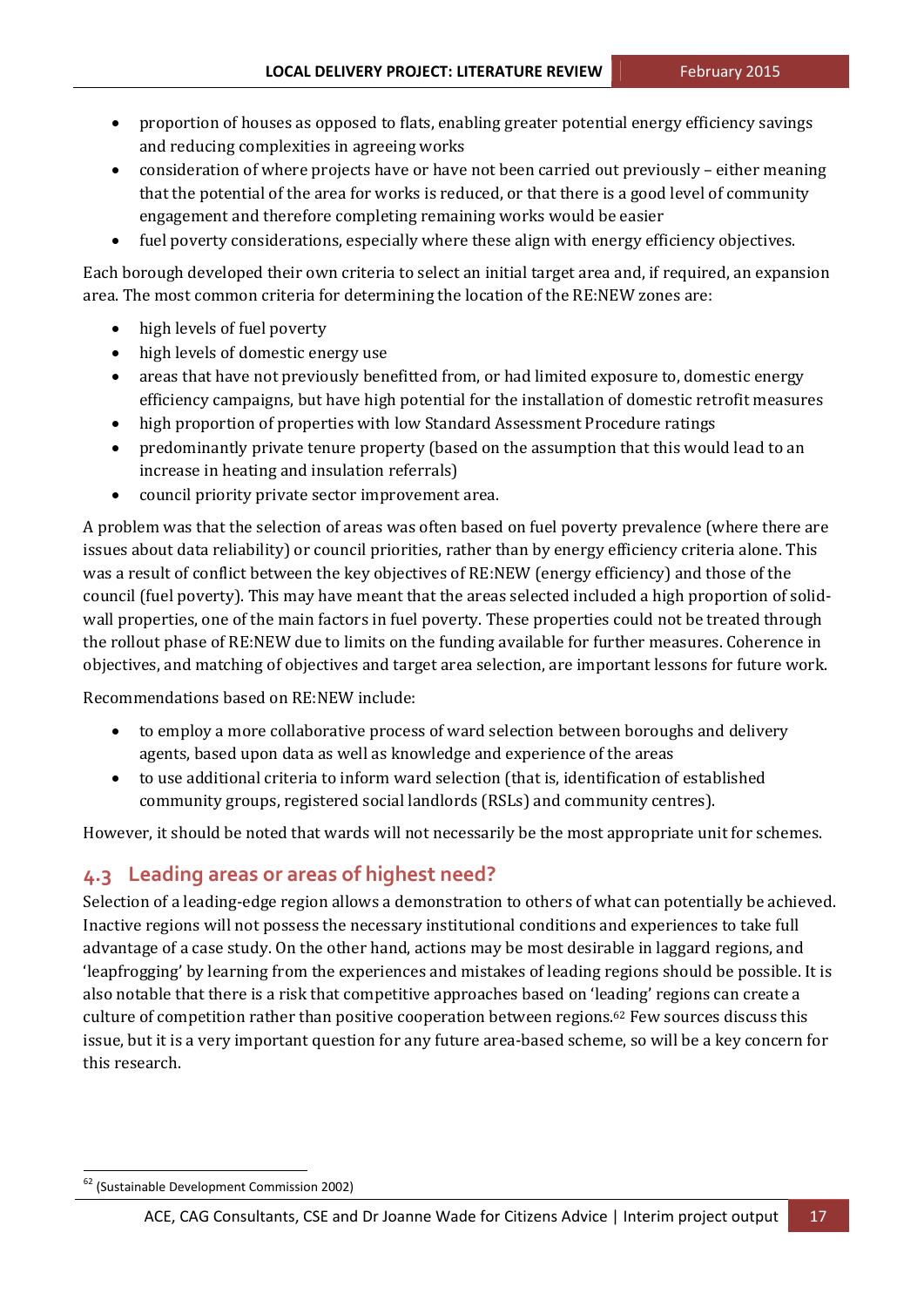- proportion of houses as opposed to flats, enabling greater potential energy efficiency savings and reducing complexities in agreeing works
- consideration of where projects have or have not been carried out previously either meaning that the potential of the area for works is reduced, or that there is a good level of community engagement and therefore completing remaining works would be easier
- fuel poverty considerations, especially where these align with energy efficiency objectives.

Each borough developed their own criteria to select an initial target area and, if required, an expansion area. The most common criteria for determining the location of the RE:NEW zones are:

- high levels of fuel poverty
- high levels of domestic energy use
- areas that have not previously benefitted from, or had limited exposure to, domestic energy efficiency campaigns, but have high potential for the installation of domestic retrofit measures
- high proportion of properties with low Standard Assessment Procedure ratings
- predominantly private tenure property (based on the assumption that this would lead to an increase in heating and insulation referrals)
- council priority private sector improvement area.

A problem was that the selection of areas was often based on fuel poverty prevalence (where there are issues about data reliability) or council priorities, rather than by energy efficiency criteria alone. This was a result of conflict between the key objectives of RE:NEW (energy efficiency) and those of the council (fuel poverty). This may have meant that the areas selected included a high proportion of solidwall properties, one of the main factors in fuel poverty. These properties could not be treated through the rollout phase of RE:NEW due to limits on the funding available for further measures. Coherence in objectives, and matching of objectives and target area selection, are important lessons for future work.

Recommendations based on RE:NEW include:

- to employ a more collaborative process of ward selection between boroughs and delivery agents, based upon data as well as knowledge and experience of the areas
- to use additional criteria to inform ward selection (that is, identification of established community groups, registered social landlords (RSLs) and community centres).

However, it should be noted that wards will not necessarily be the most appropriate unit for schemes.

## **4.3 Leading areas or areas of highest need?**

Selection of a leading-edge region allows a demonstration to others of what can potentially be achieved. Inactive regions will not possess the necessary institutional conditions and experiences to take full advantage of a case study. On the other hand, actions may be most desirable in laggard regions, and 'leapfrogging' by learning from the experiences and mistakes of leading regions should be possible. It is also notable that there is a risk that competitive approaches based on 'leading' regions can create a culture of competition rather than positive cooperation between regions.<sup>62</sup> Few sources discuss this issue, but it is a very important question for any future area-based scheme, so will be a key concern for this research.

<sup>62</sup> (Sustainable Development Commission 2002)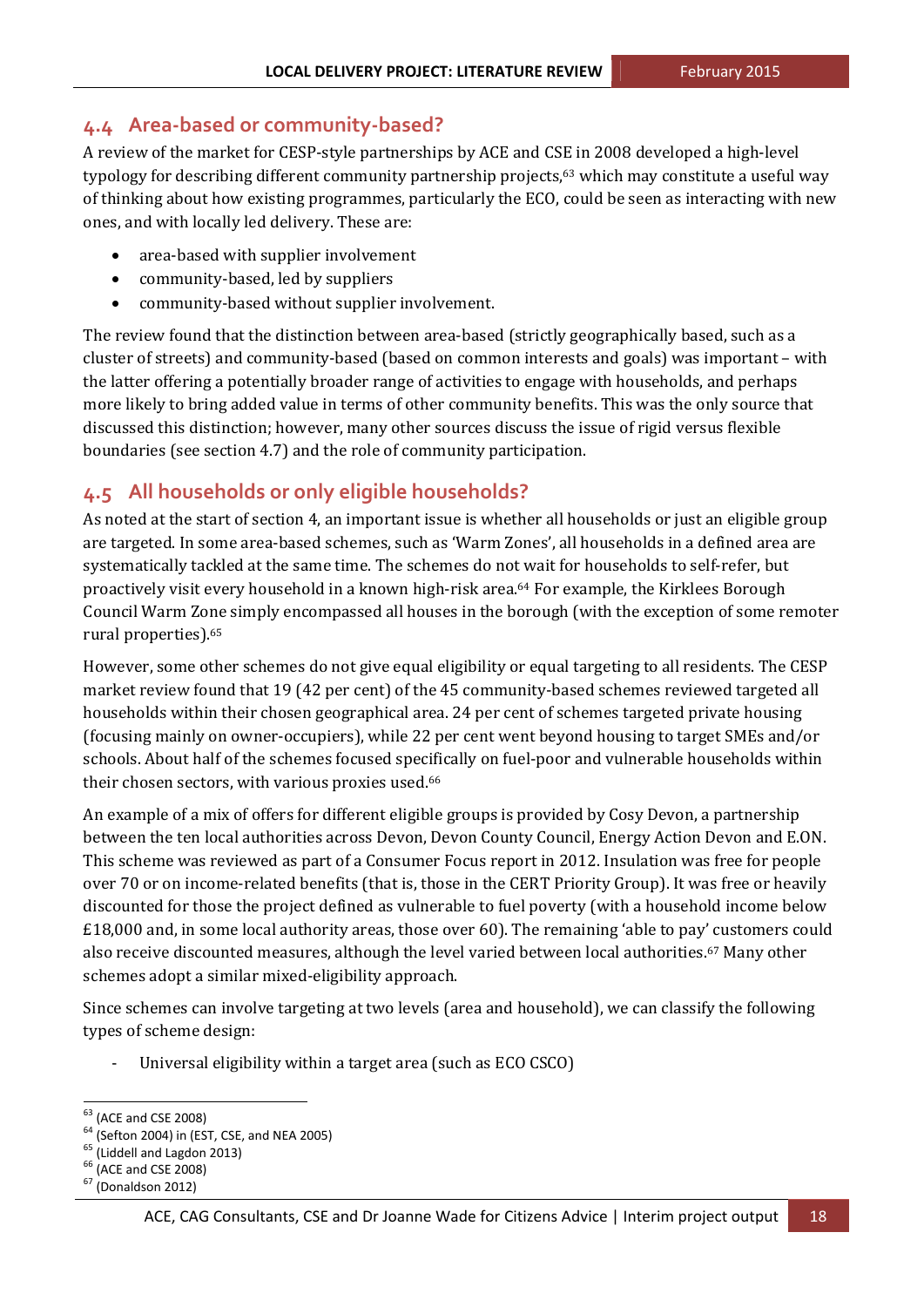## **4.4 Area‐based or community‐based?**

A review of the market for CESP-style partnerships by ACE and CSE in 2008 developed a high-level typology for describing different community partnership projects,<sup>63</sup> which may constitute a useful way of thinking about how existing programmes, particularly the ECO, could be seen as interacting with new ones, and with locally led delivery. These are:

- area-based with supplier involvement
- community-based, led by suppliers
- community-based without supplier involvement.

The review found that the distinction between area-based (strictly geographically based, such as a cluster of streets) and community-based (based on common interests and goals) was important – with the latter offering a potentially broader range of activities to engage with households, and perhaps more likely to bring added value in terms of other community benefits. This was the only source that discussed this distinction; however, many other sources discuss the issue of rigid versus flexible boundaries (see section 4.7) and the role of community participation.

## **4.5 All households or only eligible households?**

As noted at the start of section 4, an important issue is whether all households or just an eligible group are targeted. In some area-based schemes, such as 'Warm Zones', all households in a defined area are systematically tackled at the same time. The schemes do not wait for households to self-refer, but proactively visit every household in a known high-risk area.<sup>64</sup> For example, the Kirklees Borough Council Warm Zone simply encompassed all houses in the borough (with the exception of some remoter rural properties).<sup>65</sup>

However, some other schemes do not give equal eligibility or equal targeting to all residents. The CESP market review found that 19 (42 per cent) of the 45 community-based schemes reviewed targeted all households within their chosen geographical area. 24 per cent of schemes targeted private housing (focusing mainly on owner-occupiers), while 22 per cent went beyond housing to target SMEs and/or schools. About half of the schemes focused specifically on fuel-poor and vulnerable households within their chosen sectors, with various proxies used.<sup>66</sup>

An example of a mix of offers for different eligible groups is provided by Cosy Devon, a partnership between the ten local authorities across Devon, Devon County Council, Energy Action Devon and E.ON. This scheme was reviewed as part of a Consumer Focus report in 2012. Insulation was free for people over 70 or on income-related benefits (that is, those in the CERT Priority Group). It was free or heavily discounted for those the project defined as vulnerable to fuel poverty (with a household income below £18,000 and, in some local authority areas, those over 60). The remaining 'able to pay' customers could also receive discounted measures, although the level varied between local authorities.<sup>67</sup> Many other schemes adopt a similar mixed-eligibility approach.

Since schemes can involve targeting at two levels (area and household), we can classify the following types of scheme design:

Universal eligibility within a target area (such as ECO CSCO)

<sup>(</sup>ACE and CSE 2008)<br>
(Sefton 2004) in (EST, CSE, and NEA 2005)<br>
(Liddell and Lagdon 2013)<br>
(ACE and CSE 2008)<br>
(Donaldson 2012)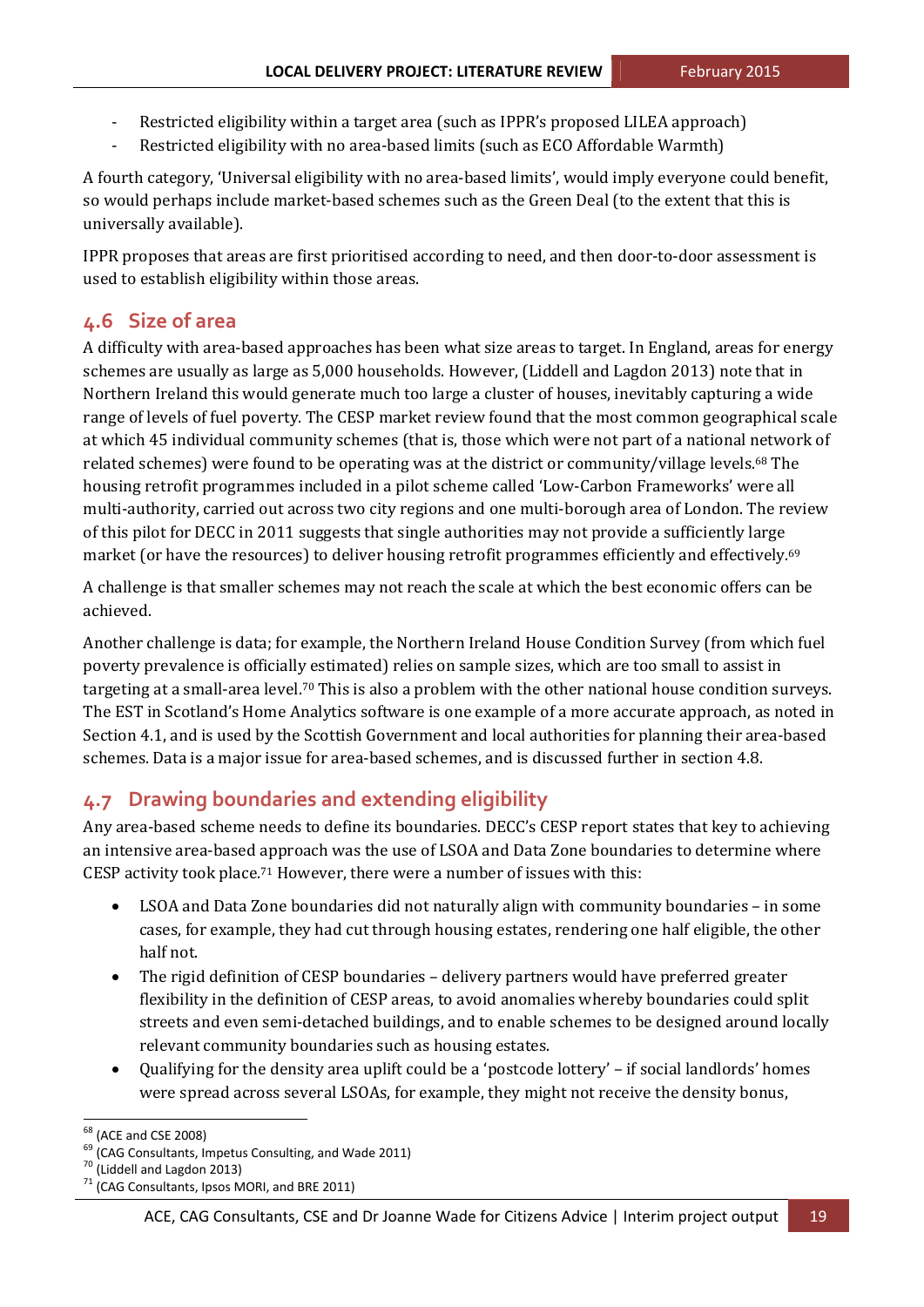- Restricted eligibility within a target area (such as IPPR's proposed LILEA approach)
- Restricted eligibility with no area-based limits (such as ECO Affordable Warmth)

A fourth category, 'Universal eligibility with no area-based limits', would imply everyone could benefit, so would perhaps include market-based schemes such as the Green Deal (to the extent that this is universally available).

IPPR proposes that areas are first prioritised according to need, and then door-to-door assessment is used to establish eligibility within those areas.

## **4.6 Size of area**

A difficulty with area-based approaches has been what size areas to target. In England, areas for energy schemes are usually as large as 5,000 households. However, (Liddell and Lagdon 2013) note that in Northern Ireland this would generate much too large a cluster of houses, inevitably capturing a wide range of levels of fuel poverty. The CESP market review found that the most common geographical scale at which 45 individual community schemes (that is, those which were not part of a national network of related schemes) were found to be operating was at the district or community/village levels.<sup>68</sup> The housing retrofit programmes included in a pilot scheme called 'Low-Carbon Frameworks' were all multi-authority, carried out across two city regions and one multi-borough area of London. The review of this pilot for DECC in 2011 suggests that single authorities may not provide a sufficiently large market (or have the resources) to deliver housing retrofit programmes efficiently and effectively.<sup>69</sup>

A challenge is that smaller schemes may not reach the scale at which the best economic offers can be achieved. 

Another challenge is data; for example, the Northern Ireland House Condition Survey (from which fuel poverty prevalence is officially estimated) relies on sample sizes, which are too small to assist in targeting at a small-area level.<sup>70</sup> This is also a problem with the other national house condition surveys. The EST in Scotland's Home Analytics software is one example of a more accurate approach, as noted in Section 4.1, and is used by the Scottish Government and local authorities for planning their area-based schemes. Data is a major issue for area-based schemes, and is discussed further in section 4.8.

## **4.7 Drawing boundaries and extending eligibility**

Any area-based scheme needs to define its boundaries. DECC's CESP report states that key to achieving an intensive area-based approach was the use of LSOA and Data Zone boundaries to determine where CESP activity took place.<sup>71</sup> However, there were a number of issues with this:

- LSOA and Data Zone boundaries did not naturally align with community boundaries in some cases, for example, they had cut through housing estates, rendering one half eligible, the other half not.
- The rigid definition of CESP boundaries delivery partners would have preferred greater flexibility in the definition of CESP areas, to avoid anomalies whereby boundaries could split streets and even semi-detached buildings, and to enable schemes to be designed around locally relevant community boundaries such as housing estates.
- Qualifying for the density area uplift could be a 'postcode lottery' if social landlords' homes were spread across several LSOAs, for example, they might not receive the density bonus,

<sup>&</sup>lt;sup>68</sup> (ACE and CSE 2008)<br><sup>69</sup> (CAG Consultants, Impetus Consulting, and Wade 2011)<br><sup>70</sup> (Liddell and Lagdon 2013)<br><sup>71</sup> (CAG Consultants, Ipsos MORI, and BRE 2011)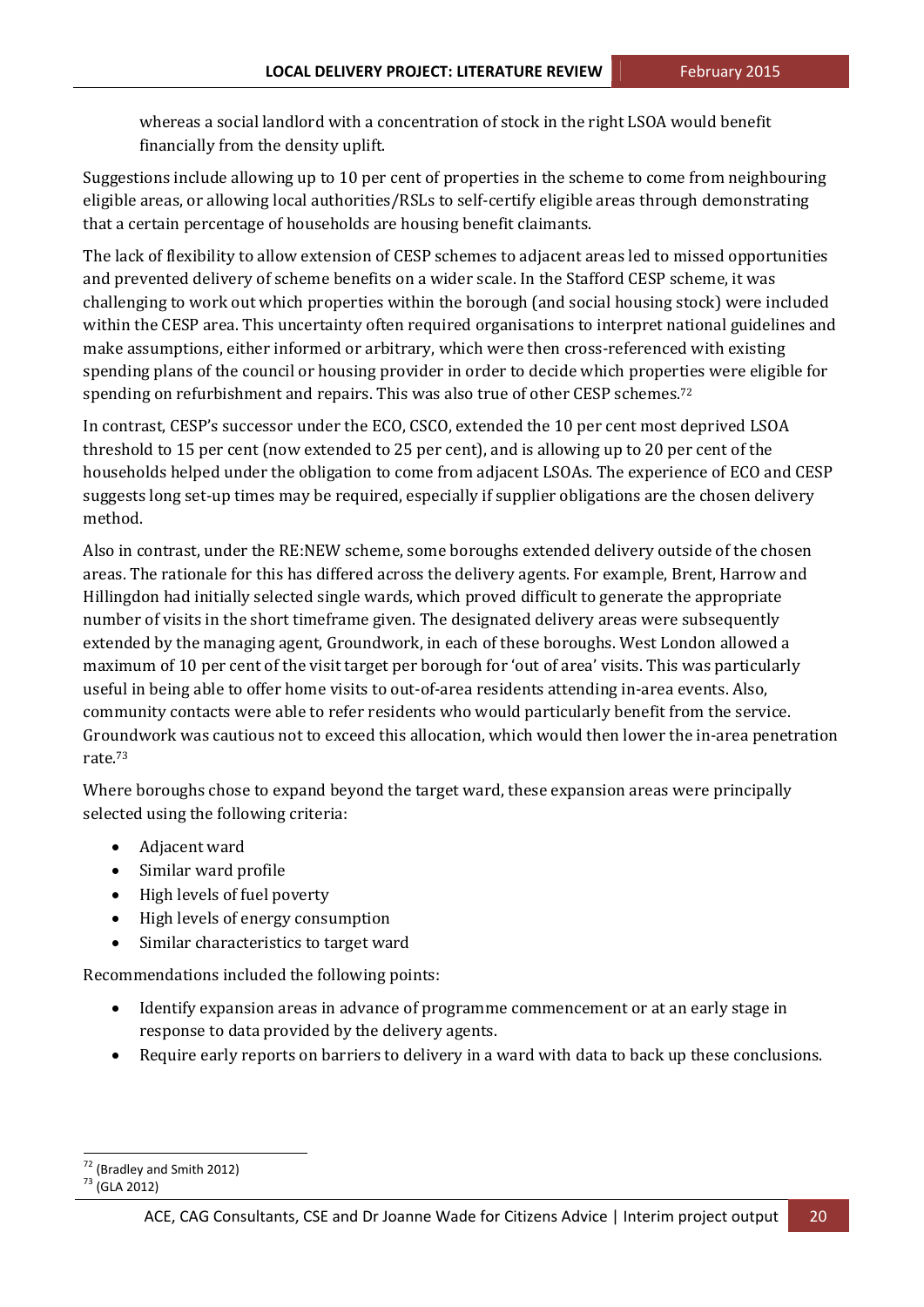whereas a social landlord with a concentration of stock in the right LSOA would benefit financially from the density uplift.

Suggestions include allowing up to 10 per cent of properties in the scheme to come from neighbouring eligible areas, or allowing local authorities/RSLs to self-certify eligible areas through demonstrating that a certain percentage of households are housing benefit claimants.

The lack of flexibility to allow extension of CESP schemes to adjacent areas led to missed opportunities and prevented delivery of scheme benefits on a wider scale. In the Stafford CESP scheme, it was challenging to work out which properties within the borough (and social housing stock) were included within the CESP area. This uncertainty often required organisations to interpret national guidelines and make assumptions, either informed or arbitrary, which were then cross-referenced with existing spending plans of the council or housing provider in order to decide which properties were eligible for spending on refurbishment and repairs. This was also true of other CESP schemes.<sup>72</sup>

In contrast, CESP's successor under the ECO, CSCO, extended the 10 per cent most deprived LSOA threshold to 15 per cent (now extended to 25 per cent), and is allowing up to 20 per cent of the households helped under the obligation to come from adjacent LSOAs. The experience of ECO and CESP suggests long set-up times may be required, especially if supplier obligations are the chosen delivery method. 

Also in contrast, under the RE:NEW scheme, some boroughs extended delivery outside of the chosen areas. The rationale for this has differed across the delivery agents. For example, Brent, Harrow and Hillingdon had initially selected single wards, which proved difficult to generate the appropriate number of visits in the short timeframe given. The designated delivery areas were subsequently extended by the managing agent, Groundwork, in each of these boroughs. West London allowed a maximum of 10 per cent of the visit target per borough for 'out of area' visits. This was particularly useful in being able to offer home visits to out-of-area residents attending in-area events. Also, community contacts were able to refer residents who would particularly benefit from the service. Groundwork was cautious not to exceed this allocation, which would then lower the in-area penetration rate.73

Where boroughs chose to expand beyond the target ward, these expansion areas were principally selected using the following criteria:

- Adiacent ward
- Similar ward profile
- High levels of fuel poverty
- High levels of energy consumption
- Similar characteristics to target ward

Recommendations included the following points:

- Identify expansion areas in advance of programme commencement or at an early stage in response to data provided by the delivery agents.
- Require early reports on barriers to delivery in a ward with data to back up these conclusions.

 $72 \n(Bradley and Smith 2012)$ <br> $73 \n(GLA 2012)$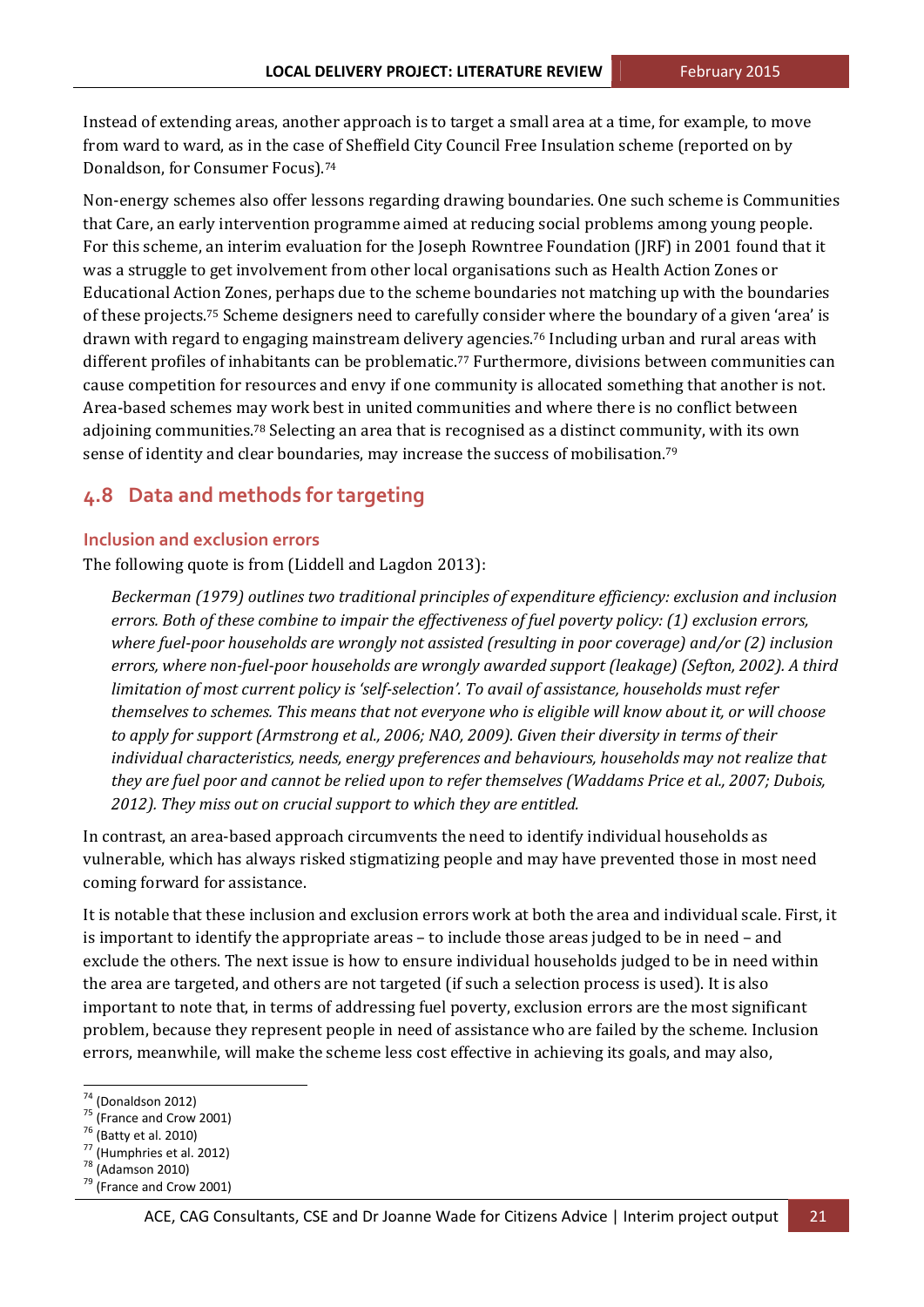Instead of extending areas, another approach is to target a small area at a time, for example, to move from ward to ward, as in the case of Sheffield City Council Free Insulation scheme (reported on by Donaldson, for Consumer Focus).<sup>74</sup>

Non-energy schemes also offer lessons regarding drawing boundaries. One such scheme is Communities that Care, an early intervention programme aimed at reducing social problems among young people. For this scheme, an interim evaluation for the Joseph Rowntree Foundation (JRF) in 2001 found that it was a struggle to get involvement from other local organisations such as Health Action Zones or Educational Action Zones, perhaps due to the scheme boundaries not matching up with the boundaries of these projects.<sup>75</sup> Scheme designers need to carefully consider where the boundary of a given 'area' is drawn with regard to engaging mainstream delivery agencies.<sup>76</sup> Including urban and rural areas with different profiles of inhabitants can be problematic.<sup>77</sup> Furthermore, divisions between communities can cause competition for resources and envy if one community is allocated something that another is not. Area-based schemes may work best in united communities and where there is no conflict between adjoining communities.<sup>78</sup> Selecting an area that is recognised as a distinct community, with its own sense of identity and clear boundaries, may increase the success of mobilisation.<sup>79</sup>

### **4.8 Data and methods for targeting**

#### **Inclusion and exclusion errors**

The following quote is from (Liddell and Lagdon 2013):

*Beckerman (1979) outlines two traditional principles of expenditure efficiency: exclusion and inclusion errors. Both of these combine to impair the effectiveness of fuel poverty policy: (1) exclusion errors, where fuel‐poor households are wrongly not assisted (resulting in poor coverage) and/or (2) inclusion errors, where non‐fuel‐poor households are wrongly awarded support (leakage) (Sefton, 2002). A third limitation of most current policy is 'self‐selection'. To avail of assistance, households must refer* themselves to schemes. This means that not everyone who is eligible will know about it, or will choose *to apply for support (Armstrong et al., 2006; NAO, 2009). Given their diversity in terms of their individual characteristics, needs, energy preferences and behaviours, households may not realize that* they are fuel poor and cannot be relied upon to refer themselves (Waddams Price et al., 2007; Dubois, *2012). They miss out on crucial support to which they are entitled.*

In contrast, an area-based approach circumvents the need to identify individual households as vulnerable, which has always risked stigmatizing people and may have prevented those in most need coming forward for assistance.

It is notable that these inclusion and exclusion errors work at both the area and individual scale. First, it is important to identify the appropriate areas - to include those areas judged to be in need - and exclude the others. The next issue is how to ensure individual households judged to be in need within the area are targeted, and others are not targeted (if such a selection process is used). It is also important to note that, in terms of addressing fuel poverty, exclusion errors are the most significant problem, because they represent people in need of assistance who are failed by the scheme. Inclusion errors, meanwhile, will make the scheme less cost effective in achieving its goals, and may also,

<sup>&</sup>lt;sup>74</sup> (Donaldson 2012)<br><sup>75</sup> (France and Crow 2001)<br><sup>76</sup> (Batty et al. 2010)<br><sup>77</sup> (Humphries et al. 2012)<br><sup>78</sup> (Adamson 2010)<br><sup>79</sup> (France and Crow 2001)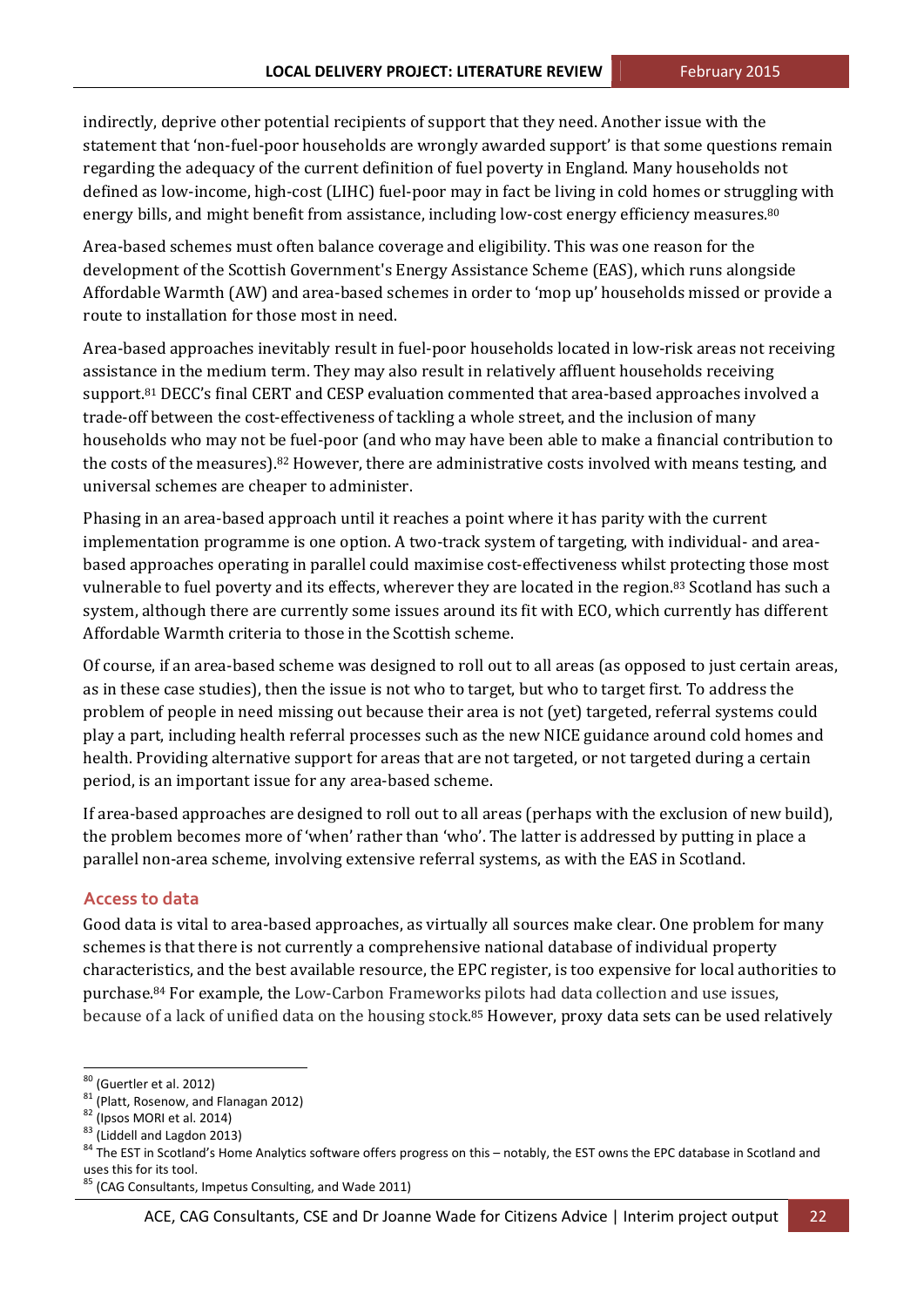indirectly, deprive other potential recipients of support that they need. Another issue with the statement that 'non-fuel-poor households are wrongly awarded support' is that some questions remain regarding the adequacy of the current definition of fuel poverty in England. Many households not defined as low-income, high-cost (LIHC) fuel-poor may in fact be living in cold homes or struggling with energy bills, and might benefit from assistance, including low-cost energy efficiency measures.<sup>80</sup>

Area-based schemes must often balance coverage and eligibility. This was one reason for the development of the Scottish Government's Energy Assistance Scheme (EAS), which runs alongside Affordable Warmth (AW) and area-based schemes in order to 'mop up' households missed or provide a route to installation for those most in need.

Area-based approaches inevitably result in fuel-poor households located in low-risk areas not receiving assistance in the medium term. They may also result in relatively affluent households receiving support.<sup>81</sup> DECC's final CERT and CESP evaluation commented that area-based approaches involved a trade-off between the cost-effectiveness of tackling a whole street, and the inclusion of many households who may not be fuel-poor (and who may have been able to make a financial contribution to the costs of the measures).<sup>82</sup> However, there are administrative costs involved with means testing, and universal schemes are cheaper to administer.

Phasing in an area-based approach until it reaches a point where it has parity with the current implementation programme is one option. A two-track system of targeting, with individual- and areabased approaches operating in parallel could maximise cost-effectiveness whilst protecting those most vulnerable to fuel poverty and its effects, wherever they are located in the region.<sup>83</sup> Scotland has such a system, although there are currently some issues around its fit with ECO, which currently has different Affordable Warmth criteria to those in the Scottish scheme.

Of course, if an area-based scheme was designed to roll out to all areas (as opposed to just certain areas, as in these case studies), then the issue is not who to target, but who to target first. To address the problem of people in need missing out because their area is not (yet) targeted, referral systems could play a part, including health referral processes such as the new NICE guidance around cold homes and health. Providing alternative support for areas that are not targeted, or not targeted during a certain period, is an important issue for any area-based scheme.

If area-based approaches are designed to roll out to all areas (perhaps with the exclusion of new build), the problem becomes more of 'when' rather than 'who'. The latter is addressed by putting in place a parallel non-area scheme, involving extensive referral systems, as with the EAS in Scotland.

#### **Access to data**

Good data is vital to area-based approaches, as virtually all sources make clear. One problem for many schemes is that there is not currently a comprehensive national database of individual property characteristics, and the best available resource, the EPC register, is too expensive for local authorities to purchase. $84$  For example, the Low-Carbon Frameworks pilots had data collection and use issues, because of a lack of unified data on the housing stock.<sup>85</sup> However, proxy data sets can be used relatively

<sup>&</sup>lt;sup>80</sup> (Guertler et al. 2012)<br><sup>81</sup> (Platt, Rosenow, and Flanagan 2012)<br><sup>82</sup> (Ipsos MORI et al. 2014)<br><sup>83</sup> (Liddell and Lagdon 2013)<br><sup>84</sup> The EST in Scotland's Home Analytics software offers progress on this – notably, the E uses this for its tool.<br><sup>85</sup> (CAG Consultants, Impetus Consulting, and Wade 2011)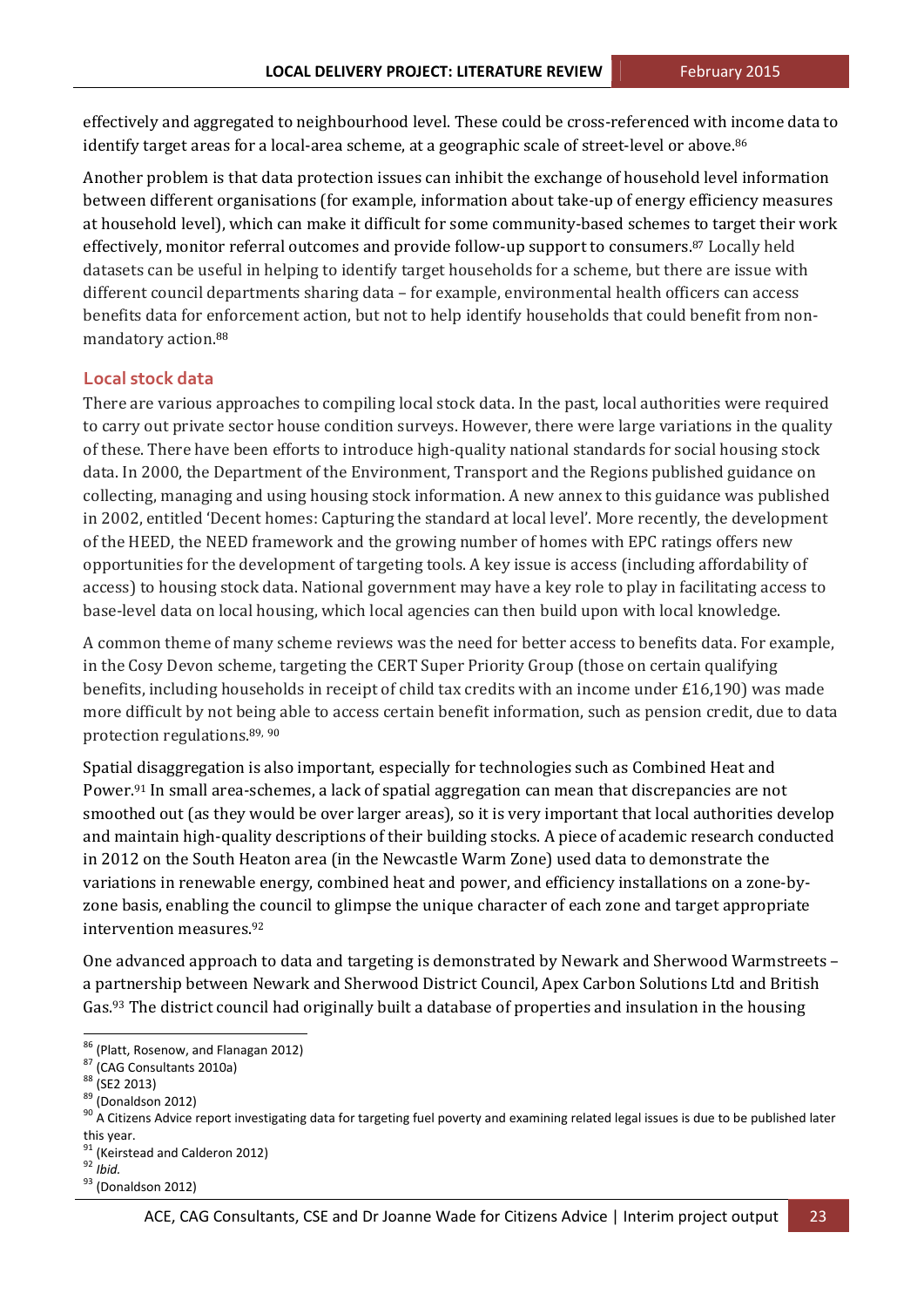effectively and aggregated to neighbourhood level. These could be cross-referenced with income data to identify target areas for a local-area scheme, at a geographic scale of street-level or above.<sup>86</sup>

Another problem is that data protection issues can inhibit the exchange of household level information between different organisations (for example, information about take-up of energy efficiency measures at household level), which can make it difficult for some community-based schemes to target their work effectively, monitor referral outcomes and provide follow-up support to consumers.<sup>87</sup> Locally held datasets can be useful in helping to identify target households for a scheme, but there are issue with different council departments sharing data – for example, environmental health officers can access benefits data for enforcement action, but not to help identify households that could benefit from nonmandatory action.<sup>88</sup>

#### **Local stock data**

There are various approaches to compiling local stock data. In the past, local authorities were required to carry out private sector house condition surveys. However, there were large variations in the quality of these. There have been efforts to introduce high-quality national standards for social housing stock data. In 2000, the Department of the Environment, Transport and the Regions published guidance on collecting, managing and using housing stock information. A new annex to this guidance was published in 2002, entitled 'Decent homes: Capturing the standard at local level'. More recently, the development of the HEED, the NEED framework and the growing number of homes with EPC ratings offers new opportunities for the development of targeting tools. A key issue is access (including affordability of access) to housing stock data. National government may have a key role to play in facilitating access to base-level data on local housing, which local agencies can then build upon with local knowledge.

A common theme of many scheme reviews was the need for better access to benefits data. For example, in the Cosy Devon scheme, targeting the CERT Super Priority Group (those on certain qualifying benefits, including households in receipt of child tax credits with an income under  $£16,190)$  was made more difficult by not being able to access certain benefit information, such as pension credit, due to data protection regulations.<sup>89, 90</sup>

Spatial disaggregation is also important, especially for technologies such as Combined Heat and Power.<sup>91</sup> In small area-schemes, a lack of spatial aggregation can mean that discrepancies are not smoothed out (as they would be over larger areas), so it is very important that local authorities develop and maintain high-quality descriptions of their building stocks. A piece of academic research conducted in 2012 on the South Heaton area (in the Newcastle Warm Zone) used data to demonstrate the variations in renewable energy, combined heat and power, and efficiency installations on a zone-byzone basis, enabling the council to glimpse the unique character of each zone and target appropriate intervention measures.<sup>92</sup>

One advanced approach to data and targeting is demonstrated by Newark and Sherwood Warmstreets – a partnership between Newark and Sherwood District Council, Apex Carbon Solutions Ltd and British Gas.<sup>93</sup> The district council had originally built a database of properties and insulation in the housing

this year.<br><sup>91</sup> (Keirstead and Calderon 2012)<br><sup>92</sup> *Ibid.* (Donaldson 2012)

<sup>&</sup>lt;sup>86</sup> (Platt, Rosenow, and Flanagan 2012)<br><sup>87</sup> (CAG Consultants 2010a)<br><sup>88</sup> (SE2 2013)<br><sup>90</sup> A Citizens Advice report investigating data for targeting fuel poverty and examining related legal issues is due to be published la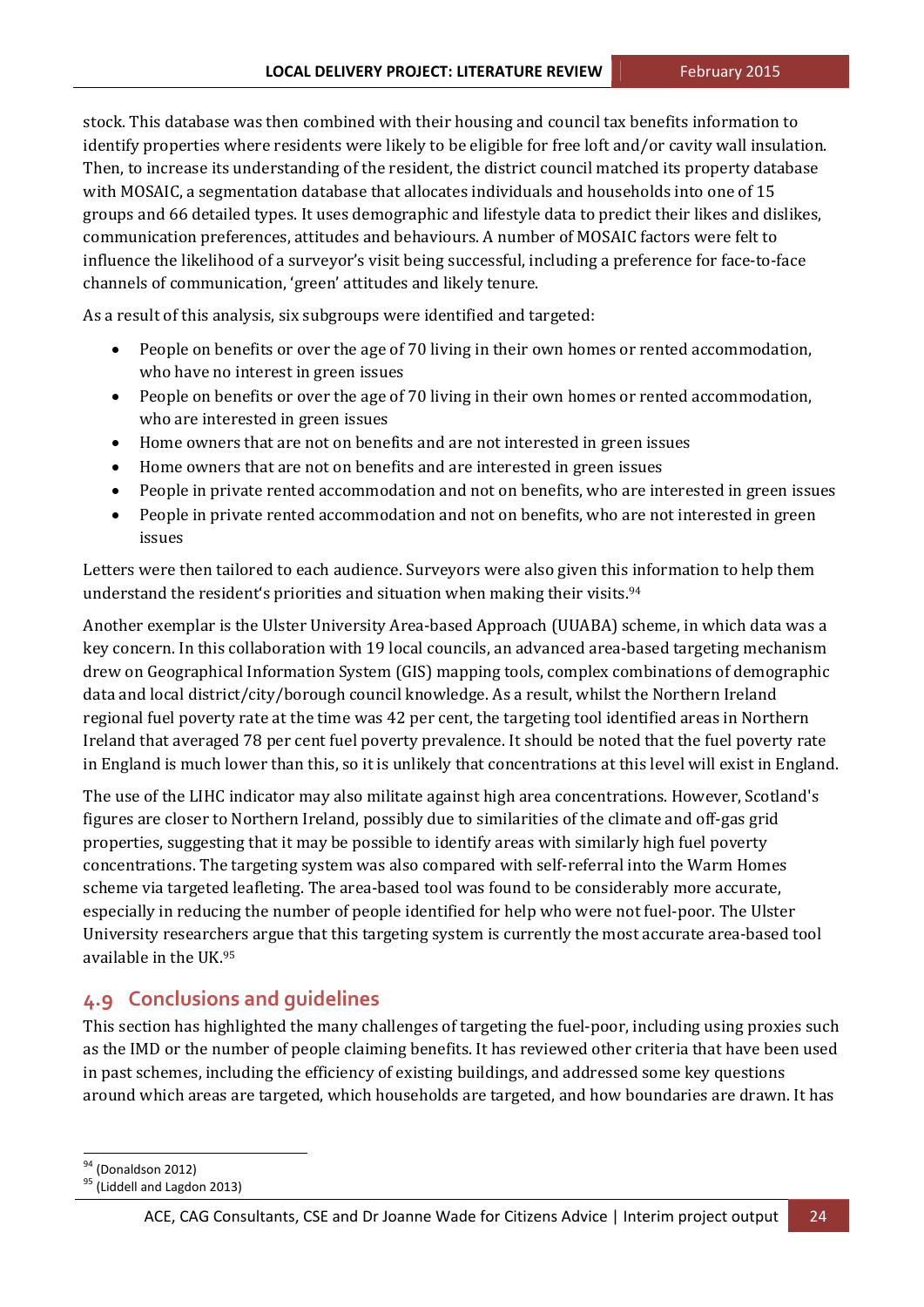stock. This database was then combined with their housing and council tax benefits information to identify properties where residents were likely to be eligible for free loft and/or cavity wall insulation. Then, to increase its understanding of the resident, the district council matched its property database with MOSAIC, a segmentation database that allocates individuals and households into one of 15 groups and 66 detailed types. It uses demographic and lifestyle data to predict their likes and dislikes, communication preferences, attitudes and behaviours. A number of MOSAIC factors were felt to influence the likelihood of a surveyor's visit being successful, including a preference for face-to-face channels of communication, 'green' attitudes and likely tenure.

As a result of this analysis, six subgroups were identified and targeted:

- People on benefits or over the age of 70 living in their own homes or rented accommodation, who have no interest in green issues
- People on benefits or over the age of 70 living in their own homes or rented accommodation, who are interested in green issues
- Home owners that are not on benefits and are not interested in green issues
- Home owners that are not on benefits and are interested in green issues
- People in private rented accommodation and not on benefits, who are interested in green issues
- People in private rented accommodation and not on benefits, who are not interested in green issues

Letters were then tailored to each audience. Surveyors were also given this information to help them understand the resident's priorities and situation when making their visits.<sup>94</sup>

Another exemplar is the Ulster University Area-based Approach (UUABA) scheme, in which data was a key concern. In this collaboration with 19 local councils, an advanced area-based targeting mechanism drew on Geographical Information System (GIS) mapping tools, complex combinations of demographic data and local district/city/borough council knowledge. As a result, whilst the Northern Ireland regional fuel poverty rate at the time was 42 per cent, the targeting tool identified areas in Northern Ireland that averaged 78 per cent fuel poverty prevalence. It should be noted that the fuel poverty rate in England is much lower than this, so it is unlikely that concentrations at this level will exist in England.

The use of the LIHC indicator may also militate against high area concentrations. However, Scotland's figures are closer to Northern Ireland, possibly due to similarities of the climate and off-gas grid properties, suggesting that it may be possible to identify areas with similarly high fuel poverty concentrations. The targeting system was also compared with self-referral into the Warm Homes scheme via targeted leafleting. The area-based tool was found to be considerably more accurate, especially in reducing the number of people identified for help who were not fuel-poor. The Ulster University researchers argue that this targeting system is currently the most accurate area-based tool available in the UK. $95$ 

## **4.9 Conclusions and guidelines**

This section has highlighted the many challenges of targeting the fuel-poor, including using proxies such as the IMD or the number of people claiming benefits. It has reviewed other criteria that have been used in past schemes, including the efficiency of existing buildings, and addressed some key questions around which areas are targeted, which households are targeted, and how boundaries are drawn. It has

 $\frac{94}{95}$  (Donaldson 2012)<br> $\frac{95}{1}$  (Liddell and Lagdon 2013)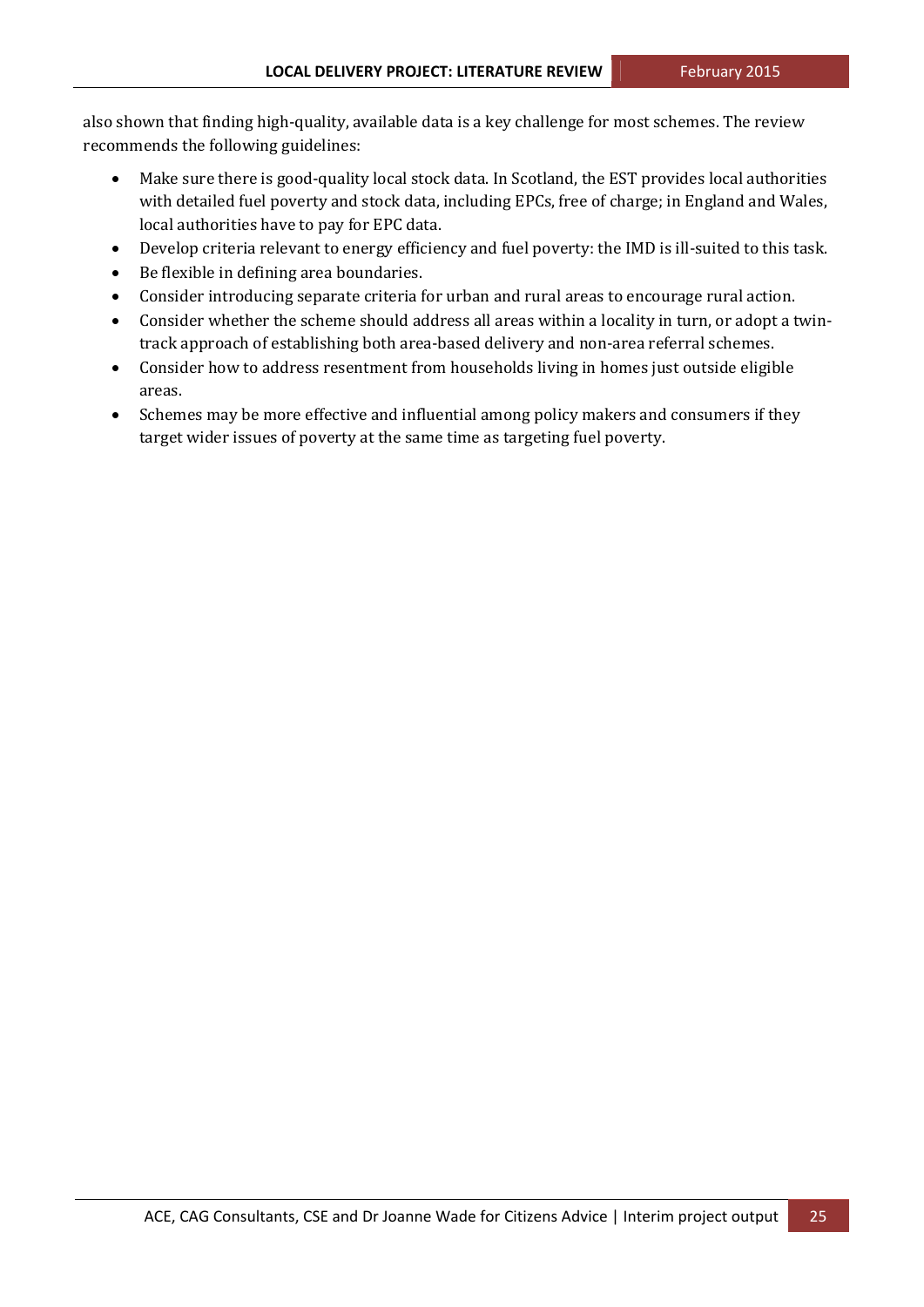also shown that finding high-quality, available data is a key challenge for most schemes. The review recommends the following guidelines:

- Make sure there is good-quality local stock data. In Scotland, the EST provides local authorities with detailed fuel poverty and stock data, including EPCs, free of charge; in England and Wales, local authorities have to pay for EPC data.
- Develop criteria relevant to energy efficiency and fuel poverty: the IMD is ill-suited to this task.
- Be flexible in defining area boundaries.
- Consider introducing separate criteria for urban and rural areas to encourage rural action.
- Consider whether the scheme should address all areas within a locality in turn, or adopt a twintrack approach of establishing both area-based delivery and non-area referral schemes.
- Consider how to address resentment from households living in homes just outside eligible areas.
- Schemes may be more effective and influential among policy makers and consumers if they target wider issues of poverty at the same time as targeting fuel poverty.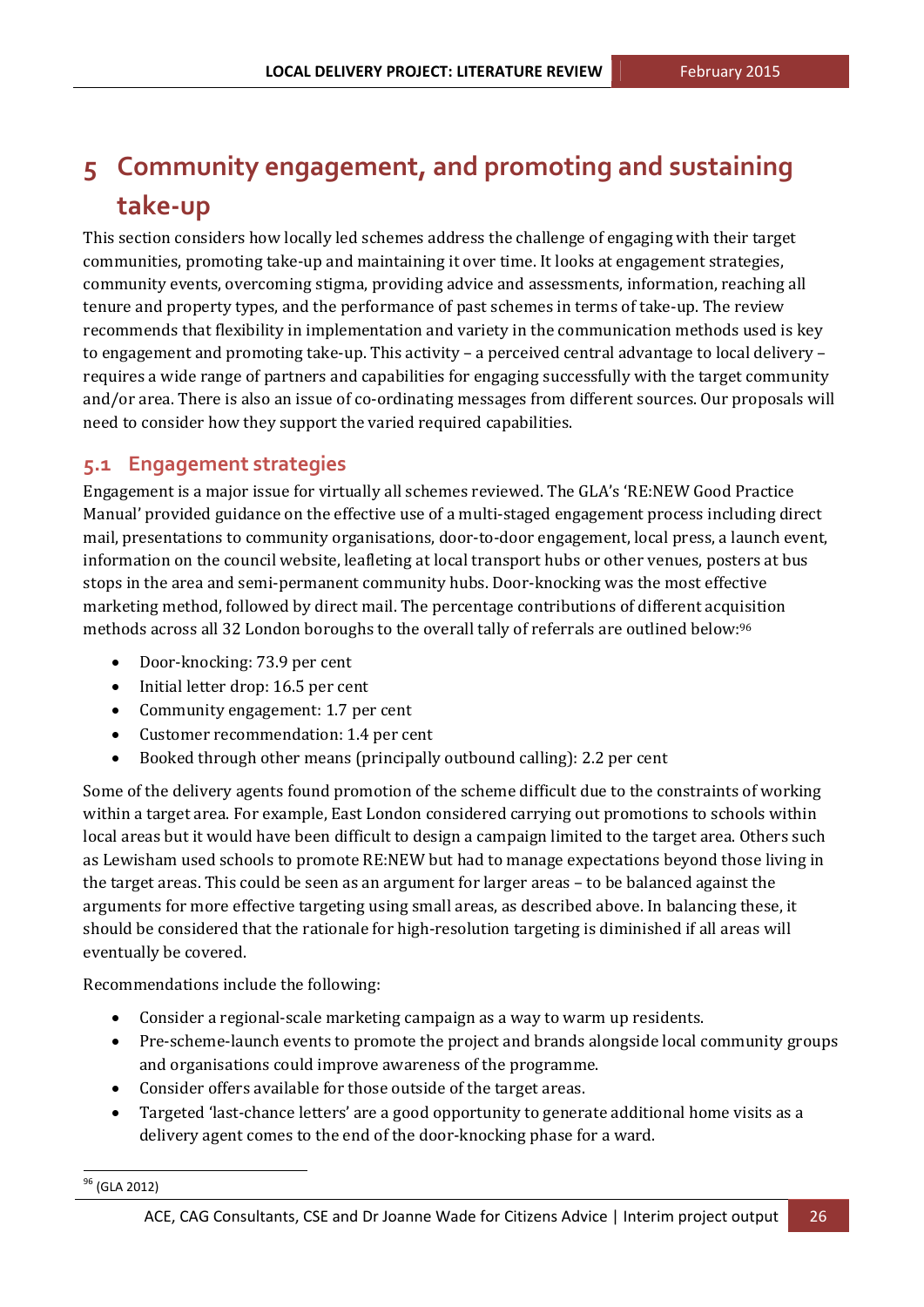## **5 Community engagement, and promoting and sustaining take‐up**

This section considers how locally led schemes address the challenge of engaging with their target communities, promoting take-up and maintaining it over time. It looks at engagement strategies, community events, overcoming stigma, providing advice and assessments, information, reaching all tenure and property types, and the performance of past schemes in terms of take-up. The review recommends that flexibility in implementation and variety in the communication methods used is key to engagement and promoting take-up. This activity - a perceived central advantage to local delivery requires a wide range of partners and capabilities for engaging successfully with the target community and/or area. There is also an issue of co-ordinating messages from different sources. Our proposals will need to consider how they support the varied required capabilities.

### **5.1 Engagement strategies**

Engagement is a major issue for virtually all schemes reviewed. The GLA's 'RE:NEW Good Practice Manual' provided guidance on the effective use of a multi-staged engagement process including direct mail, presentations to community organisations, door-to-door engagement, local press, a launch event, information on the council website, leafleting at local transport hubs or other venues, posters at bus stops in the area and semi-permanent community hubs. Door-knocking was the most effective marketing method, followed by direct mail. The percentage contributions of different acquisition methods across all 32 London boroughs to the overall tally of referrals are outlined below:<sup>96</sup>

- Door-knocking: 73.9 per cent
- Initial letter drop: 16.5 per cent
- Community engagement: 1.7 per cent
- Customer recommendation: 1.4 per cent
- Booked through other means (principally outbound calling): 2.2 per cent

Some of the delivery agents found promotion of the scheme difficult due to the constraints of working within a target area. For example, East London considered carrying out promotions to schools within local areas but it would have been difficult to design a campaign limited to the target area. Others such as Lewisham used schools to promote RE:NEW but had to manage expectations beyond those living in the target areas. This could be seen as an argument for larger areas – to be balanced against the arguments for more effective targeting using small areas, as described above. In balancing these, it should be considered that the rationale for high-resolution targeting is diminished if all areas will eventually be covered.

Recommendations include the following:

 

- Consider a regional-scale marketing campaign as a way to warm up residents.
- Pre-scheme-launch events to promote the project and brands alongside local community groups and organisations could improve awareness of the programme.
- Consider offers available for those outside of the target areas.
- Targeted 'last-chance letters' are a good opportunity to generate additional home visits as a delivery agent comes to the end of the door-knocking phase for a ward.

<sup>96</sup> (GLA 2012)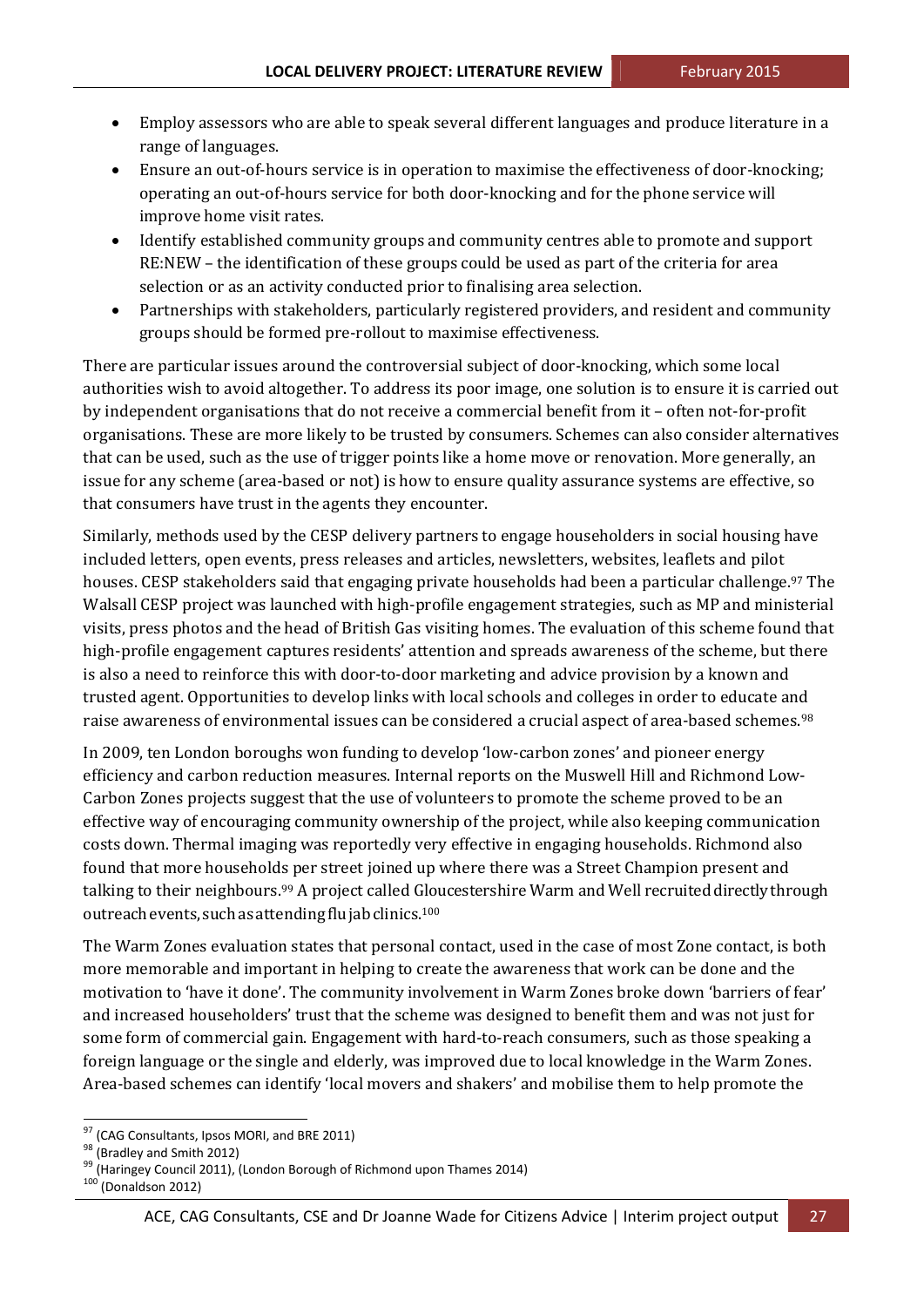- Employ assessors who are able to speak several different languages and produce literature in a range of languages.
- Ensure an out-of-hours service is in operation to maximise the effectiveness of door-knocking; operating an out-of-hours service for both door-knocking and for the phone service will improve home visit rates.
- Identify established community groups and community centres able to promote and support RE:NEW - the identification of these groups could be used as part of the criteria for area selection or as an activity conducted prior to finalising area selection.
- Partnerships with stakeholders, particularly registered providers, and resident and community groups should be formed pre-rollout to maximise effectiveness.

There are particular issues around the controversial subject of door-knocking, which some local authorities wish to avoid altogether. To address its poor image, one solution is to ensure it is carried out by independent organisations that do not receive a commercial benefit from it - often not-for-profit organisations. These are more likely to be trusted by consumers. Schemes can also consider alternatives that can be used, such as the use of trigger points like a home move or renovation. More generally, an issue for any scheme (area-based or not) is how to ensure quality assurance systems are effective, so that consumers have trust in the agents they encounter.

Similarly, methods used by the CESP delivery partners to engage householders in social housing have included letters, open events, press releases and articles, newsletters, websites, leaflets and pilot houses. CESP stakeholders said that engaging private households had been a particular challenge.<sup>97</sup> The Walsall CESP project was launched with high-profile engagement strategies, such as MP and ministerial visits, press photos and the head of British Gas visiting homes. The evaluation of this scheme found that high-profile engagement captures residents' attention and spreads awareness of the scheme, but there is also a need to reinforce this with door-to-door marketing and advice provision by a known and trusted agent. Opportunities to develop links with local schools and colleges in order to educate and raise awareness of environmental issues can be considered a crucial aspect of area-based schemes.<sup>98</sup>

In 2009, ten London boroughs won funding to develop 'low-carbon zones' and pioneer energy efficiency and carbon reduction measures. Internal reports on the Muswell Hill and Richmond Low-Carbon Zones projects suggest that the use of volunteers to promote the scheme proved to be an effective way of encouraging community ownership of the project, while also keeping communication costs down. Thermal imaging was reportedly very effective in engaging households. Richmond also found that more households per street joined up where there was a Street Champion present and talking to their neighbours.<sup>99</sup> A project called Gloucestershire Warm and Well recruited directly through outreach events, such as attending flu jab clinics.<sup>100</sup>

The Warm Zones evaluation states that personal contact, used in the case of most Zone contact, is both more memorable and important in helping to create the awareness that work can be done and the motivation to 'have it done'. The community involvement in Warm Zones broke down 'barriers of fear' and increased householders' trust that the scheme was designed to benefit them and was not just for some form of commercial gain. Engagement with hard-to-reach consumers, such as those speaking a foreign language or the single and elderly, was improved due to local knowledge in the Warm Zones. Area-based schemes can identify 'local movers and shakers' and mobilise them to help promote the

<sup>&</sup>lt;sup>97</sup> (CAG Consultants, Ipsos MORI, and BRE 2011)<br><sup>98</sup> (Bradley and Smith 2012)<br><sup>99</sup> (Haringey Council 2011), (London Borough of Richmond upon Thames 2014)<br><sup>100</sup> (Donaldson 2012)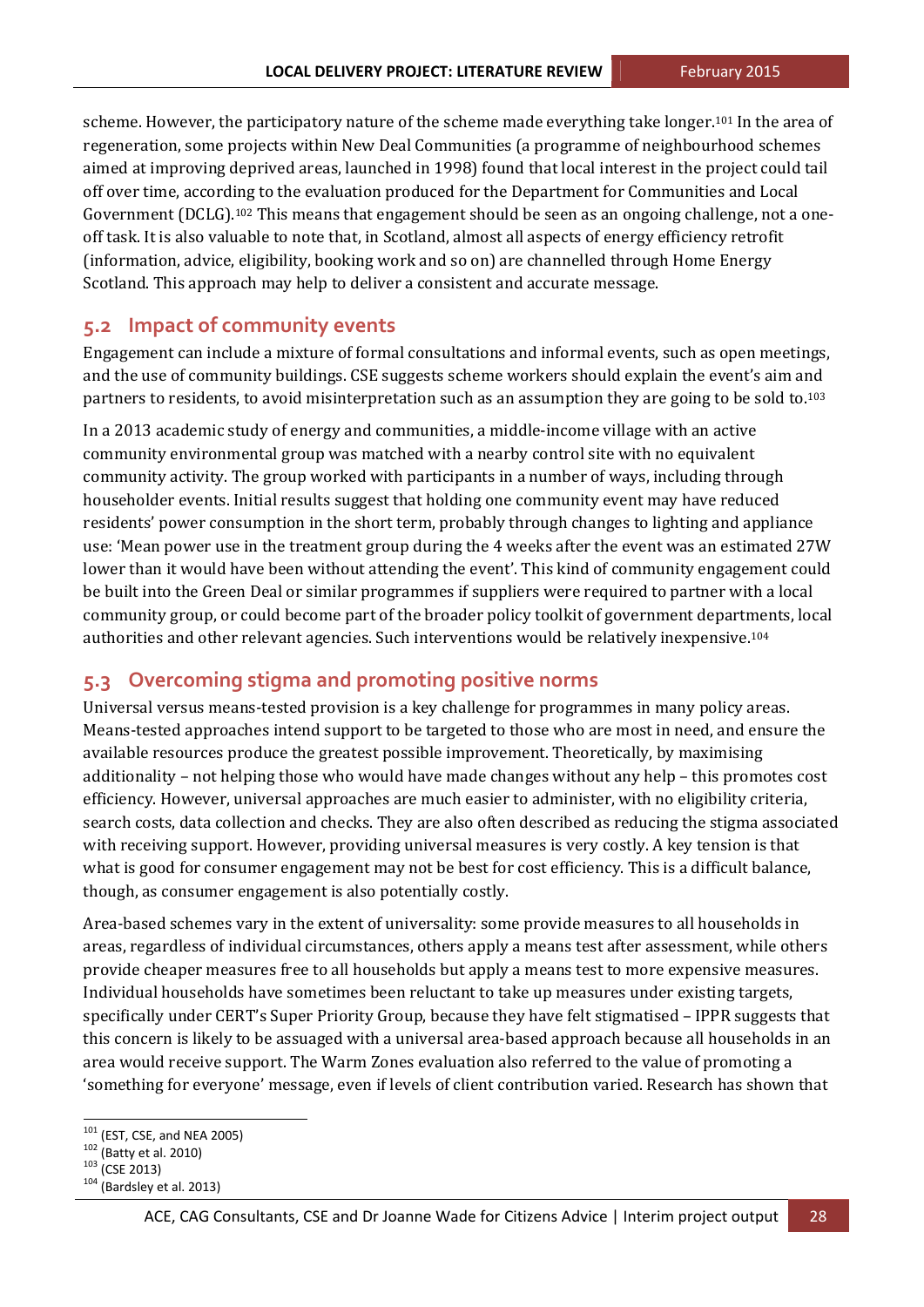scheme. However, the participatory nature of the scheme made everything take longer.<sup>101</sup> In the area of regeneration, some projects within New Deal Communities (a programme of neighbourhood schemes aimed at improving deprived areas, launched in 1998) found that local interest in the project could tail off over time, according to the evaluation produced for the Department for Communities and Local Government (DCLG).<sup>102</sup> This means that engagement should be seen as an ongoing challenge, not a oneoff task. It is also valuable to note that, in Scotland, almost all aspects of energy efficiency retrofit (information, advice, eligibility, booking work and so on) are channelled through Home Energy Scotland. This approach may help to deliver a consistent and accurate message.

## **5.2 Impact of community events**

Engagement can include a mixture of formal consultations and informal events, such as open meetings, and the use of community buildings. CSE suggests scheme workers should explain the event's aim and partners to residents, to avoid misinterpretation such as an assumption they are going to be sold to.<sup>103</sup>

In a 2013 academic study of energy and communities, a middle-income village with an active community environmental group was matched with a nearby control site with no equivalent community activity. The group worked with participants in a number of ways, including through householder events. Initial results suggest that holding one community event may have reduced residents' power consumption in the short term, probably through changes to lighting and appliance use: 'Mean power use in the treatment group during the 4 weeks after the event was an estimated 27W lower than it would have been without attending the event'. This kind of community engagement could be built into the Green Deal or similar programmes if suppliers were required to partner with a local community group, or could become part of the broader policy toolkit of government departments, local authorities and other relevant agencies. Such interventions would be relatively inexpensive.<sup>104</sup>

### **5.3 Overcoming stigma and promoting positive norms**

Universal versus means-tested provision is a key challenge for programmes in many policy areas. Means-tested approaches intend support to be targeted to those who are most in need, and ensure the available resources produce the greatest possible improvement. Theoretically, by maximising additionality – not helping those who would have made changes without any help – this promotes cost efficiency. However, universal approaches are much easier to administer, with no eligibility criteria, search costs, data collection and checks. They are also often described as reducing the stigma associated with receiving support. However, providing universal measures is very costly. A key tension is that what is good for consumer engagement may not be best for cost efficiency. This is a difficult balance, though, as consumer engagement is also potentially costly.

Area-based schemes vary in the extent of universality: some provide measures to all households in areas, regardless of individual circumstances, others apply a means test after assessment, while others provide cheaper measures free to all households but apply a means test to more expensive measures. Individual households have sometimes been reluctant to take up measures under existing targets, specifically under CERT's Super Priority Group, because they have felt stigmatised – IPPR suggests that this concern is likely to be assuaged with a universal area-based approach because all households in an area would receive support. The Warm Zones evaluation also referred to the value of promoting a 'something for everyone' message, even if levels of client contribution varied. Research has shown that

<sup>&</sup>lt;sup>101</sup> (EST, CSE, and NEA 2005)<br><sup>102</sup> (Batty et al. 2010)<br><sup>103</sup> (CSE 2013)<br><sup>104</sup> (Bardsley et al. 2013)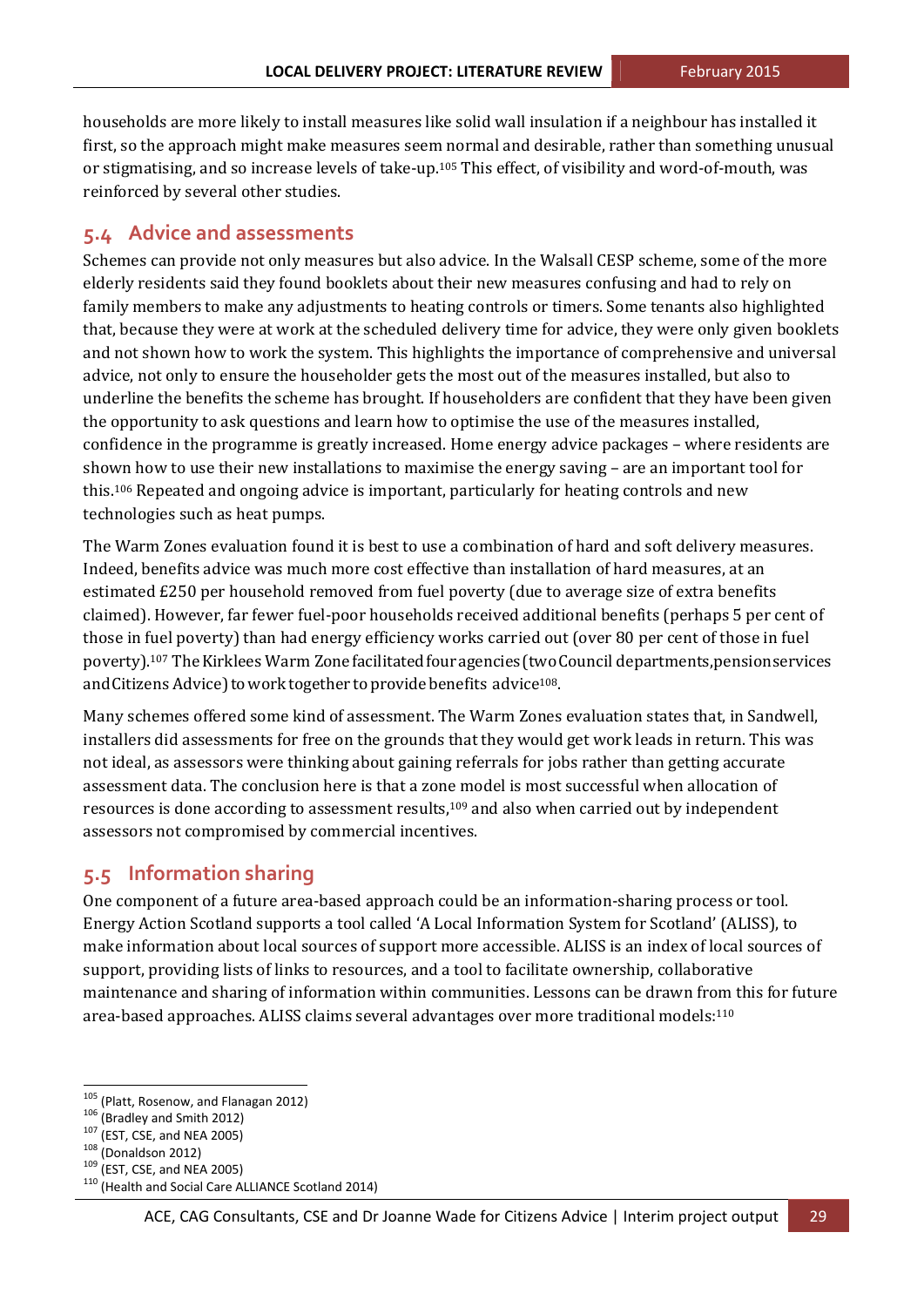households are more likely to install measures like solid wall insulation if a neighbour has installed it first, so the approach might make measures seem normal and desirable, rather than something unusual or stigmatising, and so increase levels of take-up.<sup>105</sup> This effect, of visibility and word-of-mouth, was reinforced by several other studies.

## **5.4 Advice and assessments**

Schemes can provide not only measures but also advice. In the Walsall CESP scheme, some of the more elderly residents said they found booklets about their new measures confusing and had to rely on family members to make any adjustments to heating controls or timers. Some tenants also highlighted that, because they were at work at the scheduled delivery time for advice, they were only given booklets and not shown how to work the system. This highlights the importance of comprehensive and universal advice, not only to ensure the householder gets the most out of the measures installed, but also to underline the benefits the scheme has brought. If householders are confident that they have been given the opportunity to ask questions and learn how to optimise the use of the measures installed, confidence in the programme is greatly increased. Home energy advice packages – where residents are shown how to use their new installations to maximise the energy saving  $-$  are an important tool for this.<sup>106</sup> Repeated and ongoing advice is important, particularly for heating controls and new technologies such as heat pumps.

The Warm Zones evaluation found it is best to use a combination of hard and soft delivery measures. Indeed, benefits advice was much more cost effective than installation of hard measures, at an estimated £250 per household removed from fuel poverty (due to average size of extra benefits claimed). However, far fewer fuel-poor households received additional benefits (perhaps 5 per cent of those in fuel poverty) than had energy efficiency works carried out (over 80 per cent of those in fuel poverty).<sup>107</sup> The Kirklees Warm Zone facilitated four agencies (two Council departments, pensionservices and Citizens Advice) to work together to provide benefits advice<sup>108</sup>.

Many schemes offered some kind of assessment. The Warm Zones evaluation states that, in Sandwell, installers did assessments for free on the grounds that they would get work leads in return. This was not ideal, as assessors were thinking about gaining referrals for jobs rather than getting accurate assessment data. The conclusion here is that a zone model is most successful when allocation of resources is done according to assessment results, $109$  and also when carried out by independent assessors not compromised by commercial incentives.

### **5.5 Information sharing**

One component of a future area-based approach could be an information-sharing process or tool. Energy Action Scotland supports a tool called 'A Local Information System for Scotland' (ALISS), to make information about local sources of support more accessible. ALISS is an index of local sources of support, providing lists of links to resources, and a tool to facilitate ownership, collaborative maintenance and sharing of information within communities. Lessons can be drawn from this for future area-based approaches. ALISS claims several advantages over more traditional models:<sup>110</sup>

<sup>&</sup>lt;u> 1989 - Jan Samuel Barbara, político establecido de la propia de la propia de la propia de la propia de la pro</u>

<sup>&</sup>lt;sup>105</sup> (Platt, Rosenow, and Flanagan 2012)<br><sup>106</sup> (Bradley and Smith 2012)<br><sup>107</sup> (EST, CSE, and NEA 2005)<br><sup>109</sup> (EST, CSE, and NEA 2005)<br><sup>110</sup> (Health and Social Care ALLIANCE Scotland 2014)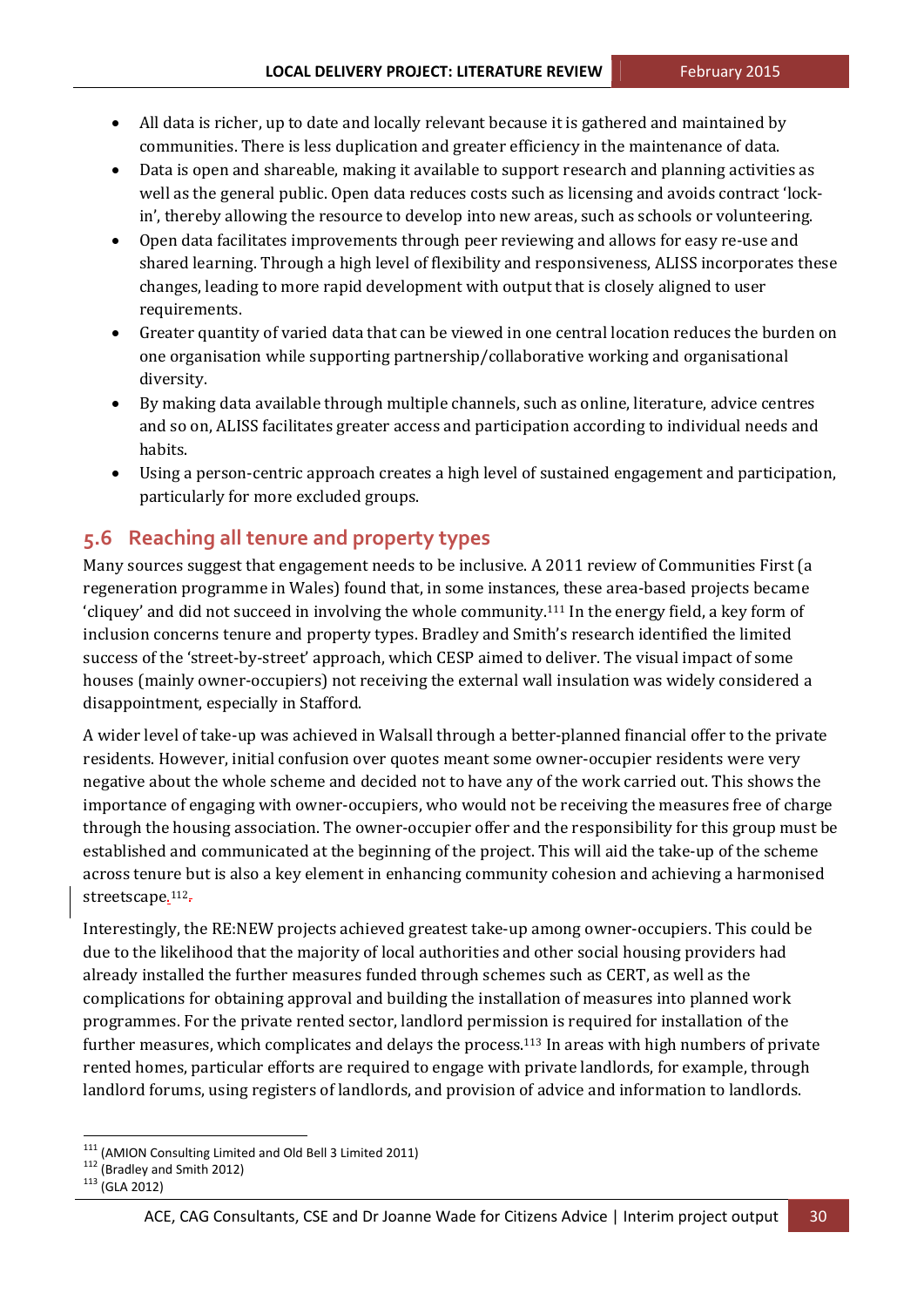- All data is richer, up to date and locally relevant because it is gathered and maintained by communities. There is less duplication and greater efficiency in the maintenance of data.
- Data is open and shareable, making it available to support research and planning activities as well as the general public. Open data reduces costs such as licensing and avoids contract 'lockin', thereby allowing the resource to develop into new areas, such as schools or volunteering.
- Open data facilitates improvements through peer reviewing and allows for easy re-use and shared learning. Through a high level of flexibility and responsiveness, ALISS incorporates these changes, leading to more rapid development with output that is closely aligned to user requirements.
- Greater quantity of varied data that can be viewed in one central location reduces the burden on one organisation while supporting partnership/collaborative working and organisational diversity.
- By making data available through multiple channels, such as online, literature, advice centres and so on, ALISS facilitates greater access and participation according to individual needs and habits.
- Using a person-centric approach creates a high level of sustained engagement and participation, particularly for more excluded groups.

## **5.6 Reaching all tenure and property types**

Many sources suggest that engagement needs to be inclusive. A 2011 review of Communities First (a regeneration programme in Wales) found that, in some instances, these area-based projects became 'cliquey' and did not succeed in involving the whole community.<sup>111</sup> In the energy field, a key form of inclusion concerns tenure and property types. Bradley and Smith's research identified the limited success of the 'street-by-street' approach, which CESP aimed to deliver. The visual impact of some houses (mainly owner-occupiers) not receiving the external wall insulation was widely considered a disappointment, especially in Stafford.

A wider level of take-up was achieved in Walsall through a better-planned financial offer to the private residents. However, initial confusion over quotes meant some owner-occupier residents were very negative about the whole scheme and decided not to have any of the work carried out. This shows the importance of engaging with owner-occupiers, who would not be receiving the measures free of charge through the housing association. The owner-occupier offer and the responsibility for this group must be established and communicated at the beginning of the project. This will aid the take-up of the scheme across tenure but is also a key element in enhancing community cohesion and achieving a harmonised streetscape.<sup>112</sup>.

Interestingly, the RE:NEW projects achieved greatest take-up among owner-occupiers. This could be due to the likelihood that the majority of local authorities and other social housing providers had already installed the further measures funded through schemes such as CERT, as well as the complications for obtaining approval and building the installation of measures into planned work programmes. For the private rented sector, landlord permission is required for installation of the further measures, which complicates and delays the process.<sup>113</sup> In areas with high numbers of private rented homes, particular efforts are required to engage with private landlords, for example, through landlord forums, using registers of landlords, and provision of advice and information to landlords.

<sup>&</sup>lt;sup>111</sup> (AMION Consulting Limited and Old Bell 3 Limited 2011)<br><sup>112</sup> (Bradley and Smith 2012)<br><sup>113</sup> (GLA 2012)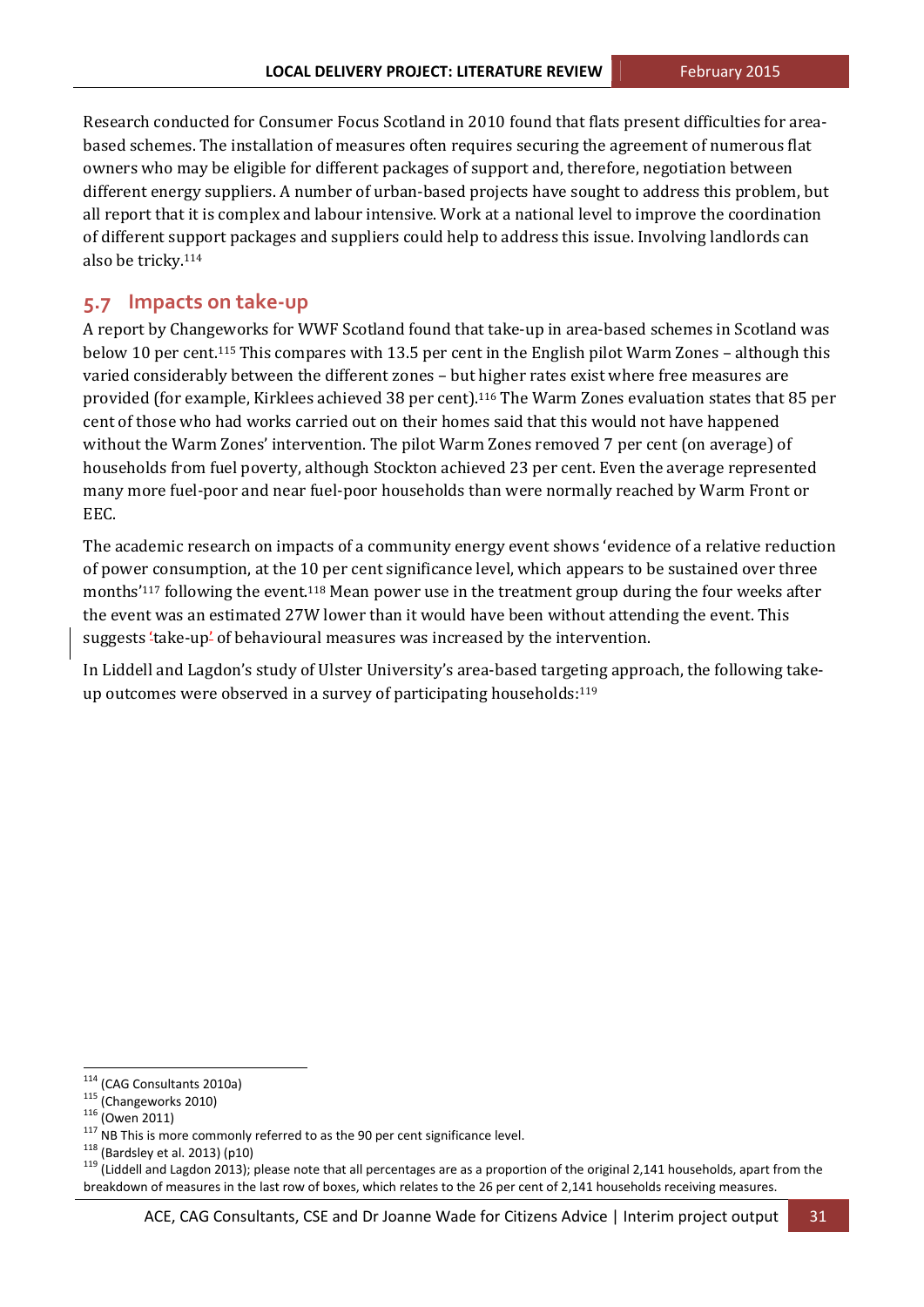Research conducted for Consumer Focus Scotland in 2010 found that flats present difficulties for areabased schemes. The installation of measures often requires securing the agreement of numerous flat owners who may be eligible for different packages of support and, therefore, negotiation between different energy suppliers. A number of urban-based projects have sought to address this problem, but all report that it is complex and labour intensive. Work at a national level to improve the coordination of different support packages and suppliers could help to address this issue. Involving landlords can also be tricky.<sup>114</sup>

#### **5.7 Impacts on take‐up**

A report by Changeworks for WWF Scotland found that take-up in area-based schemes in Scotland was below 10 per cent.<sup>115</sup> This compares with 13.5 per cent in the English pilot Warm Zones – although this varied considerably between the different zones - but higher rates exist where free measures are provided (for example, Kirklees achieved 38 per cent).<sup>116</sup> The Warm Zones evaluation states that 85 per cent of those who had works carried out on their homes said that this would not have happened without the Warm Zones' intervention. The pilot Warm Zones removed 7 per cent (on average) of households from fuel poverty, although Stockton achieved 23 per cent. Even the average represented many more fuel-poor and near fuel-poor households than were normally reached by Warm Front or EEC. 

The academic research on impacts of a community energy event shows 'evidence of a relative reduction of power consumption, at the 10 per cent significance level, which appears to be sustained over three months'<sup>117</sup> following the event.<sup>118</sup> Mean power use in the treatment group during the four weeks after the event was an estimated 27W lower than it would have been without attending the event. This suggests 'take-up' of behavioural measures was increased by the intervention.

In Liddell and Lagdon's study of Ulster University's area-based targeting approach, the following takeup outcomes were observed in a survey of participating households:<sup>119</sup>

<sup>&</sup>lt;sup>114</sup> (CAG Consultants 2010a)<br><sup>115</sup> (Changeworks 2010)<br><sup>115</sup> (Owen 2011)<br><sup>116</sup> (Owen 2011)<br><sup>118</sup> (Bardsley et al. 2013) (p10)<br><sup>118</sup> (Eddell and Lagdon 2013); please note that all percentages are as a proportion of the ori breakdown of measures in the last row of boxes, which relates to the 26 per cent of 2,141 households receiving measures.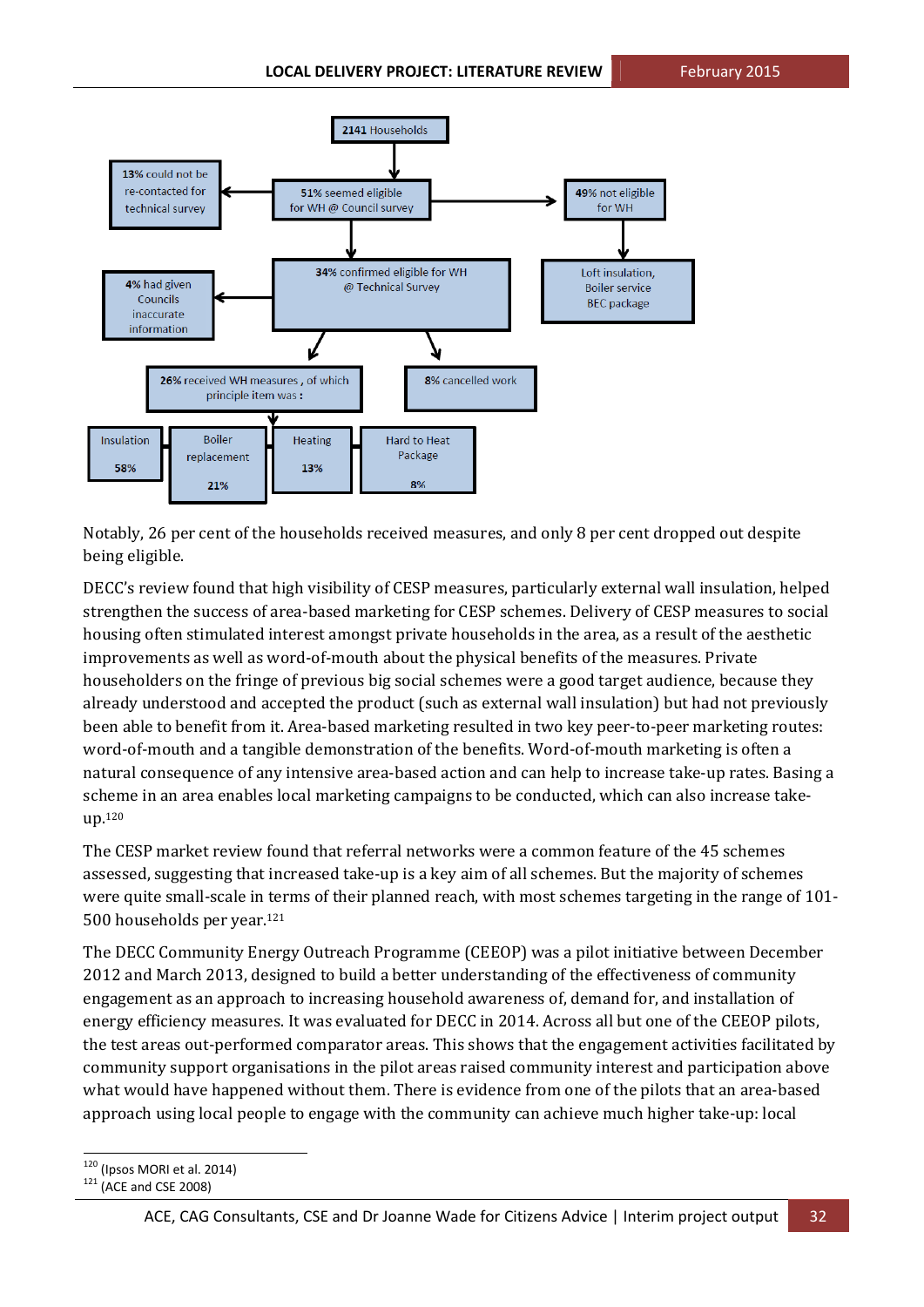

Notably, 26 per cent of the households received measures, and only 8 per cent dropped out despite being eligible.

DECC's review found that high visibility of CESP measures, particularly external wall insulation, helped strengthen the success of area-based marketing for CESP schemes. Delivery of CESP measures to social housing often stimulated interest amongst private households in the area, as a result of the aesthetic improvements as well as word-of-mouth about the physical benefits of the measures. Private householders on the fringe of previous big social schemes were a good target audience, because they already understood and accepted the product (such as external wall insulation) but had not previously been able to benefit from it. Area-based marketing resulted in two key peer-to-peer marketing routes: word-of-mouth and a tangible demonstration of the benefits. Word-of-mouth marketing is often a natural consequence of any intensive area-based action and can help to increase take-up rates. Basing a scheme in an area enables local marketing campaigns to be conducted, which can also increase takeup.120

The CESP market review found that referral networks were a common feature of the 45 schemes assessed, suggesting that increased take-up is a key aim of all schemes. But the majority of schemes were quite small-scale in terms of their planned reach, with most schemes targeting in the range of 101-500 households per year.<sup>121</sup>

The DECC Community Energy Outreach Programme (CEEOP) was a pilot initiative between December 2012 and March 2013, designed to build a better understanding of the effectiveness of community engagement as an approach to increasing household awareness of, demand for, and installation of energy efficiency measures. It was evaluated for DECC in 2014. Across all but one of the CEEOP pilots, the test areas out-performed comparator areas. This shows that the engagement activities facilitated by community support organisations in the pilot areas raised community interest and participation above what would have happened without them. There is evidence from one of the pilots that an area-based approach using local people to engage with the community can achieve much higher take-up: local

  $120$  (Ipsos MORI et al. 2014)<br> $121$  (ACE and CSE 2008)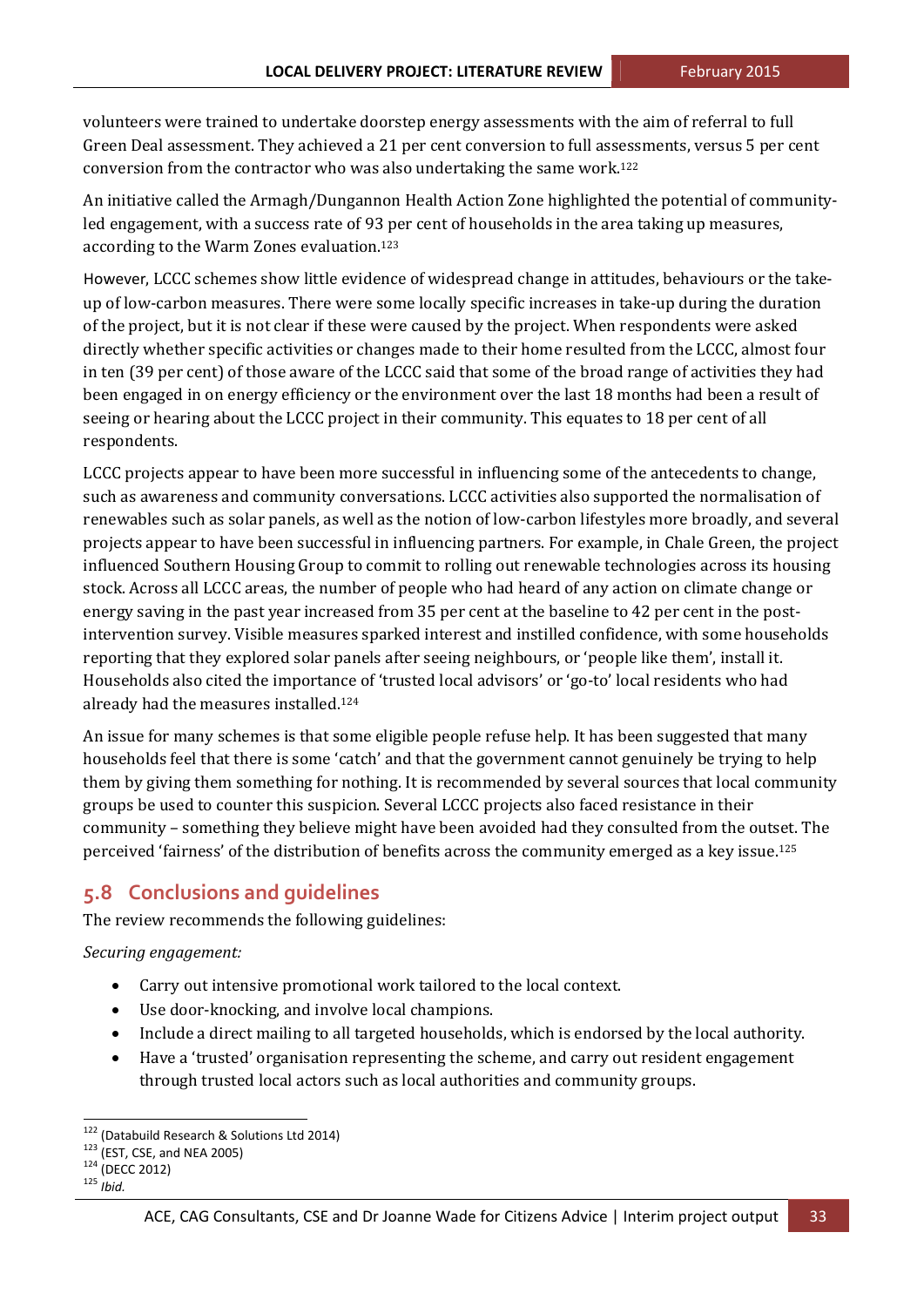volunteers were trained to undertake doorstep energy assessments with the aim of referral to full Green Deal assessment. They achieved a 21 per cent conversion to full assessments, versus 5 per cent conversion from the contractor who was also undertaking the same work.<sup>122</sup>

An initiative called the Armagh/Dungannon Health Action Zone highlighted the potential of communityled engagement, with a success rate of 93 per cent of households in the area taking up measures, according to the Warm Zones evaluation.<sup>123</sup>

However, LCCC schemes show little evidence of widespread change in attitudes, behaviours or the takeup of low-carbon measures. There were some locally specific increases in take-up during the duration of the project, but it is not clear if these were caused by the project. When respondents were asked directly whether specific activities or changes made to their home resulted from the LCCC, almost four in ten (39 per cent) of those aware of the LCCC said that some of the broad range of activities they had been engaged in on energy efficiency or the environment over the last 18 months had been a result of seeing or hearing about the LCCC project in their community. This equates to 18 per cent of all respondents. 

LCCC projects appear to have been more successful in influencing some of the antecedents to change, such as awareness and community conversations. LCCC activities also supported the normalisation of renewables such as solar panels, as well as the notion of low-carbon lifestyles more broadly, and several projects appear to have been successful in influencing partners. For example, in Chale Green, the project influenced Southern Housing Group to commit to rolling out renewable technologies across its housing stock. Across all LCCC areas, the number of people who had heard of any action on climate change or energy saving in the past year increased from 35 per cent at the baseline to 42 per cent in the postintervention survey. Visible measures sparked interest and instilled confidence, with some households reporting that they explored solar panels after seeing neighbours, or 'people like them', install it. Households also cited the importance of 'trusted local advisors' or 'go-to' local residents who had already had the measures installed.<sup>124</sup>

An issue for many schemes is that some eligible people refuse help. It has been suggested that many households feel that there is some 'catch' and that the government cannot genuinely be trying to help them by giving them something for nothing. It is recommended by several sources that local community groups be used to counter this suspicion. Several LCCC projects also faced resistance in their community – something they believe might have been avoided had they consulted from the outset. The perceived 'fairness' of the distribution of benefits across the community emerged as a key issue.<sup>125</sup>

## **5.8 Conclusions and guidelines**

The review recommends the following guidelines:

*Securing engagement:*

- Carry out intensive promotional work tailored to the local context.
- Use door-knocking, and involve local champions.
- Include a direct mailing to all targeted households, which is endorsed by the local authority.
- Have a 'trusted' organisation representing the scheme, and carry out resident engagement through trusted local actors such as local authorities and community groups.

<sup>&</sup>lt;sup>122</sup> (Databuild Research & Solutions Ltd 2014)<br><sup>123</sup> (EST, CSE, and NEA 2005)<br><sup>124</sup> (DECC 2012)<br><sup>125</sup> *Ibid.*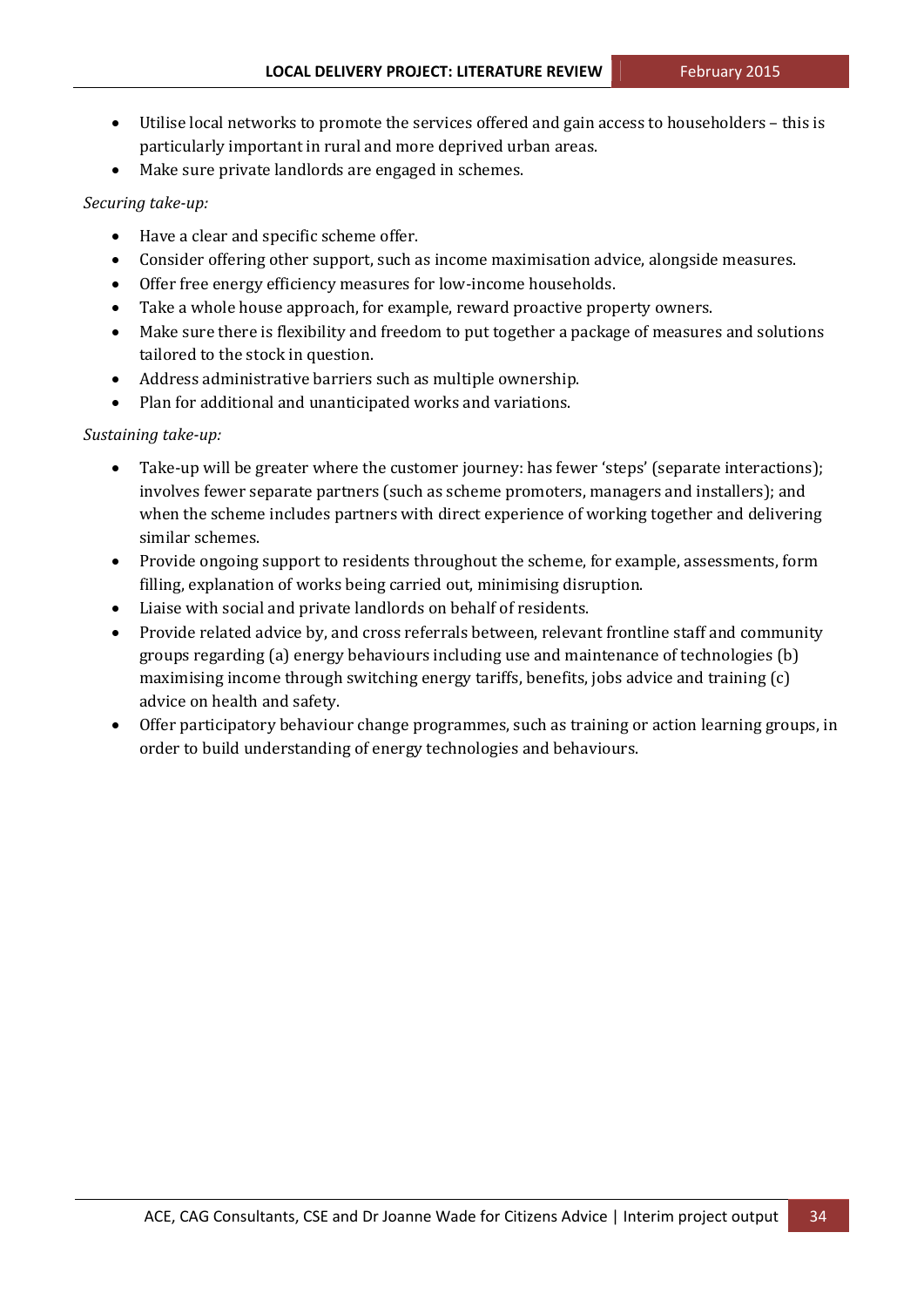- Utilise local networks to promote the services offered and gain access to householders this is particularly important in rural and more deprived urban areas.
- Make sure private landlords are engaged in schemes.

#### *Securing take‐up:*

- Have a clear and specific scheme offer.
- Consider offering other support, such as income maximisation advice, alongside measures.
- Offer free energy efficiency measures for low-income households.
- Take a whole house approach, for example, reward proactive property owners.
- Make sure there is flexibility and freedom to put together a package of measures and solutions tailored to the stock in question.
- Address administrative barriers such as multiple ownership.
- Plan for additional and unanticipated works and variations.

#### *Sustaining take‐up:*

- Take-up will be greater where the customer journey: has fewer 'steps' (separate interactions); involves fewer separate partners (such as scheme promoters, managers and installers); and when the scheme includes partners with direct experience of working together and delivering similar schemes.
- Provide ongoing support to residents throughout the scheme, for example, assessments, form filling, explanation of works being carried out, minimising disruption.
- Liaise with social and private landlords on behalf of residents.
- Provide related advice by, and cross referrals between, relevant frontline staff and community groups regarding  $(a)$  energy behaviours including use and maintenance of technologies  $(b)$ maximising income through switching energy tariffs, benefits, jobs advice and training  $(c)$ advice on health and safety.
- Offer participatory behaviour change programmes, such as training or action learning groups, in order to build understanding of energy technologies and behaviours.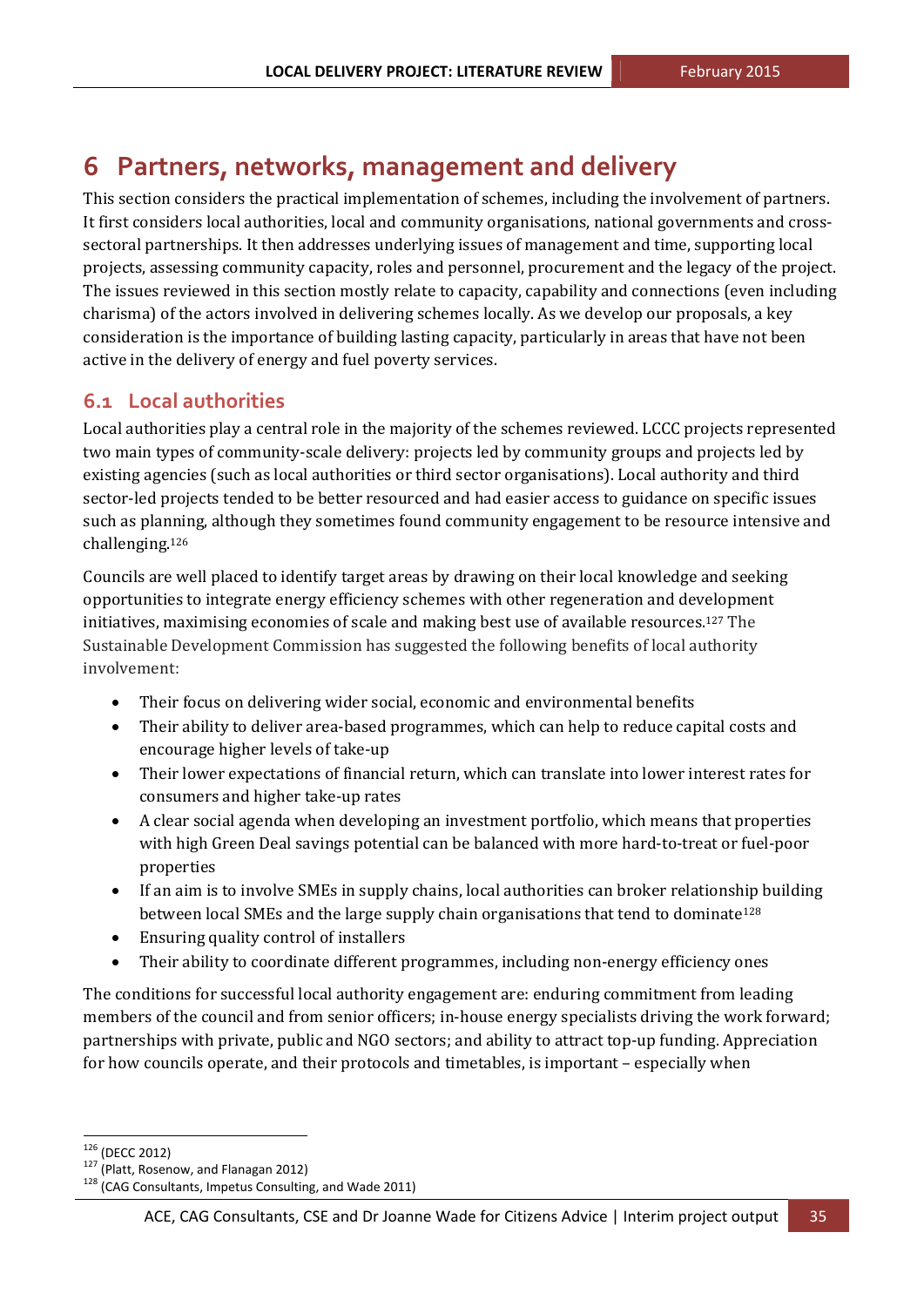## **6 Partners, networks, management and delivery**

This section considers the practical implementation of schemes, including the involvement of partners. It first considers local authorities, local and community organisations, national governments and crosssectoral partnerships. It then addresses underlying issues of management and time, supporting local projects, assessing community capacity, roles and personnel, procurement and the legacy of the project. The issues reviewed in this section mostly relate to capacity, capability and connections (even including charisma) of the actors involved in delivering schemes locally. As we develop our proposals, a key consideration is the importance of building lasting capacity, particularly in areas that have not been active in the delivery of energy and fuel poverty services.

## **6.1 Local authorities**

Local authorities play a central role in the majority of the schemes reviewed. LCCC projects represented two main types of community-scale delivery: projects led by community groups and projects led by existing agencies (such as local authorities or third sector organisations). Local authority and third sector-led projects tended to be better resourced and had easier access to guidance on specific issues such as planning, although they sometimes found community engagement to be resource intensive and challenging.126

Councils are well placed to identify target areas by drawing on their local knowledge and seeking opportunities to integrate energy efficiency schemes with other regeneration and development initiatives, maximising economies of scale and making best use of available resources.<sup>127</sup> The Sustainable Development Commission has suggested the following benefits of local authority involvement:

- Their focus on delivering wider social, economic and environmental benefits
- Their ability to deliver area-based programmes, which can help to reduce capital costs and encourage higher levels of take-up
- Their lower expectations of financial return, which can translate into lower interest rates for consumers and higher take-up rates
- A clear social agenda when developing an investment portfolio, which means that properties with high Green Deal savings potential can be balanced with more hard-to-treat or fuel-poor properties
- If an aim is to involve SMEs in supply chains, local authorities can broker relationship building between local SMEs and the large supply chain organisations that tend to dominate<sup>128</sup>
- Ensuring quality control of installers
- Their ability to coordinate different programmes, including non-energy efficiency ones

The conditions for successful local authority engagement are: enduring commitment from leading members of the council and from senior officers; in-house energy specialists driving the work forward; partnerships with private, public and NGO sectors; and ability to attract top-up funding. Appreciation for how councils operate, and their protocols and timetables, is important – especially when

<sup>&</sup>lt;u> 1989 - Jan Samuel Barbara, político establecido de la propia de la propia de la propia de la propia de la pro</u>

<sup>&</sup>lt;sup>126</sup> (DECC 2012)<br><sup>127</sup> (Platt, Rosenow, and Flanagan 2012)<br><sup>128</sup> (CAG Consultants, Impetus Consulting, and Wade 2011)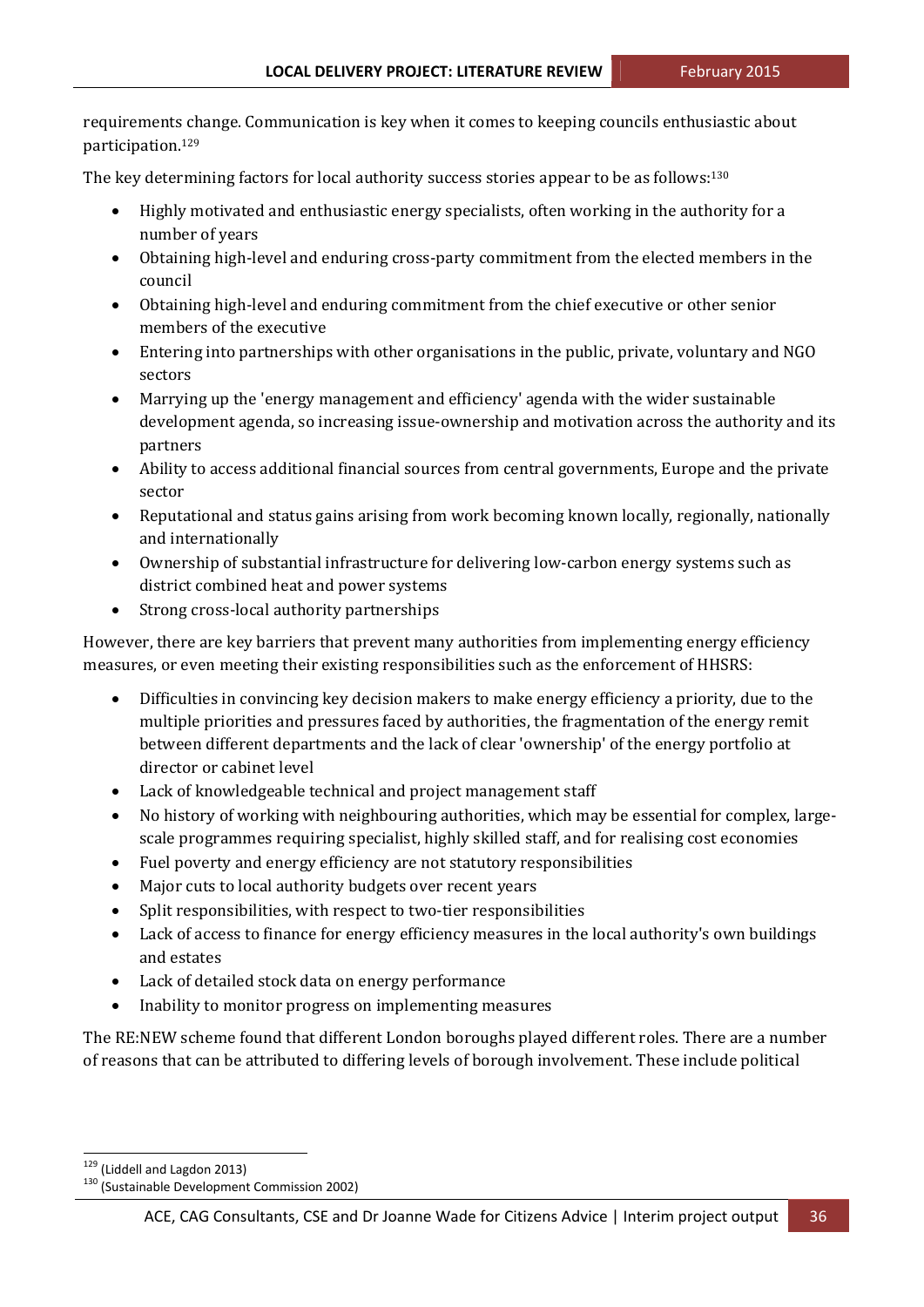requirements change. Communication is key when it comes to keeping councils enthusiastic about participation.129 

The key determining factors for local authority success stories appear to be as follows:<sup>130</sup>

- Highly motivated and enthusiastic energy specialists, often working in the authority for a number of years
- Obtaining high-level and enduring cross-party commitment from the elected members in the council
- Obtaining high-level and enduring commitment from the chief executive or other senior members of the executive
- Entering into partnerships with other organisations in the public, private, voluntary and NGO sectors
- Marrying up the 'energy management and efficiency' agenda with the wider sustainable development agenda, so increasing issue-ownership and motivation across the authority and its partners
- Ability to access additional financial sources from central governments, Europe and the private sector
- Reputational and status gains arising from work becoming known locally, regionally, nationally and internationally
- Ownership of substantial infrastructure for delivering low-carbon energy systems such as district combined heat and power systems
- Strong cross-local authority partnerships

However, there are key barriers that prevent many authorities from implementing energy efficiency measures, or even meeting their existing responsibilities such as the enforcement of HHSRS:

- Difficulties in convincing key decision makers to make energy efficiency a priority, due to the multiple priorities and pressures faced by authorities, the fragmentation of the energy remit between different departments and the lack of clear 'ownership' of the energy portfolio at director or cabinet level
- Lack of knowledgeable technical and project management staff
- No history of working with neighbouring authorities, which may be essential for complex, largescale programmes requiring specialist, highly skilled staff, and for realising cost economies
- Fuel poverty and energy efficiency are not statutory responsibilities
- Major cuts to local authority budgets over recent years
- Split responsibilities, with respect to two-tier responsibilities
- Lack of access to finance for energy efficiency measures in the local authority's own buildings and estates
- Lack of detailed stock data on energy performance
- Inability to monitor progress on implementing measures

The RE:NEW scheme found that different London boroughs played different roles. There are a number of reasons that can be attributed to differing levels of borough involvement. These include political

 $129$  (Liddell and Lagdon 2013)<br> $130$  (Sustainable Development Commission 2002)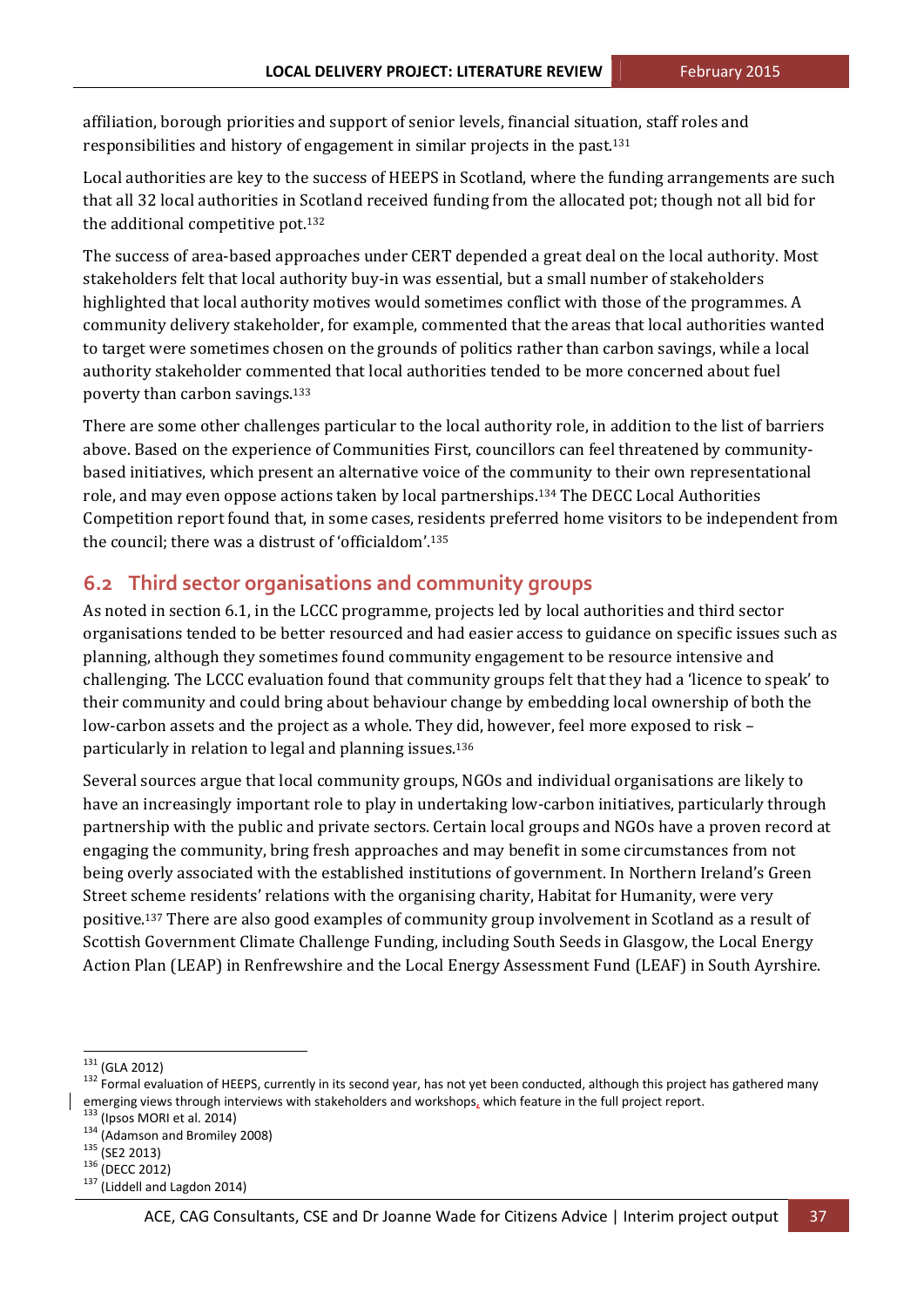affiliation, borough priorities and support of senior levels, financial situation, staff roles and responsibilities and history of engagement in similar projects in the past.<sup>131</sup>

Local authorities are key to the success of HEEPS in Scotland, where the funding arrangements are such that all 32 local authorities in Scotland received funding from the allocated pot; though not all bid for the additional competitive pot. $132$ 

The success of area-based approaches under CERT depended a great deal on the local authority. Most stakeholders felt that local authority buy-in was essential, but a small number of stakeholders highlighted that local authority motives would sometimes conflict with those of the programmes. A community delivery stakeholder, for example, commented that the areas that local authorities wanted to target were sometimes chosen on the grounds of politics rather than carbon savings, while a local authority stakeholder commented that local authorities tended to be more concerned about fuel poverty than carbon savings.<sup>133</sup>

There are some other challenges particular to the local authority role, in addition to the list of barriers above. Based on the experience of Communities First, councillors can feel threatened by communitybased initiatives, which present an alternative voice of the community to their own representational role, and may even oppose actions taken by local partnerships.<sup>134</sup> The DECC Local Authorities Competition report found that, in some cases, residents preferred home visitors to be independent from the council; there was a distrust of 'officialdom'.<sup>135</sup>

### **6.2 Third sector organisations and community groups**

As noted in section 6.1, in the LCCC programme, projects led by local authorities and third sector organisations tended to be better resourced and had easier access to guidance on specific issues such as planning, although they sometimes found community engagement to be resource intensive and challenging. The LCCC evaluation found that community groups felt that they had a 'licence to speak' to their community and could bring about behaviour change by embedding local ownership of both the low-carbon assets and the project as a whole. They did, however, feel more exposed to risk – particularly in relation to legal and planning issues.<sup>136</sup>

Several sources argue that local community groups, NGOs and individual organisations are likely to have an increasingly important role to play in undertaking low-carbon initiatives, particularly through partnership with the public and private sectors. Certain local groups and NGOs have a proven record at engaging the community, bring fresh approaches and may benefit in some circumstances from not being overly associated with the established institutions of government. In Northern Ireland's Green Street scheme residents' relations with the organising charity, Habitat for Humanity, were very positive.<sup>137</sup> There are also good examples of community group involvement in Scotland as a result of Scottish Government Climate Challenge Funding, including South Seeds in Glasgow, the Local Energy Action Plan (LEAP) in Renfrewshire and the Local Energy Assessment Fund (LEAF) in South Ayrshire.

<sup>&</sup>lt;sup>131</sup> (GLA 2012)<br><sup>132</sup> Formal evaluation of HEEPS, currently in its second year, has not yet been conducted, although this project has gathered many emerging views through interviews with stakeholders and workshops, which feature in the full project report.<br><sup>133</sup> (Ipsos MORI et al. 2014)<br><sup>134</sup> (Adamson and Bromiley 2008)<br><sup>135</sup> (DECC 2012)<br><sup>136</sup> (DECC 2012)<br><sup>136</sup> (Lidde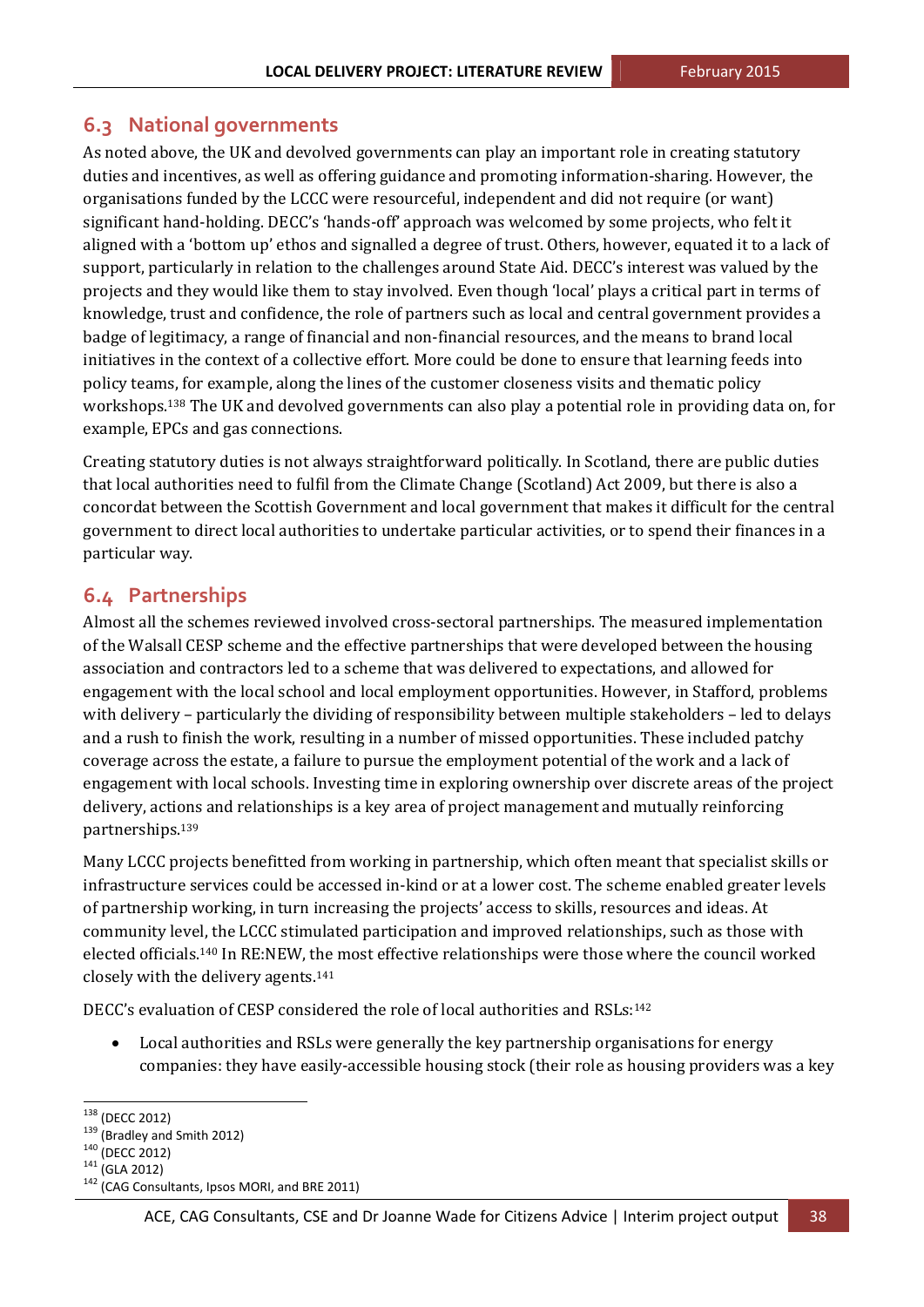## **6.3 National governments**

As noted above, the UK and devolved governments can play an important role in creating statutory duties and incentives, as well as offering guidance and promoting information-sharing. However, the organisations funded by the LCCC were resourceful, independent and did not require (or want) significant hand-holding. DECC's 'hands-off' approach was welcomed by some projects, who felt it aligned with a 'bottom up' ethos and signalled a degree of trust. Others, however, equated it to a lack of support, particularly in relation to the challenges around State Aid. DECC's interest was valued by the projects and they would like them to stay involved. Even though 'local' plays a critical part in terms of knowledge, trust and confidence, the role of partners such as local and central government provides a badge of legitimacy, a range of financial and non-financial resources, and the means to brand local initiatives in the context of a collective effort. More could be done to ensure that learning feeds into policy teams, for example, along the lines of the customer closeness visits and thematic policy workshops.<sup>138</sup> The UK and devolved governments can also play a potential role in providing data on, for example, EPCs and gas connections.

Creating statutory duties is not always straightforward politically. In Scotland, there are public duties that local authorities need to fulfil from the Climate Change (Scotland) Act 2009, but there is also a concordat between the Scottish Government and local government that makes it difficult for the central government to direct local authorities to undertake particular activities, or to spend their finances in a particular way.

## **6.4 Partnerships**

Almost all the schemes reviewed involved cross-sectoral partnerships. The measured implementation of the Walsall CESP scheme and the effective partnerships that were developed between the housing association and contractors led to a scheme that was delivered to expectations, and allowed for engagement with the local school and local employment opportunities. However, in Stafford, problems with delivery – particularly the dividing of responsibility between multiple stakeholders – led to delays and a rush to finish the work, resulting in a number of missed opportunities. These included patchy coverage across the estate, a failure to pursue the employment potential of the work and a lack of engagement with local schools. Investing time in exploring ownership over discrete areas of the project delivery, actions and relationships is a key area of project management and mutually reinforcing partnerships.139

Many LCCC projects benefitted from working in partnership, which often meant that specialist skills or infrastructure services could be accessed in-kind or at a lower cost. The scheme enabled greater levels of partnership working, in turn increasing the projects' access to skills, resources and ideas. At community level, the LCCC stimulated participation and improved relationships, such as those with elected officials.<sup>140</sup> In RE:NEW, the most effective relationships were those where the council worked closely with the delivery agents. $141$ 

DECC's evaluation of CESP considered the role of local authorities and  $RSLs:$ <sup>142</sup>

Local authorities and RSLs were generally the key partnership organisations for energy companies: they have easily-accessible housing stock (their role as housing providers was a key

<sup>&</sup>lt;sup>138</sup> (DECC 2012)<br><sup>139</sup> (Bradley and Smith 2012)<br><sup>140</sup> (DECC 2012)<br><sup>141</sup> (GLA 2012)<br><sup>142</sup> (CAG Consultants, Ipsos MORI, and BRE 2011)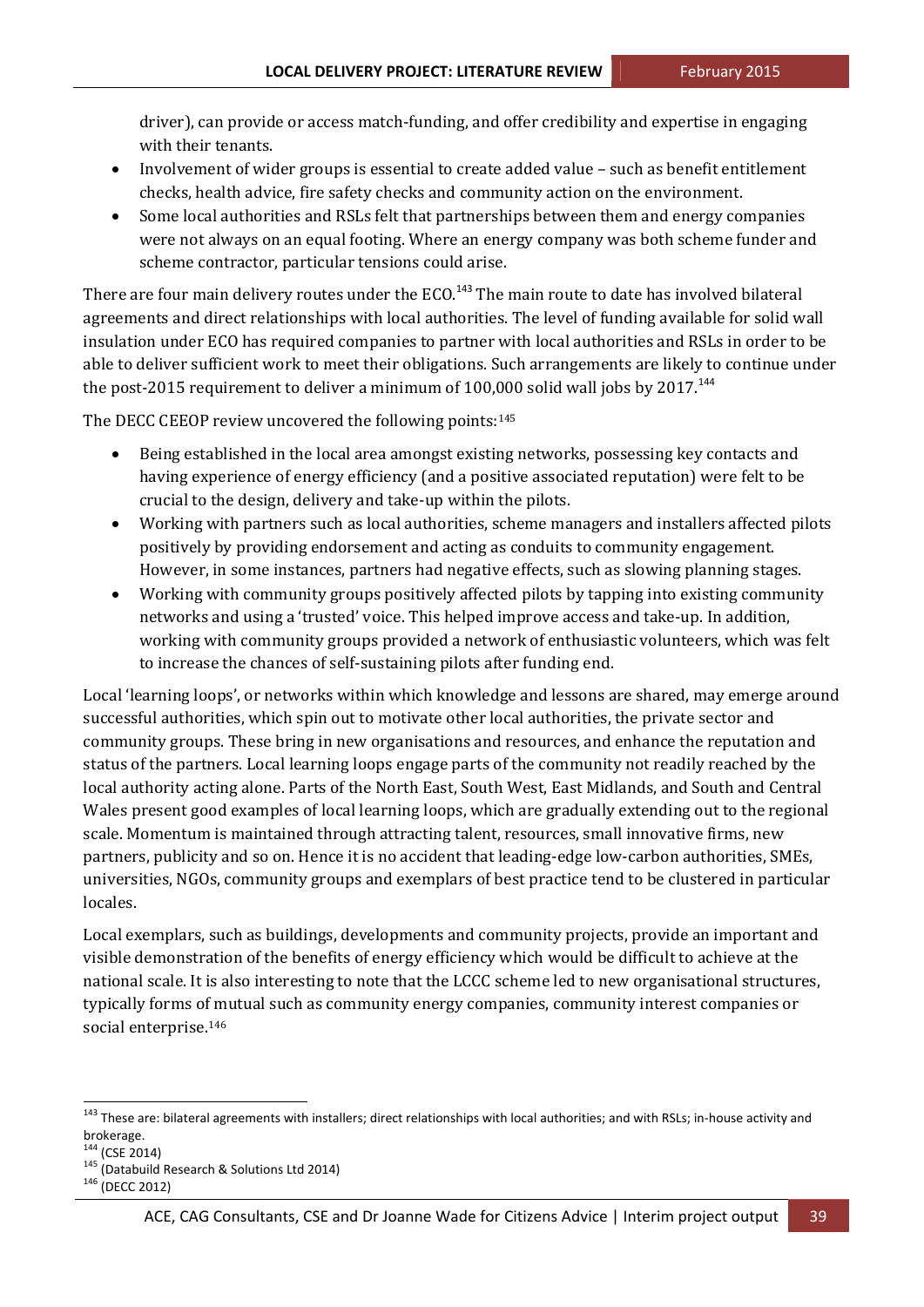driver), can provide or access match-funding, and offer credibility and expertise in engaging with their tenants.

- Involvement of wider groups is essential to create added value  $-$  such as benefit entitlement checks, health advice, fire safety checks and community action on the environment.
- Some local authorities and RSLs felt that partnerships between them and energy companies were not always on an equal footing. Where an energy company was both scheme funder and scheme contractor, particular tensions could arise.

There are four main delivery routes under the ECO.<sup>143</sup> The main route to date has involved bilateral agreements and direct relationships with local authorities. The level of funding available for solid wall insulation under ECO has required companies to partner with local authorities and RSLs in order to be able to deliver sufficient work to meet their obligations. Such arrangements are likely to continue under the post-2015 requirement to deliver a minimum of 100,000 solid wall jobs by  $2017$ .<sup>144</sup>

The DECC CEEOP review uncovered the following points: $145$ 

- Being established in the local area amongst existing networks, possessing key contacts and having experience of energy efficiency (and a positive associated reputation) were felt to be crucial to the design, delivery and take-up within the pilots.
- Working with partners such as local authorities, scheme managers and installers affected pilots positively by providing endorsement and acting as conduits to community engagement. However, in some instances, partners had negative effects, such as slowing planning stages.
- Working with community groups positively affected pilots by tapping into existing community networks and using a 'trusted' voice. This helped improve access and take-up. In addition, working with community groups provided a network of enthusiastic volunteers, which was felt to increase the chances of self-sustaining pilots after funding end.

Local 'learning loops', or networks within which knowledge and lessons are shared, may emerge around successful authorities, which spin out to motivate other local authorities, the private sector and community groups. These bring in new organisations and resources, and enhance the reputation and status of the partners. Local learning loops engage parts of the community not readily reached by the local authority acting alone. Parts of the North East, South West, East Midlands, and South and Central Wales present good examples of local learning loops, which are gradually extending out to the regional scale. Momentum is maintained through attracting talent, resources, small innovative firms, new partners, publicity and so on. Hence it is no accident that leading-edge low-carbon authorities, SMEs, universities, NGOs, community groups and exemplars of best practice tend to be clustered in particular locales. 

Local exemplars, such as buildings, developments and community projects, provide an important and visible demonstration of the benefits of energy efficiency which would be difficult to achieve at the national scale. It is also interesting to note that the LCCC scheme led to new organisational structures, typically forms of mutual such as community energy companies, community interest companies or social enterprise.<sup>146</sup>

<sup>143</sup> These are: bilateral agreements with installers; direct relationships with local authorities; and with RSLs; in-house activity and brokerage.<br><sup>144</sup> (CSE 2014)

<sup>145 (</sup>Databuild Research & Solutions Ltd 2014)<br><sup>146</sup> (DECC 2012)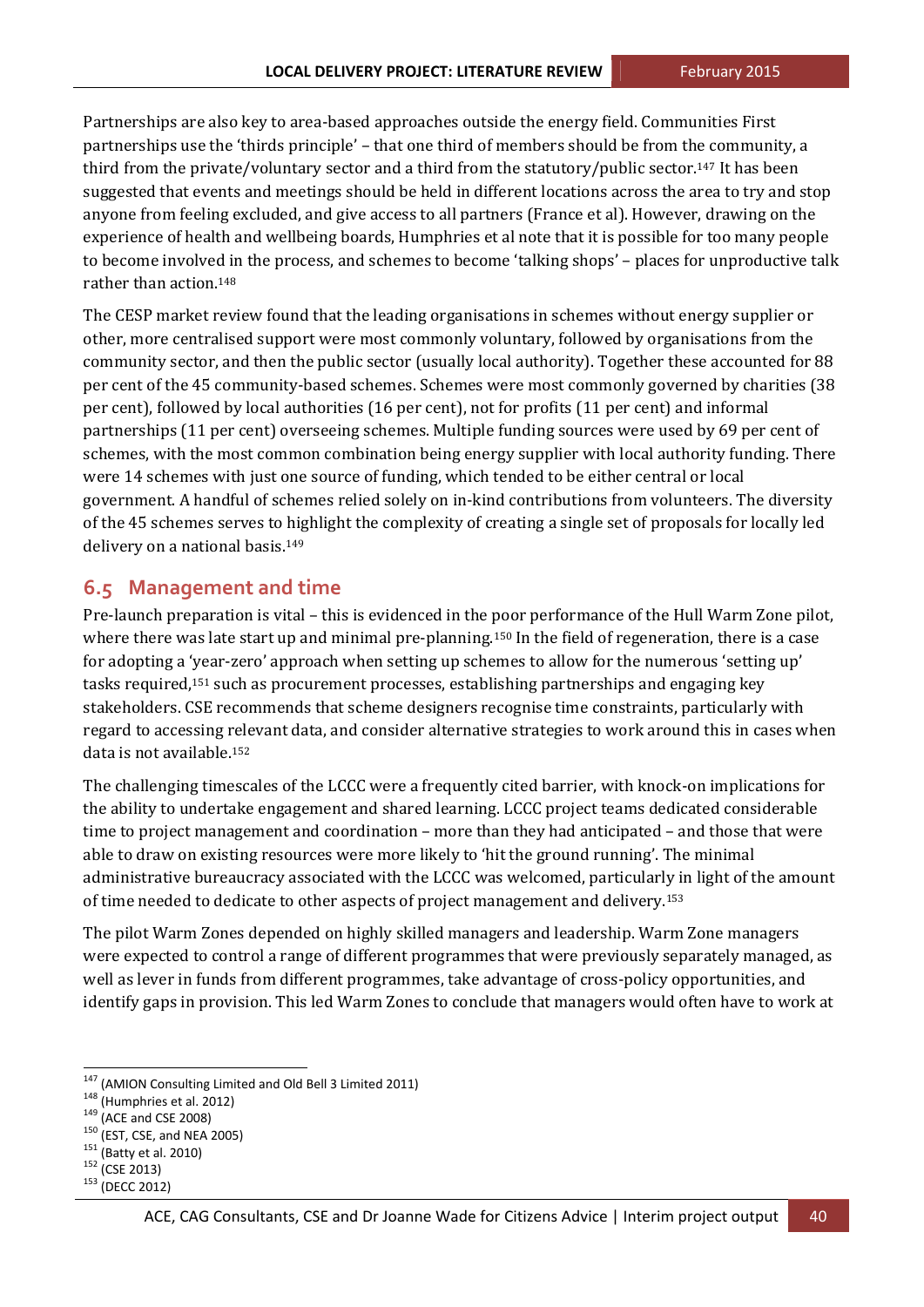Partnerships are also key to area-based approaches outside the energy field. Communities First partnerships use the 'thirds principle' – that one third of members should be from the community, a third from the private/voluntary sector and a third from the statutory/public sector.<sup>147</sup> It has been suggested that events and meetings should be held in different locations across the area to try and stop anyone from feeling excluded, and give access to all partners (France et al). However, drawing on the experience of health and wellbeing boards, Humphries et al note that it is possible for too many people to become involved in the process, and schemes to become 'talking shops' – places for unproductive talk rather than action 148

The CESP market review found that the leading organisations in schemes without energy supplier or other, more centralised support were most commonly voluntary, followed by organisations from the community sector, and then the public sector (usually local authority). Together these accounted for 88 per cent of the 45 community-based schemes. Schemes were most commonly governed by charities (38 per cent), followed by local authorities (16 per cent), not for profits (11 per cent) and informal partnerships (11 per cent) overseeing schemes. Multiple funding sources were used by 69 per cent of schemes, with the most common combination being energy supplier with local authority funding. There were 14 schemes with just one source of funding, which tended to be either central or local government. A handful of schemes relied solely on in-kind contributions from volunteers. The diversity of the 45 schemes serves to highlight the complexity of creating a single set of proposals for locally led delivery on a national basis.<sup>149</sup>

#### **6.5 Management and time**

Pre-launch preparation is vital – this is evidenced in the poor performance of the Hull Warm Zone pilot, where there was late start up and minimal pre-planning.<sup>150</sup> In the field of regeneration, there is a case for adopting a 'year-zero' approach when setting up schemes to allow for the numerous 'setting up' tasks required,<sup>151</sup> such as procurement processes, establishing partnerships and engaging key stakeholders. CSE recommends that scheme designers recognise time constraints, particularly with regard to accessing relevant data, and consider alternative strategies to work around this in cases when data is not available.<sup>152</sup>

The challenging timescales of the LCCC were a frequently cited barrier, with knock-on implications for the ability to undertake engagement and shared learning. LCCC project teams dedicated considerable time to project management and coordination – more than they had anticipated – and those that were able to draw on existing resources were more likely to 'hit the ground running'. The minimal administrative bureaucracy associated with the LCCC was welcomed, particularly in light of the amount of time needed to dedicate to other aspects of project management and delivery.<sup>153</sup>

The pilot Warm Zones depended on highly skilled managers and leadership. Warm Zone managers were expected to control a range of different programmes that were previously separately managed, as well as lever in funds from different programmes, take advantage of cross-policy opportunities, and identify gaps in provision. This led Warm Zones to conclude that managers would often have to work at

- 
- 

<sup>&</sup>lt;sup>147</sup> (AMION Consulting Limited and Old Bell 3 Limited 2011)<br><sup>148</sup> (Humphries et al. 2012)<br><sup>149</sup> (ACE and CSE 2008)<br><sup>150</sup> (EST, CSE, and NEA 2005)<br><sup>151</sup> (Batty et al. 2010)<br><sup>152</sup> (CSE 2013)<br><sup>153</sup> (DECC 2012)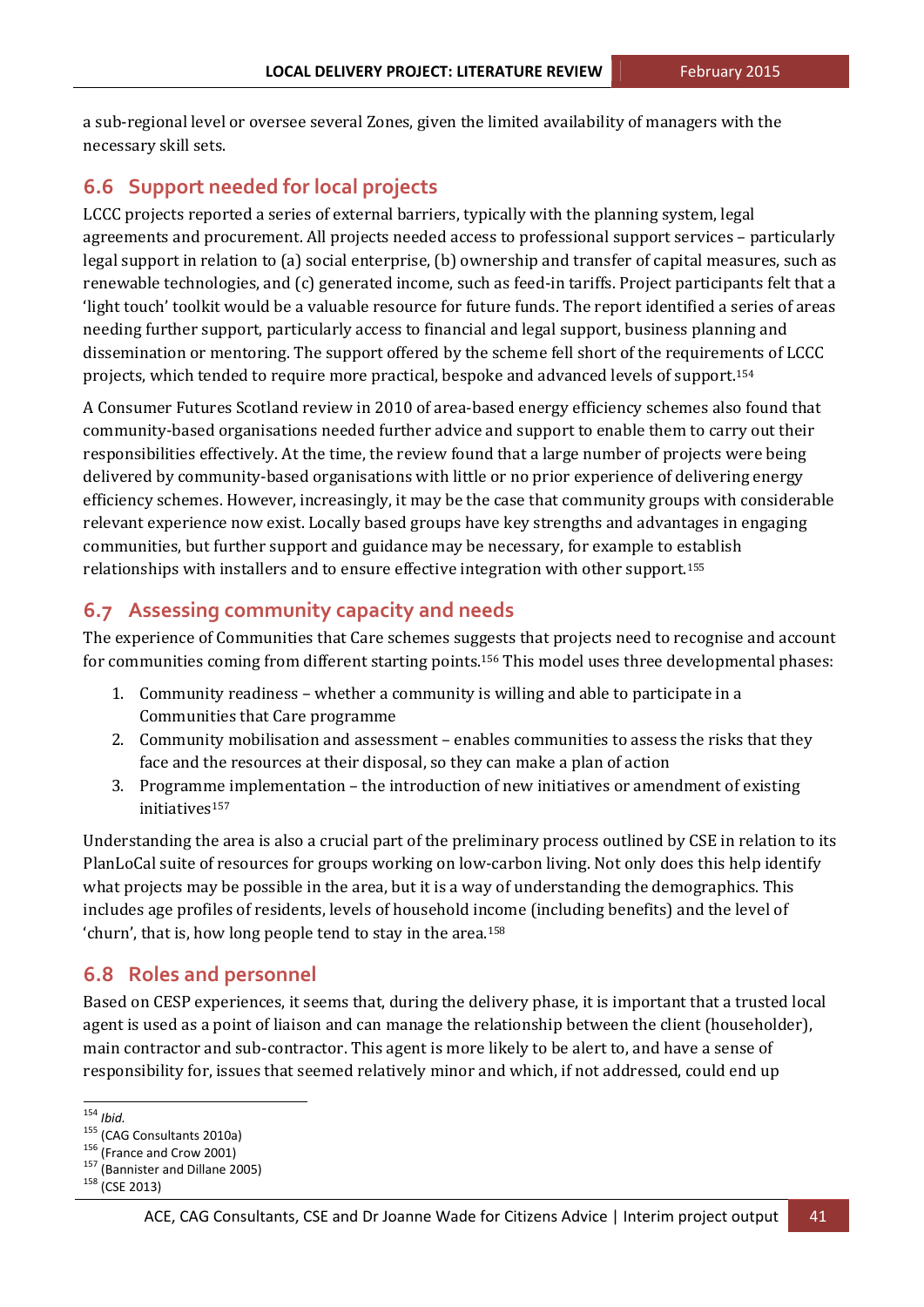a sub-regional level or oversee several Zones, given the limited availability of managers with the necessary skill sets.

## **6.6 Support needed for local projects**

LCCC projects reported a series of external barriers, typically with the planning system, legal agreements and procurement. All projects needed access to professional support services – particularly legal support in relation to (a) social enterprise, (b) ownership and transfer of capital measures, such as renewable technologies, and (c) generated income, such as feed-in tariffs. Project participants felt that a 'light touch' toolkit would be a valuable resource for future funds. The report identified a series of areas needing further support, particularly access to financial and legal support, business planning and dissemination or mentoring. The support offered by the scheme fell short of the requirements of LCCC projects, which tended to require more practical, bespoke and advanced levels of support.<sup>154</sup>

A Consumer Futures Scotland review in 2010 of area-based energy efficiency schemes also found that community-based organisations needed further advice and support to enable them to carry out their responsibilities effectively. At the time, the review found that a large number of projects were being delivered by community-based organisations with little or no prior experience of delivering energy efficiency schemes. However, increasingly, it may be the case that community groups with considerable relevant experience now exist. Locally based groups have key strengths and advantages in engaging communities, but further support and guidance may be necessary, for example to establish relationships with installers and to ensure effective integration with other support.<sup>155</sup>

## **6.7 Assessing community capacity and needs**

The experience of Communities that Care schemes suggests that projects need to recognise and account for communities coming from different starting points.<sup>156</sup> This model uses three developmental phases:

- 1. Community readiness whether a community is willing and able to participate in a Communities that Care programme
- 2. Community mobilisation and assessment enables communities to assess the risks that they face and the resources at their disposal, so they can make a plan of action
- 3. Programme implementation  $-$  the introduction of new initiatives or amendment of existing initiatives157

Understanding the area is also a crucial part of the preliminary process outlined by CSE in relation to its PlanLoCal suite of resources for groups working on low-carbon living. Not only does this help identify what projects may be possible in the area, but it is a way of understanding the demographics. This includes age profiles of residents, levels of household income (including benefits) and the level of 'churn', that is, how long people tend to stay in the area.<sup>158</sup>

## **6.8 Roles and personnel**

 

Based on CESP experiences, it seems that, during the delivery phase, it is important that a trusted local agent is used as a point of liaison and can manage the relationship between the client (householder), main contractor and sub-contractor. This agent is more likely to be alert to, and have a sense of responsibility for, issues that seemed relatively minor and which, if not addressed, could end up

<sup>&</sup>lt;sup>154</sup> *Ibid.* 155 (CAG Consultants 2010a)<br><sup>155</sup> (France and Crow 2001)<br><sup>157</sup> (Bannister and Dillane 2005)<br><sup>158</sup> (CSE 2013)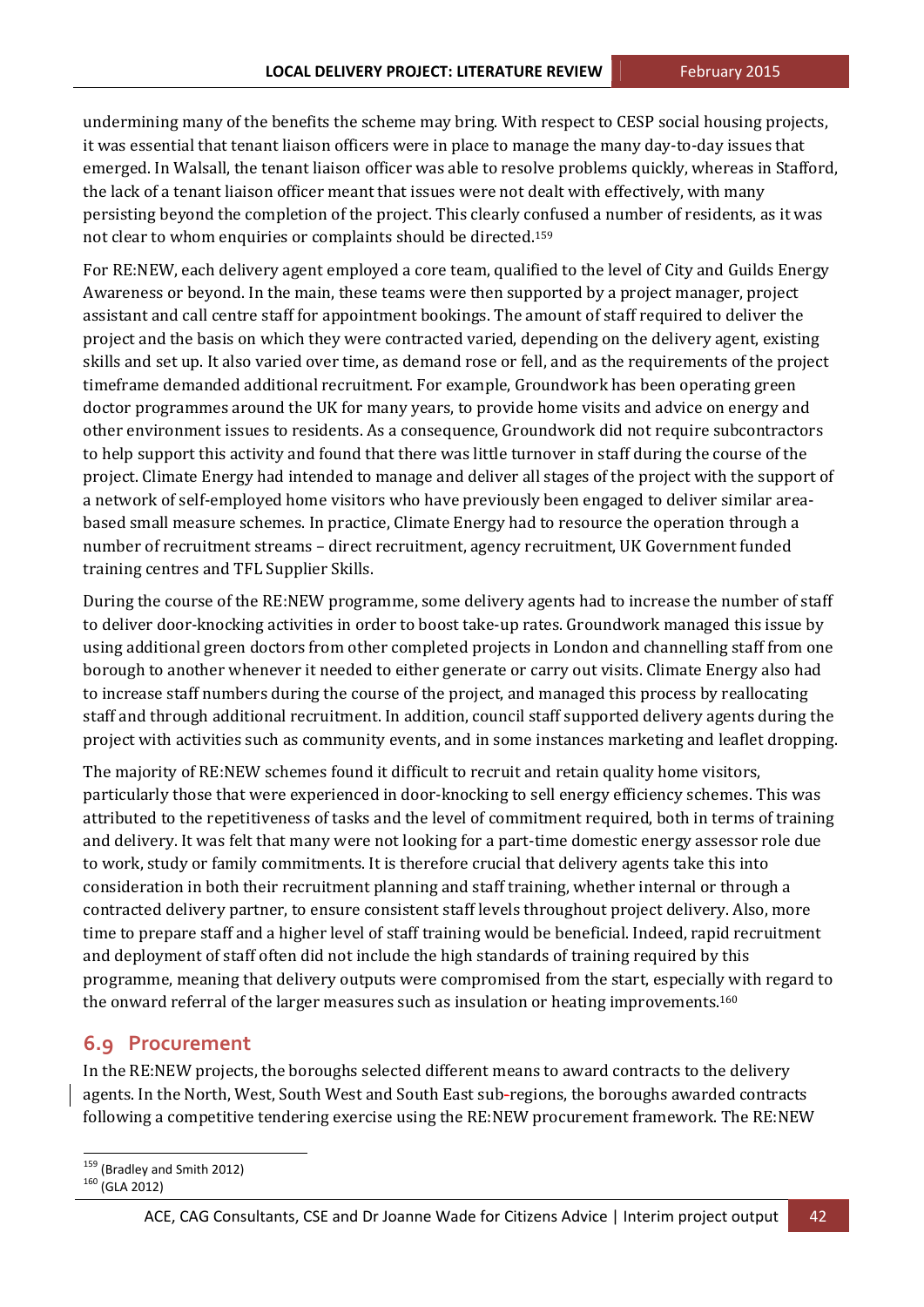undermining many of the benefits the scheme may bring. With respect to CESP social housing projects, it was essential that tenant liaison officers were in place to manage the many day-to-day issues that emerged. In Walsall, the tenant liaison officer was able to resolve problems quickly, whereas in Stafford, the lack of a tenant liaison officer meant that issues were not dealt with effectively, with many persisting beyond the completion of the project. This clearly confused a number of residents, as it was not clear to whom enquiries or complaints should be directed.<sup>159</sup>

For RE:NEW, each delivery agent employed a core team, qualified to the level of City and Guilds Energy Awareness or beyond. In the main, these teams were then supported by a project manager, project assistant and call centre staff for appointment bookings. The amount of staff required to deliver the project and the basis on which they were contracted varied, depending on the delivery agent, existing skills and set up. It also varied over time, as demand rose or fell, and as the requirements of the project timeframe demanded additional recruitment. For example, Groundwork has been operating green doctor programmes around the UK for many years, to provide home visits and advice on energy and other environment issues to residents. As a consequence, Groundwork did not require subcontractors to help support this activity and found that there was little turnover in staff during the course of the project. Climate Energy had intended to manage and deliver all stages of the project with the support of a network of self-employed home visitors who have previously been engaged to deliver similar areabased small measure schemes. In practice, Climate Energy had to resource the operation through a number of recruitment streams - direct recruitment, agency recruitment, UK Government funded training centres and TFL Supplier Skills.

During the course of the RE:NEW programme, some delivery agents had to increase the number of staff to deliver door-knocking activities in order to boost take-up rates. Groundwork managed this issue by using additional green doctors from other completed projects in London and channelling staff from one borough to another whenever it needed to either generate or carry out visits. Climate Energy also had to increase staff numbers during the course of the project, and managed this process by reallocating staff and through additional recruitment. In addition, council staff supported delivery agents during the project with activities such as community events, and in some instances marketing and leaflet dropping.

The majority of RE:NEW schemes found it difficult to recruit and retain quality home visitors, particularly those that were experienced in door-knocking to sell energy efficiency schemes. This was attributed to the repetitiveness of tasks and the level of commitment required, both in terms of training and delivery. It was felt that many were not looking for a part-time domestic energy assessor role due to work, study or family commitments. It is therefore crucial that delivery agents take this into consideration in both their recruitment planning and staff training, whether internal or through a contracted delivery partner, to ensure consistent staff levels throughout project delivery. Also, more time to prepare staff and a higher level of staff training would be beneficial. Indeed, rapid recruitment and deployment of staff often did not include the high standards of training required by this programme, meaning that delivery outputs were compromised from the start, especially with regard to the onward referral of the larger measures such as insulation or heating improvements.<sup>160</sup>

### **6.9 Procurement**

In the RE:NEW projects, the boroughs selected different means to award contracts to the delivery agents. In the North, West, South West and South East sub-regions, the boroughs awarded contracts following a competitive tendering exercise using the RE:NEW procurement framework. The RE:NEW

  $^{159}$  (Bradley and Smith 2012)<br> $^{160}$  (GLA 2012)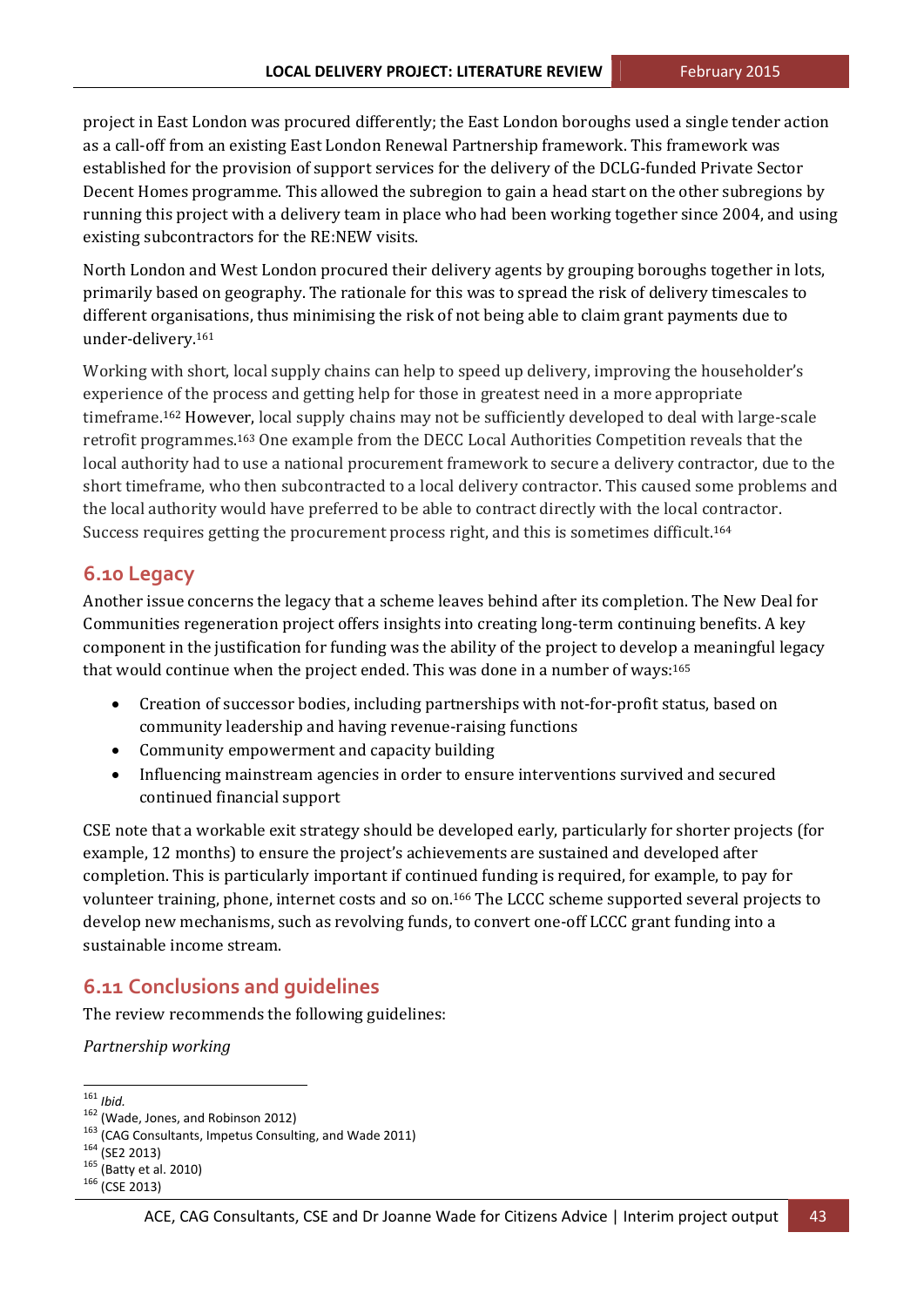project in East London was procured differently; the East London boroughs used a single tender action as a call-off from an existing East London Renewal Partnership framework. This framework was established for the provision of support services for the delivery of the DCLG-funded Private Sector Decent Homes programme. This allowed the subregion to gain a head start on the other subregions by running this project with a delivery team in place who had been working together since 2004, and using existing subcontractors for the RE:NEW visits.

North London and West London procured their delivery agents by grouping boroughs together in lots, primarily based on geography. The rationale for this was to spread the risk of delivery timescales to different organisations, thus minimising the risk of not being able to claim grant payments due to under‐delivery.161 

Working with short, local supply chains can help to speed up delivery, improving the householder's experience of the process and getting help for those in greatest need in a more appropriate timeframe.<sup>162</sup> However, local supply chains may not be sufficiently developed to deal with large-scale retrofit programmes.<sup>163</sup> One example from the DECC Local Authorities Competition reveals that the local authority had to use a national procurement framework to secure a delivery contractor, due to the short timeframe, who then subcontracted to a local delivery contractor. This caused some problems and the local authority would have preferred to be able to contract directly with the local contractor. Success requires getting the procurement process right, and this is sometimes difficult.<sup>164</sup>

### **6.10 Legacy**

Another issue concerns the legacy that a scheme leaves behind after its completion. The New Deal for Communities regeneration project offers insights into creating long-term continuing benefits. A key component in the justification for funding was the ability of the project to develop a meaningful legacy that would continue when the project ended. This was done in a number of ways: $165$ 

- Creation of successor bodies, including partnerships with not-for-profit status, based on community leadership and having revenue-raising functions
- Community empowerment and capacity building
- Influencing mainstream agencies in order to ensure interventions survived and secured continued financial support

CSE note that a workable exit strategy should be developed early, particularly for shorter projects (for example, 12 months) to ensure the project's achievements are sustained and developed after completion. This is particularly important if continued funding is required, for example, to pay for volunteer training, phone, internet costs and so on.<sup>166</sup> The LCCC scheme supported several projects to develop new mechanisms, such as revolving funds, to convert one-off LCCC grant funding into a sustainable income stream.

## **6.11 Conclusions and guidelines**

The review recommends the following guidelines:

*Partnership working*

<sup>&</sup>lt;u> 1989 - Jan Samuel Barbara, político establecido de la propia de la propia de la propia de la propia de la pro</u>

<sup>&</sup>lt;sup>161</sup> *Ibid.*<br><sup>162</sup> (Wade, Jones, and Robinson 2012)<br><sup>163</sup> (CAG Consultants, Impetus Consulting, and Wade 2011)<br><sup>164</sup> (SE2 2013)<br><sup>165</sup> (Batty et al. 2010)<br><sup>166</sup> (CSE 2013)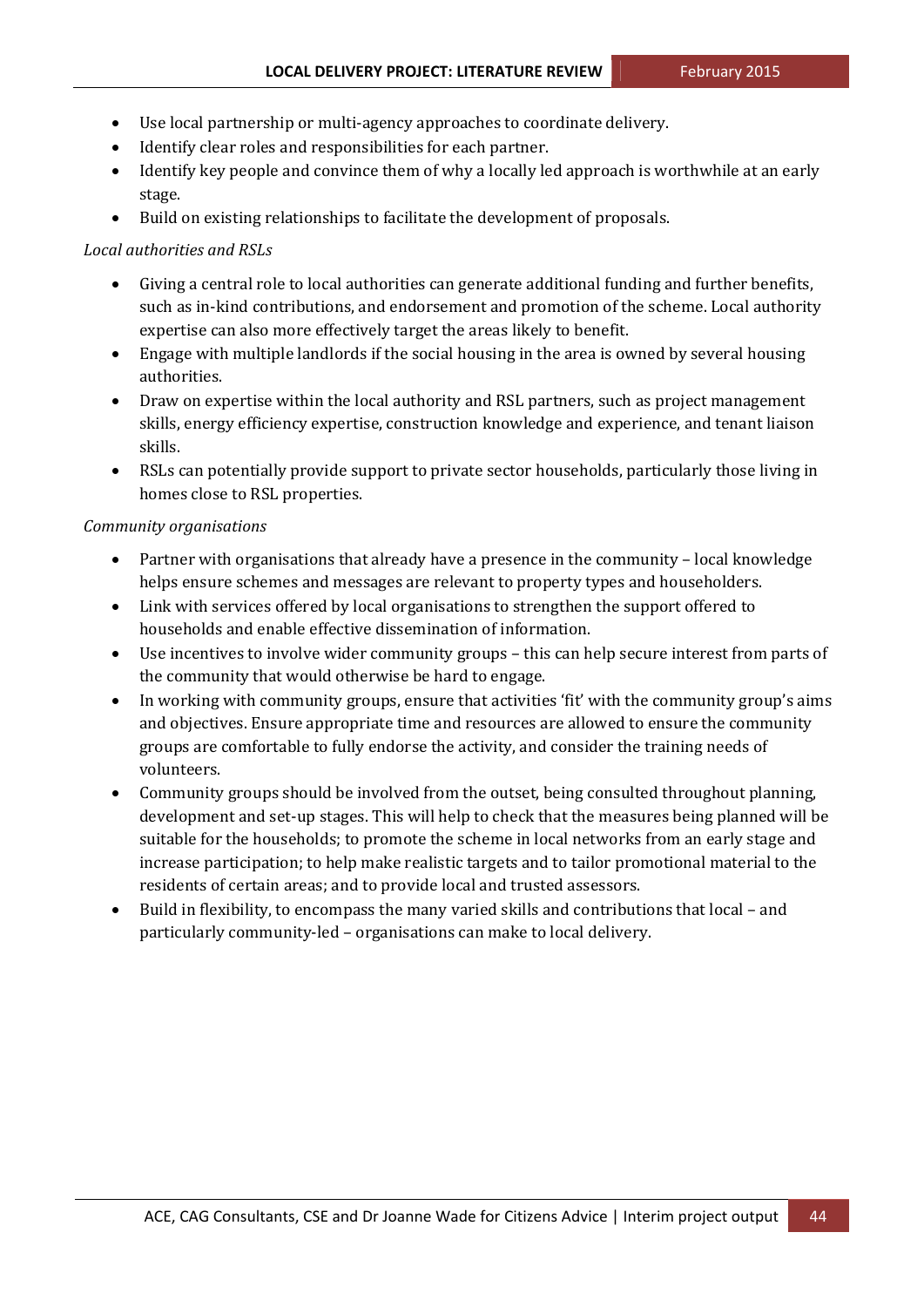- Use local partnership or multi-agency approaches to coordinate delivery.
- Identify clear roles and responsibilities for each partner.
- Identify key people and convince them of why a locally led approach is worthwhile at an early stage.
- Build on existing relationships to facilitate the development of proposals.

#### *Local authorities and RSLs*

- Giving a central role to local authorities can generate additional funding and further benefits, such as in-kind contributions, and endorsement and promotion of the scheme. Local authority expertise can also more effectively target the areas likely to benefit.
- Engage with multiple landlords if the social housing in the area is owned by several housing authorities.
- Draw on expertise within the local authority and RSL partners, such as project management skills, energy efficiency expertise, construction knowledge and experience, and tenant liaison skills.
- RSLs can potentially provide support to private sector households, particularly those living in homes close to RSL properties.

#### *Community organisations*

- Partner with organisations that already have a presence in the community local knowledge helps ensure schemes and messages are relevant to property types and householders.
- Link with services offered by local organisations to strengthen the support offered to households and enable effective dissemination of information.
- Use incentives to involve wider community groups this can help secure interest from parts of the community that would otherwise be hard to engage.
- In working with community groups, ensure that activities 'fit' with the community group's aims and objectives. Ensure appropriate time and resources are allowed to ensure the community groups are comfortable to fully endorse the activity, and consider the training needs of volunteers.
- Community groups should be involved from the outset, being consulted throughout planning, development and set-up stages. This will help to check that the measures being planned will be suitable for the households; to promote the scheme in local networks from an early stage and increase participation; to help make realistic targets and to tailor promotional material to the residents of certain areas; and to provide local and trusted assessors.
- Build in flexibility, to encompass the many varied skills and contributions that  $local$  and particularly community-led – organisations can make to local delivery.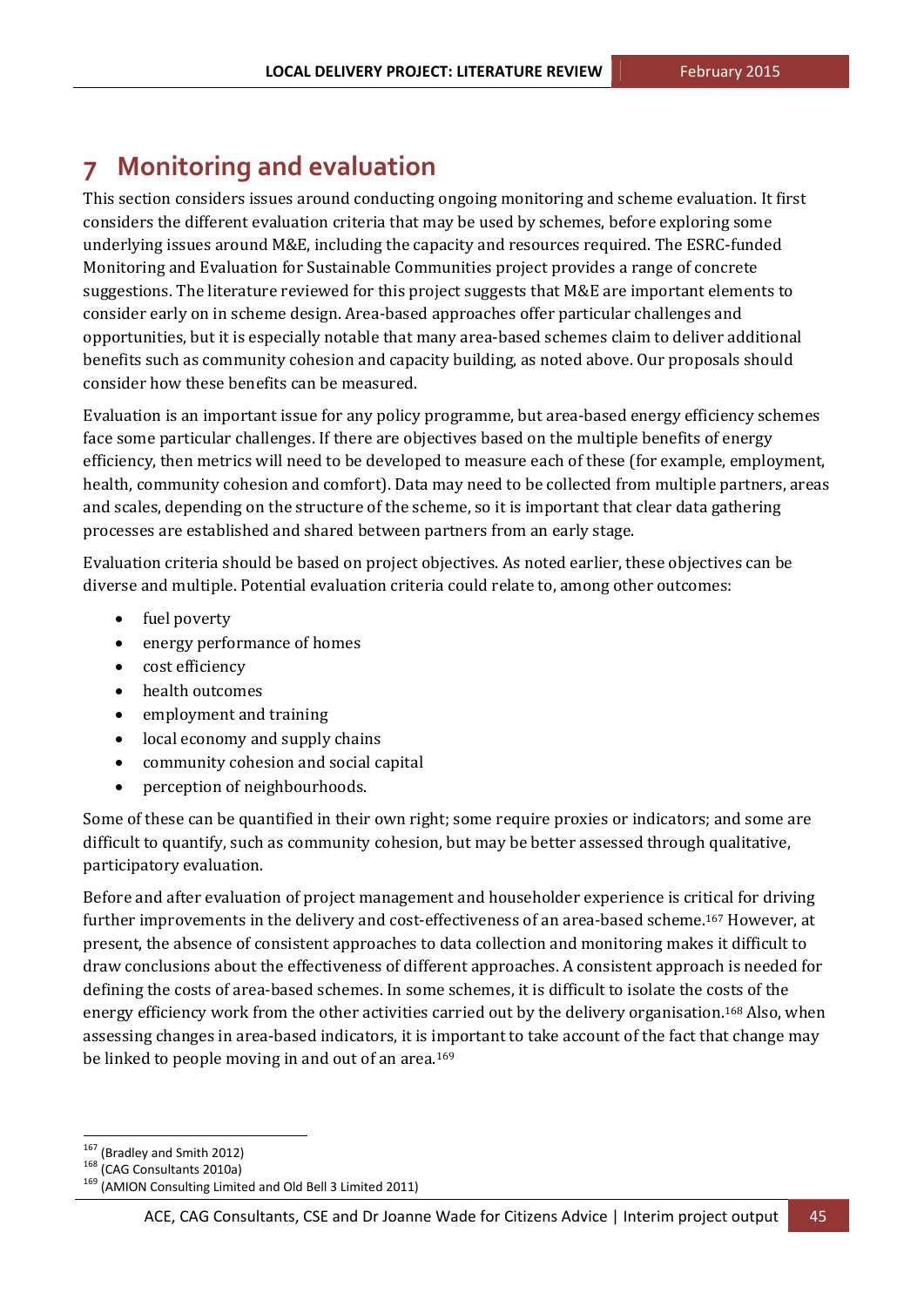## **7 Monitoring and evaluation**

This section considers issues around conducting ongoing monitoring and scheme evaluation. It first considers the different evaluation criteria that may be used by schemes, before exploring some underlying issues around  $M&E$ , including the capacity and resources required. The ESRC-funded Monitoring and Evaluation for Sustainable Communities project provides a range of concrete suggestions. The literature reviewed for this project suggests that M&E are important elements to consider early on in scheme design. Area-based approaches offer particular challenges and opportunities, but it is especially notable that many area-based schemes claim to deliver additional benefits such as community cohesion and capacity building, as noted above. Our proposals should consider how these benefits can be measured.

Evaluation is an important issue for any policy programme, but area-based energy efficiency schemes face some particular challenges. If there are objectives based on the multiple benefits of energy efficiency, then metrics will need to be developed to measure each of these (for example, employment, health, community cohesion and comfort). Data may need to be collected from multiple partners, areas and scales, depending on the structure of the scheme, so it is important that clear data gathering processes are established and shared between partners from an early stage.

Evaluation criteria should be based on project objectives. As noted earlier, these objectives can be diverse and multiple. Potential evaluation criteria could relate to, among other outcomes:

- fuel poverty
- energy performance of homes
- cost efficiency
- health outcomes
- employment and training
- local economy and supply chains
- community cohesion and social capital
- perception of neighbourhoods.

Some of these can be quantified in their own right; some require proxies or indicators; and some are difficult to quantify, such as community cohesion, but may be better assessed through qualitative, participatory evaluation.

Before and after evaluation of project management and householder experience is critical for driving further improvements in the delivery and cost-effectiveness of an area-based scheme.<sup>167</sup> However, at present, the absence of consistent approaches to data collection and monitoring makes it difficult to draw conclusions about the effectiveness of different approaches. A consistent approach is needed for defining the costs of area-based schemes. In some schemes, it is difficult to isolate the costs of the energy efficiency work from the other activities carried out by the delivery organisation.<sup>168</sup> Also, when assessing changes in area-based indicators, it is important to take account of the fact that change may be linked to people moving in and out of an area.<sup>169</sup>

<sup>&</sup>lt;sup>167</sup> (Bradley and Smith 2012)

<sup>168 (</sup>CAG Consultants 2010a)<br><sup>169</sup> (AMION Consulting Limited and Old Bell 3 Limited 2011)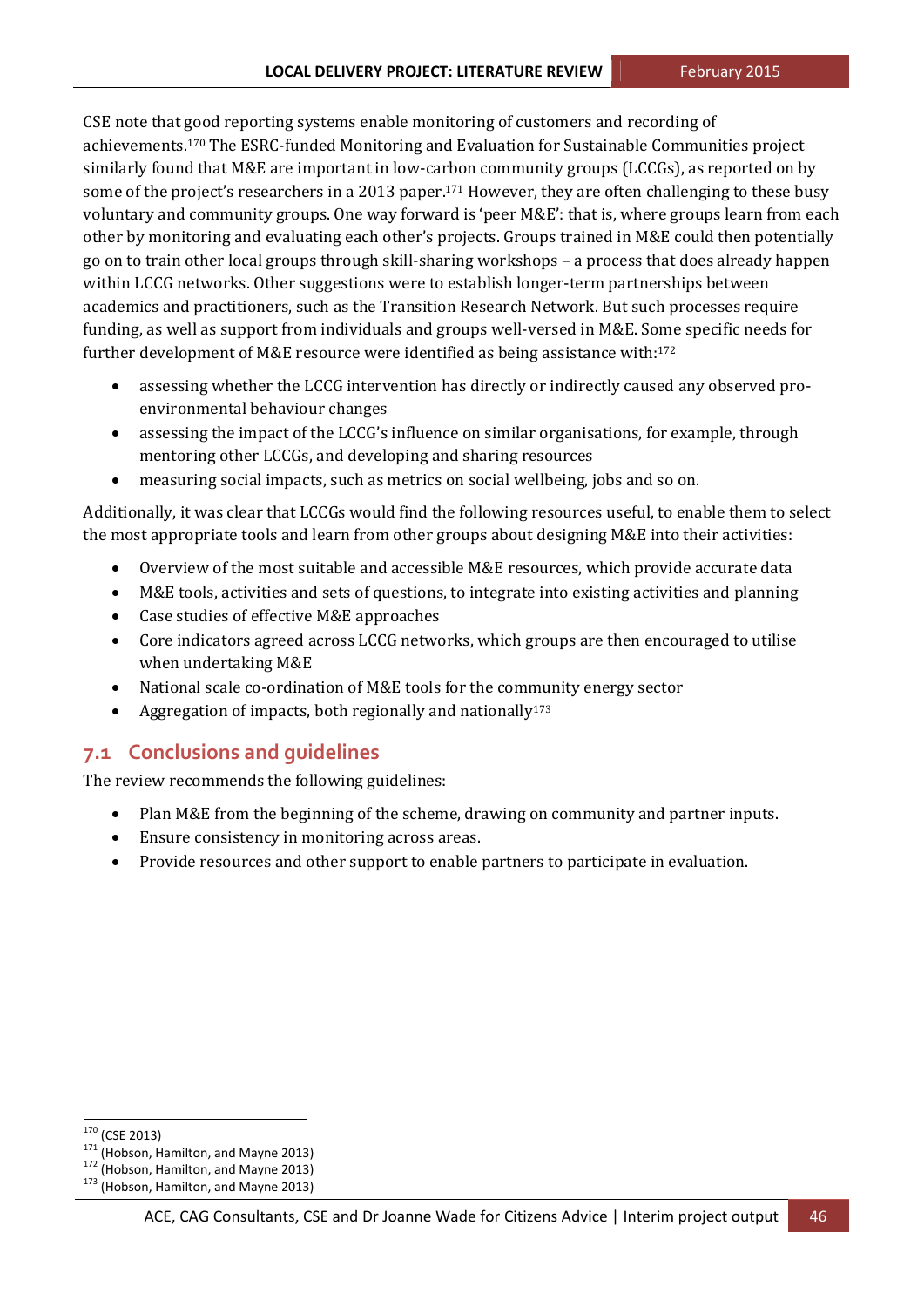CSE note that good reporting systems enable monitoring of customers and recording of achievements.<sup>170</sup> The ESRC-funded Monitoring and Evaluation for Sustainable Communities project similarly found that M&E are important in low-carbon community groups (LCCGs), as reported on by some of the project's researchers in a 2013 paper.<sup>171</sup> However, they are often challenging to these busy voluntary and community groups. One way forward is 'peer M&E': that is, where groups learn from each other by monitoring and evaluating each other's projects. Groups trained in M&E could then potentially go on to train other local groups through skill-sharing workshops – a process that does already happen within LCCG networks. Other suggestions were to establish longer-term partnerships between academics and practitioners, such as the Transition Research Network. But such processes require funding, as well as support from individuals and groups well-versed in M&E. Some specific needs for further development of M&E resource were identified as being assistance with:<sup>172</sup>

- assessing whether the LCCG intervention has directly or indirectly caused any observed proenvironmental behaviour changes
- assessing the impact of the LCCG's influence on similar organisations, for example, through mentoring other LCCGs, and developing and sharing resources
- measuring social impacts, such as metrics on social wellbeing, jobs and so on.

Additionally, it was clear that LCCGs would find the following resources useful, to enable them to select the most appropriate tools and learn from other groups about designing M&E into their activities:

- Overview of the most suitable and accessible M&E resources, which provide accurate data
- M&E tools, activities and sets of questions, to integrate into existing activities and planning
- Case studies of effective M&E approaches
- Core indicators agreed across LCCG networks, which groups are then encouraged to utilise when undertaking M&E
- National scale co-ordination of M&E tools for the community energy sector
- Aggregation of impacts, both regionally and nationally<sup>173</sup>

## **7.1 Conclusions and guidelines**

The review recommends the following guidelines:

- Plan M&E from the beginning of the scheme, drawing on community and partner inputs.
- Ensure consistency in monitoring across areas.
- Provide resources and other support to enable partners to participate in evaluation.

<sup>&</sup>lt;sup>170</sup> (CSE 2013)<br><sup>171</sup> (Hobson, Hamilton, and Mayne 2013)<br><sup>172</sup> (Hobson, Hamilton, and Mayne 2013)<br><sup>173</sup> (Hobson, Hamilton, and Mayne 2013)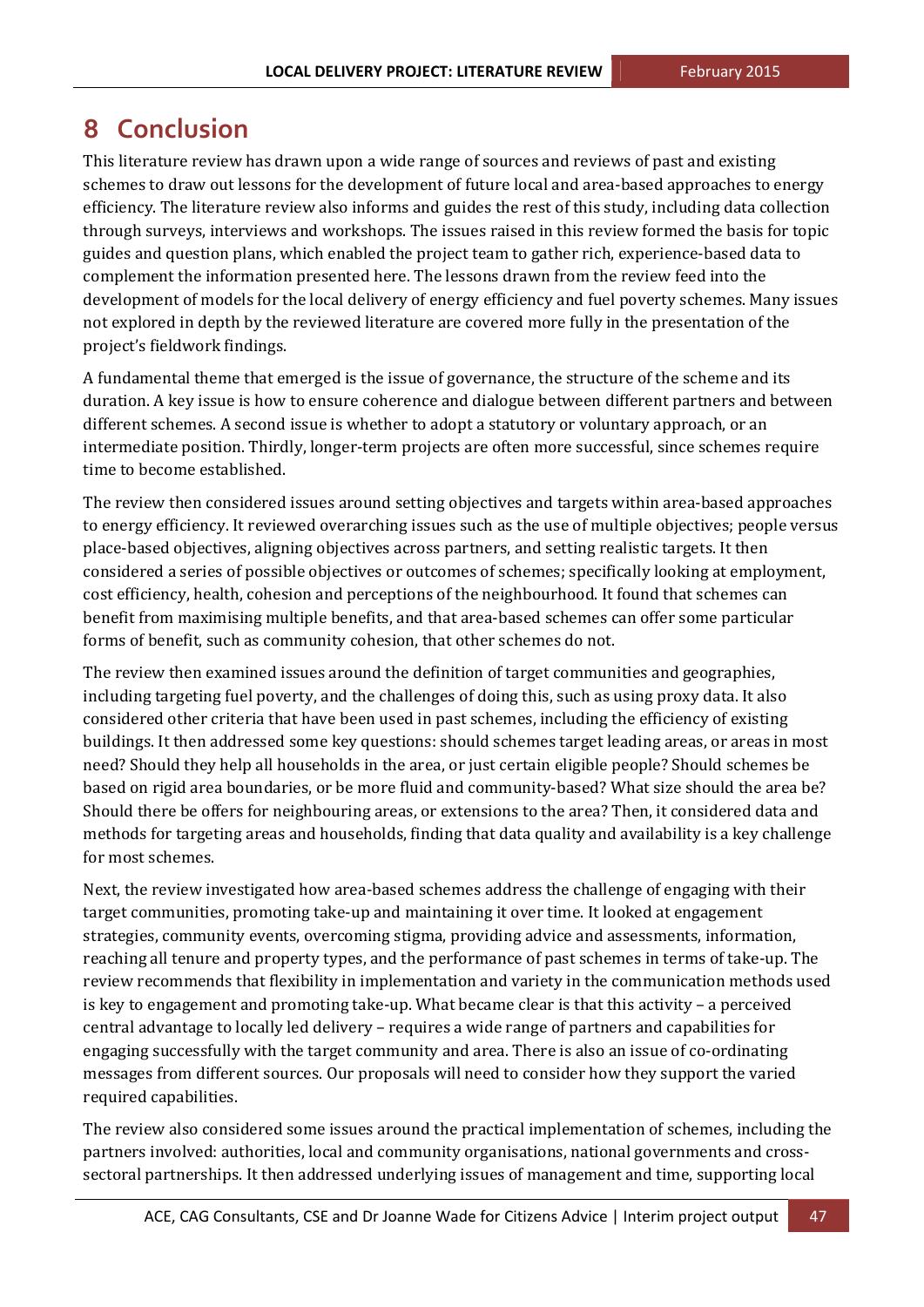## **8 Conclusion**

This literature review has drawn upon a wide range of sources and reviews of past and existing schemes to draw out lessons for the development of future local and area-based approaches to energy efficiency. The literature review also informs and guides the rest of this study, including data collection through surveys, interviews and workshops. The issues raised in this review formed the basis for topic guides and question plans, which enabled the project team to gather rich, experience-based data to complement the information presented here. The lessons drawn from the review feed into the development of models for the local delivery of energy efficiency and fuel poverty schemes. Many issues not explored in depth by the reviewed literature are covered more fully in the presentation of the project's fieldwork findings.

A fundamental theme that emerged is the issue of governance, the structure of the scheme and its duration. A key issue is how to ensure coherence and dialogue between different partners and between different schemes. A second issue is whether to adopt a statutory or voluntary approach, or an intermediate position. Thirdly, longer-term projects are often more successful, since schemes require time to become established.

The review then considered issues around setting objectives and targets within area-based approaches to energy efficiency. It reviewed overarching issues such as the use of multiple objectives; people versus place-based objectives, aligning objectives across partners, and setting realistic targets. It then considered a series of possible objectives or outcomes of schemes; specifically looking at employment, cost efficiency, health, cohesion and perceptions of the neighbourhood. It found that schemes can benefit from maximising multiple benefits, and that area-based schemes can offer some particular forms of benefit, such as community cohesion, that other schemes do not.

The review then examined issues around the definition of target communities and geographies, including targeting fuel poverty, and the challenges of doing this, such as using proxy data. It also considered other criteria that have been used in past schemes, including the efficiency of existing buildings. It then addressed some key questions: should schemes target leading areas, or areas in most need? Should they help all households in the area, or just certain eligible people? Should schemes be based on rigid area boundaries, or be more fluid and community-based? What size should the area be? Should there be offers for neighbouring areas, or extensions to the area? Then, it considered data and methods for targeting areas and households, finding that data quality and availability is a key challenge for most schemes.

Next, the review investigated how area-based schemes address the challenge of engaging with their target communities, promoting take-up and maintaining it over time. It looked at engagement strategies, community events, overcoming stigma, providing advice and assessments, information, reaching all tenure and property types, and the performance of past schemes in terms of take-up. The review recommends that flexibility in implementation and variety in the communication methods used is key to engagement and promoting take-up. What became clear is that this activity – a perceived central advantage to locally led delivery – requires a wide range of partners and capabilities for engaging successfully with the target community and area. There is also an issue of co-ordinating messages from different sources. Our proposals will need to consider how they support the varied required capabilities.

The review also considered some issues around the practical implementation of schemes, including the partners involved: authorities, local and community organisations, national governments and crosssectoral partnerships. It then addressed underlying issues of management and time, supporting local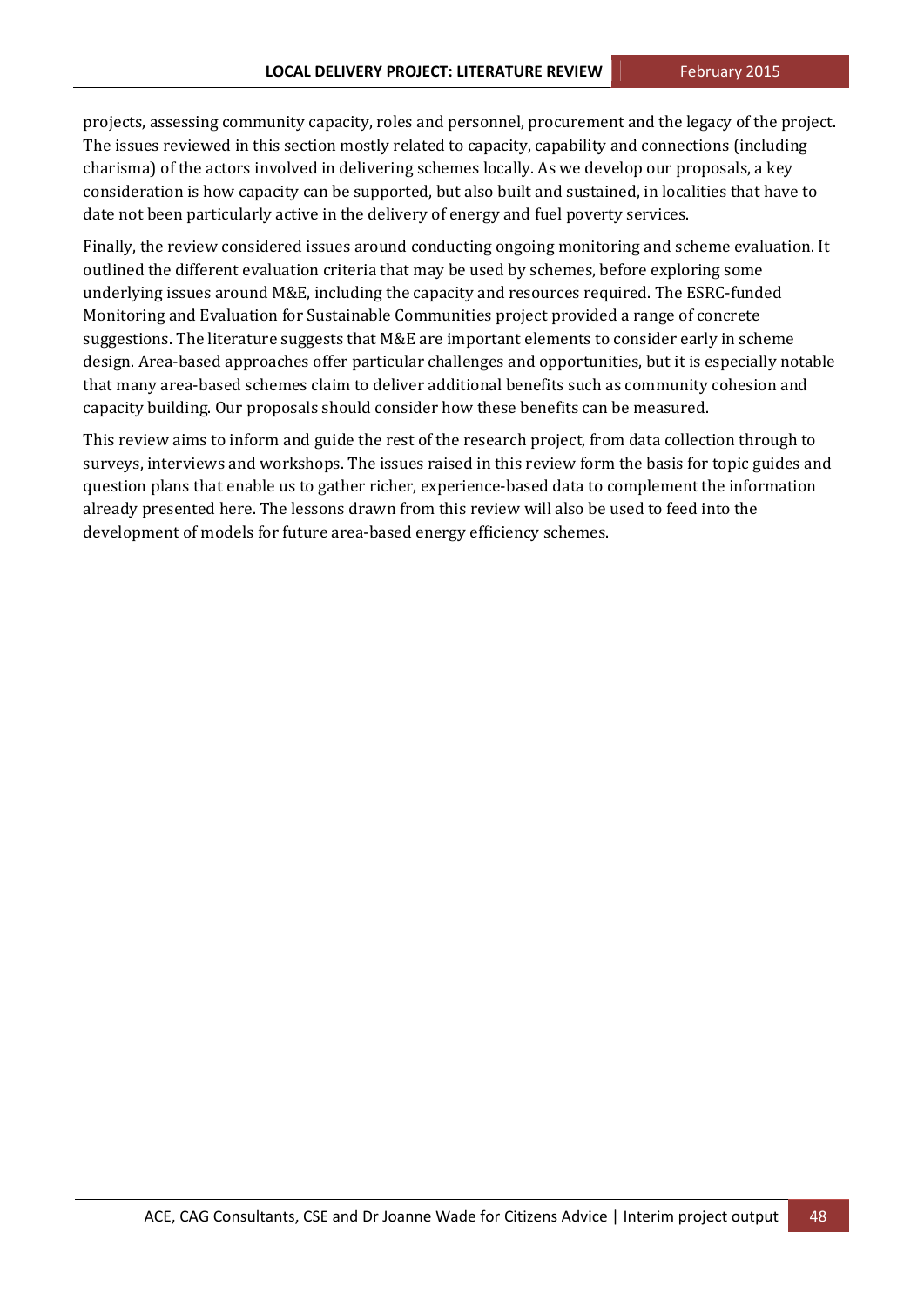projects, assessing community capacity, roles and personnel, procurement and the legacy of the project. The issues reviewed in this section mostly related to capacity, capability and connections (including charisma) of the actors involved in delivering schemes locally. As we develop our proposals, a key consideration is how capacity can be supported, but also built and sustained, in localities that have to date not been particularly active in the delivery of energy and fuel poverty services.

Finally, the review considered issues around conducting ongoing monitoring and scheme evaluation. It outlined the different evaluation criteria that may be used by schemes, before exploring some underlying issues around M&E, including the capacity and resources required. The ESRC-funded Monitoring and Evaluation for Sustainable Communities project provided a range of concrete suggestions. The literature suggests that M&E are important elements to consider early in scheme design. Area-based approaches offer particular challenges and opportunities, but it is especially notable that many area-based schemes claim to deliver additional benefits such as community cohesion and capacity building. Our proposals should consider how these benefits can be measured.

This review aims to inform and guide the rest of the research project, from data collection through to surveys, interviews and workshops. The issues raised in this review form the basis for topic guides and question plans that enable us to gather richer, experience-based data to complement the information already presented here. The lessons drawn from this review will also be used to feed into the development of models for future area-based energy efficiency schemes.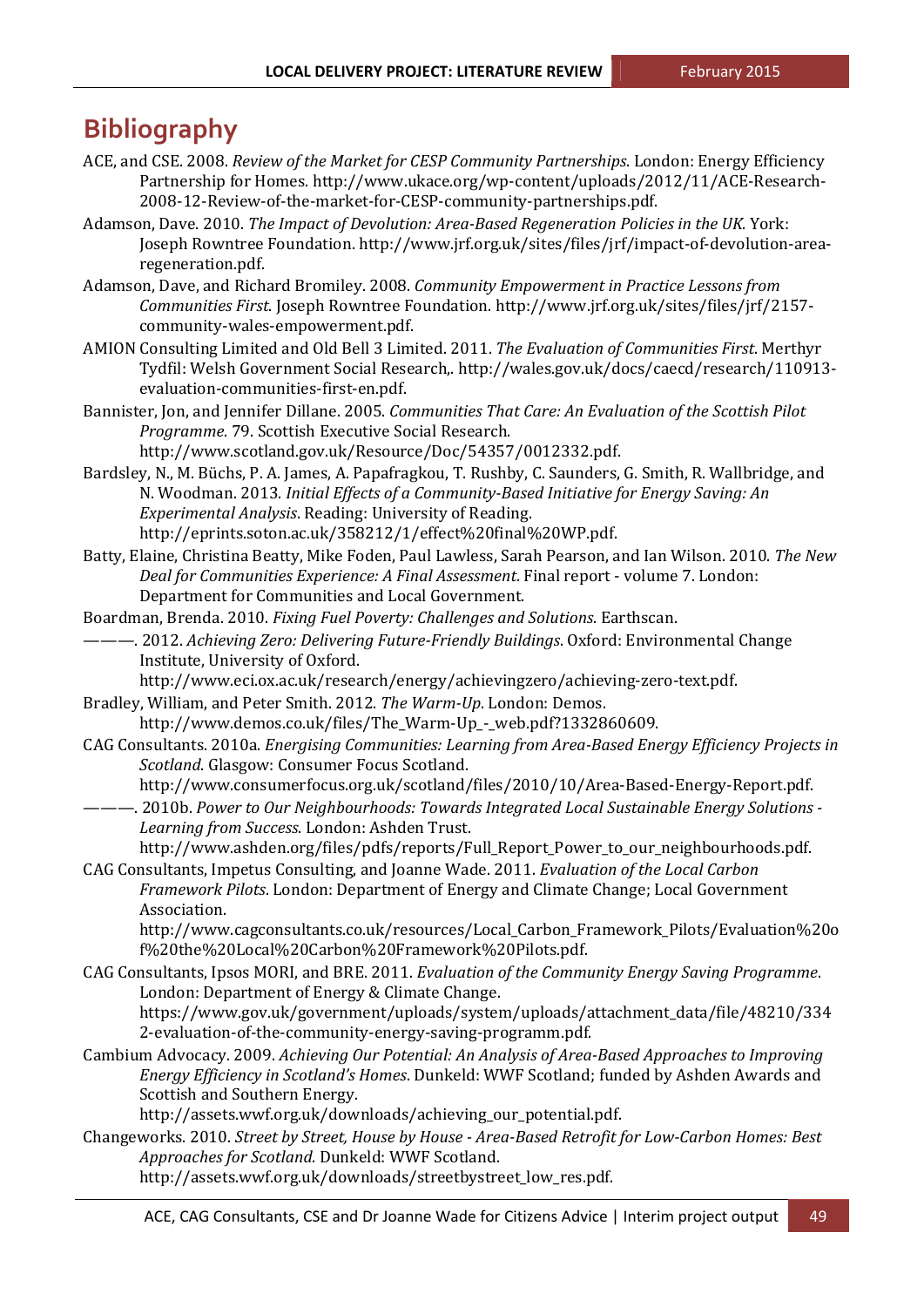## **Bibliography**

- ACE, and CSE. 2008. *Review of the Market for CESP Community Partnerships*. London: Energy Efficiency Partnership for Homes. http://www.ukace.org/wp-content/uploads/2012/11/ACE-Research-2008‐12‐Review‐of‐the‐market‐for‐CESP‐community‐partnerships.pdf.
- Adamson, Dave. 2010. *The Impact of Devolution: Area‐Based Regeneration Policies in the UK*. York: Joseph Rowntree Foundation. http://www.jrf.org.uk/sites/files/jrf/impact-of-devolution-arearegeneration.pdf.
- Adamson, Dave, and Richard Bromiley. 2008. *Community Empowerment in Practice Lessons from Communities First*. Joseph Rowntree Foundation. http://www.jrf.org.uk/sites/files/jrf/2157‐ community‐wales‐empowerment.pdf.
- AMION Consulting Limited and Old Bell 3 Limited. 2011. *The Evaluation of Communities First*. Merthyr Tydfil: Welsh Government Social Research,. http://wales.gov.uk/docs/caecd/research/110913evaluation‐communities‐first‐en.pdf.
- Bannister, Jon, and Jennifer Dillane. 2005. *Communities That Care: An Evaluation of the Scottish Pilot Programme.* 79. Scottish Executive Social Research. http://www.scotland.gov.uk/Resource/Doc/54357/0012332.pdf.
- Bardsley, N., M. Büchs, P. A. James, A. Papafragkou, T. Rushby, C. Saunders, G. Smith, R. Wallbridge, and N. Woodman. 2013. *Initial Effects of a Community‐Based Initiative for Energy Saving: An Experimental Analysis.* Reading: University of Reading. http://eprints.soton.ac.uk/358212/1/effect%20final%20WP.pdf.
- Batty, Elaine, Christina Beatty, Mike Foden, Paul Lawless, Sarah Pearson, and Ian Wilson. 2010. *The New Deal for Communities Experience: A Final Assessment*. Final report ‐ volume 7. London: Department for Communities and Local Government.
- Boardman, Brenda. 2010. *Fixing Fuel Poverty: Challenges and Solutions*. Earthscan.
- ———. 2012. *Achieving Zero: Delivering Future‐Friendly Buildings*. Oxford: Environmental Change Institute, University of Oxford.
	- http://www.eci.ox.ac.uk/research/energy/achievingzero/achieving-zero-text.pdf.
- Bradley, William, and Peter Smith. 2012. *The Warm-Up*. London: Demos. http://www.demos.co.uk/files/The\_Warm‐Up\_‐\_web.pdf?1332860609.
- CAG Consultants. 2010a. *Energising Communities: Learning from Area‐Based Energy Efficiency Projects in Scotland.* Glasgow: Consumer Focus Scotland.

http://www.consumerfocus.org.uk/scotland/files/2010/10/Area-Based-Energy-Report.pdf.

———. 2010b. Power to Our Neighbourhoods: Towards Integrated Local Sustainable Energy Solutions -*Learning from Success*. London: Ashden Trust. 

http://www.ashden.org/files/pdfs/reports/Full\_Report\_Power\_to\_our\_neighbourhoods.pdf. CAG Consultants, Impetus Consulting, and Joanne Wade. 2011. *Evaluation of the Local Carbon*

*Framework Pilots*. London: Department of Energy and Climate Change; Local Government Association. 

http://www.cagconsultants.co.uk/resources/Local\_Carbon\_Framework\_Pilots/Evaluation%20o f%20the%20Local%20Carbon%20Framework%20Pilots.pdf. 

- CAG Consultants, Ipsos MORI, and BRE. 2011. *Evaluation of the Community Energy Saving Programme*. London: Department of Energy & Climate Change. https://www.gov.uk/government/uploads/system/uploads/attachment\_data/file/48210/334 2‐evaluation‐of‐the‐community‐energy‐saving‐programm.pdf.
- Cambium Advocacy. 2009. *Achieving Our Potential: An Analysis of Area‐Based Approaches to Improving Energy Efficiency in Scotland's Homes*. Dunkeld: WWF Scotland; funded by Ashden Awards and Scottish and Southern Energy.

http://assets.wwf.org.uk/downloads/achieving\_our\_potential.pdf.

Changeworks. 2010. *Street by Street, House by House ‐ Area‐Based Retrofit for Low‐Carbon Homes: Best Approaches for Scotland*. Dunkeld: WWF Scotland. 

http://assets.wwf.org.uk/downloads/streetbystreet\_low\_res.pdf.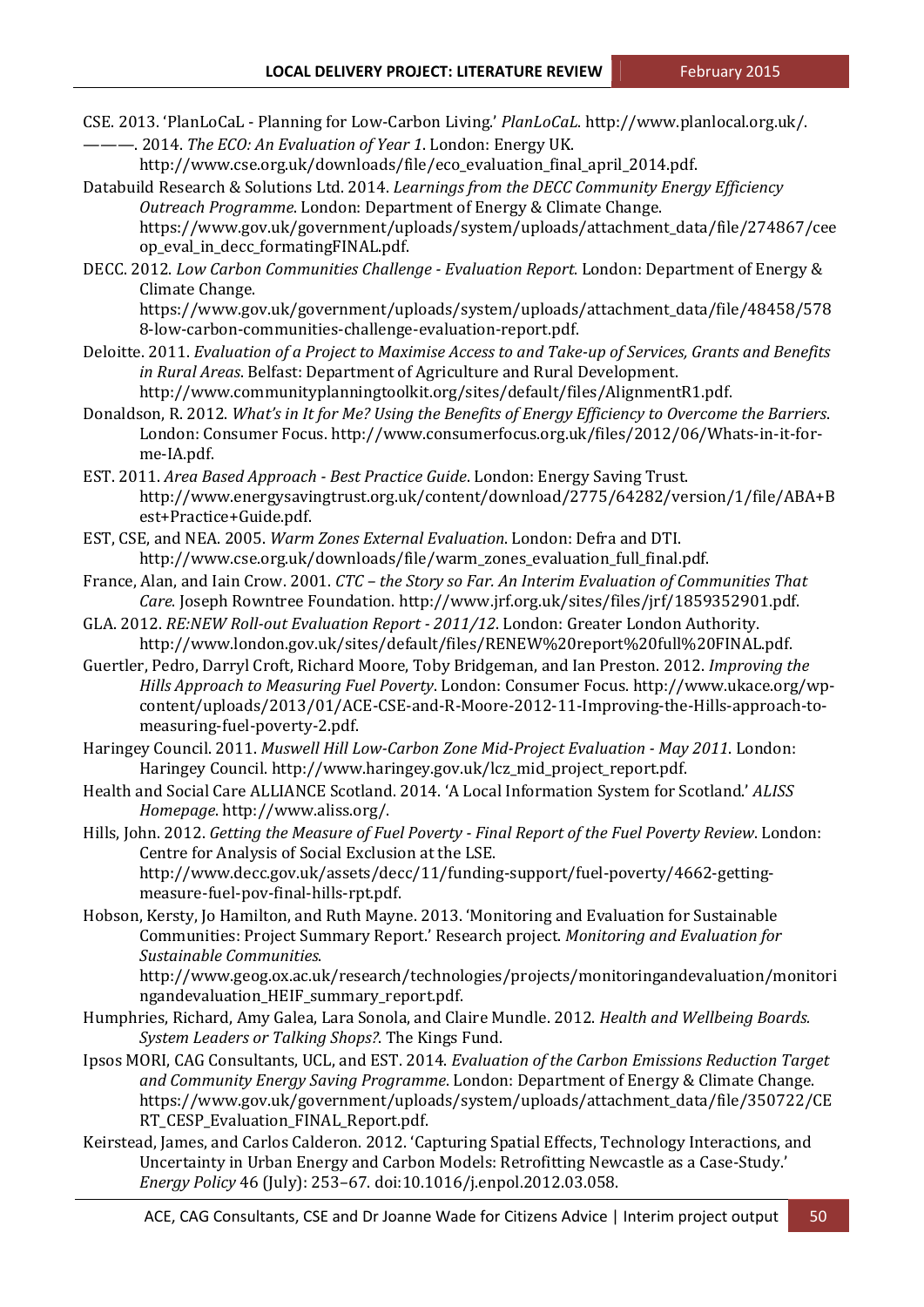CSE. 2013. 'PlanLoCaL - Planning for Low-Carbon Living.' *PlanLoCaL*. http://www.planlocal.org.uk/. ———. 2014. *The ECO: An Evaluation of Year 1*. London: Energy UK. 

http://www.cse.org.uk/downloads/file/eco\_evaluation\_final\_april\_2014.pdf. 

- Databuild Research & Solutions Ltd. 2014. *Learnings from the DECC Community Energy Efficiency Outreach Programme*. London: Department of Energy & Climate Change. https://www.gov.uk/government/uploads/system/uploads/attachment\_data/file/274867/cee
	- op\_eval\_in\_decc\_formatingFINAL.pdf.
- DECC. 2012. *Low Carbon Communities Challenge ‐ Evaluation Report*. London: Department of Energy & Climate Change.

https://www.gov.uk/government/uploads/system/uploads/attachment\_data/file/48458/578 8‐low‐carbon‐communities‐challenge‐evaluation‐report.pdf. 

- Deloitte. 2011. Evaluation of a Project to Maximise Access to and Take-up of Services, Grants and Benefits *in Rural Areas*. Belfast: Department of Agriculture and Rural Development. http://www.communityplanningtoolkit.org/sites/default/files/AlignmentR1.pdf.
- Donaldson, R. 2012. *What's in It for Me? Using the Benefits of Energy Efficiency to Overcome the Barriers*. London: Consumer Focus. http://www.consumerfocus.org.uk/files/2012/06/Whats-in-it-forme‐IA.pdf.
- EST. 2011. *Area Based Approach ‐ Best Practice Guide*. London: Energy Saving Trust. http://www.energysavingtrust.org.uk/content/download/2775/64282/version/1/file/ABA+B est+Practice+Guide.pdf.
- EST, CSE, and NEA. 2005. *Warm Zones External Evaluation*. London: Defra and DTI. http://www.cse.org.uk/downloads/file/warm\_zones\_evaluation\_full\_final.pdf.
- France, Alan, and Iain Crow. 2001. *CTC – the Story so Far. An Interim Evaluation of Communities That* Care. Joseph Rowntree Foundation. http://www.jrf.org.uk/sites/files/jrf/1859352901.pdf.
- GLA. 2012. RE:NEW Roll-out Evaluation Report 2011/12. London: Greater London Authority. http://www.london.gov.uk/sites/default/files/RENEW%20report%20full%20FINAL.pdf.
- Guertler, Pedro, Darryl Croft, Richard Moore, Toby Bridgeman, and Ian Preston. 2012. *Improving the Hills Approach to Measuring Fuel Poverty*. London: Consumer Focus. http://www.ukace.org/wp‐ content/uploads/2013/01/ACE‐CSE‐and‐R‐Moore‐2012‐11‐Improving‐the‐Hills‐approach‐to‐ measuring‐fuel‐poverty‐2.pdf.
- Haringey Council. 2011. *Muswell Hill Low‐Carbon Zone Mid‐Project Evaluation ‐ May 2011*. London: Haringey Council. http://www.haringey.gov.uk/lcz\_mid\_project\_report.pdf.
- Health and Social Care ALLIANCE Scotland. 2014. 'A Local Information System for Scotland.' *ALISS Homepage*. http://www.aliss.org/.
- Hills, John. 2012. *Getting the Measure of Fuel Poverty ‐ Final Report of the Fuel Poverty Review*. London: Centre for Analysis of Social Exclusion at the LSE. http://www.decc.gov.uk/assets/decc/11/funding‐support/fuel‐poverty/4662‐getting‐ measure‐fuel‐pov‐final‐hills‐rpt.pdf.
- Hobson, Kersty, Jo Hamilton, and Ruth Mayne. 2013. 'Monitoring and Evaluation for Sustainable Communities: Project Summary Report.' Research project. *Monitoring and Evaluation for Sustainable Communities*.

http://www.geog.ox.ac.uk/research/technologies/projects/monitoringandevaluation/monitori ngandevaluation\_HEIF\_summary\_report.pdf. 

- Humphries, Richard, Amy Galea, Lara Sonola, and Claire Mundle. 2012. *Health and Wellbeing Boards. System Leaders or Talking Shops?*. The Kings Fund.
- Ipsos MORI, CAG Consultants, UCL, and EST. 2014. *Evaluation of the Carbon Emissions Reduction Target and Community Energy Saving Programme*. London: Department of Energy & Climate Change. https://www.gov.uk/government/uploads/system/uploads/attachment\_data/file/350722/CE RT\_CESP\_Evaluation\_FINAL\_Report.pdf.
- Keirstead, James, and Carlos Calderon. 2012. 'Capturing Spatial Effects, Technology Interactions, and Uncertainty in Urban Energy and Carbon Models: Retrofitting Newcastle as a Case-Study.' *Energy Policy* 46 (July): 253–67. doi:10.1016/j.enpol.2012.03.058.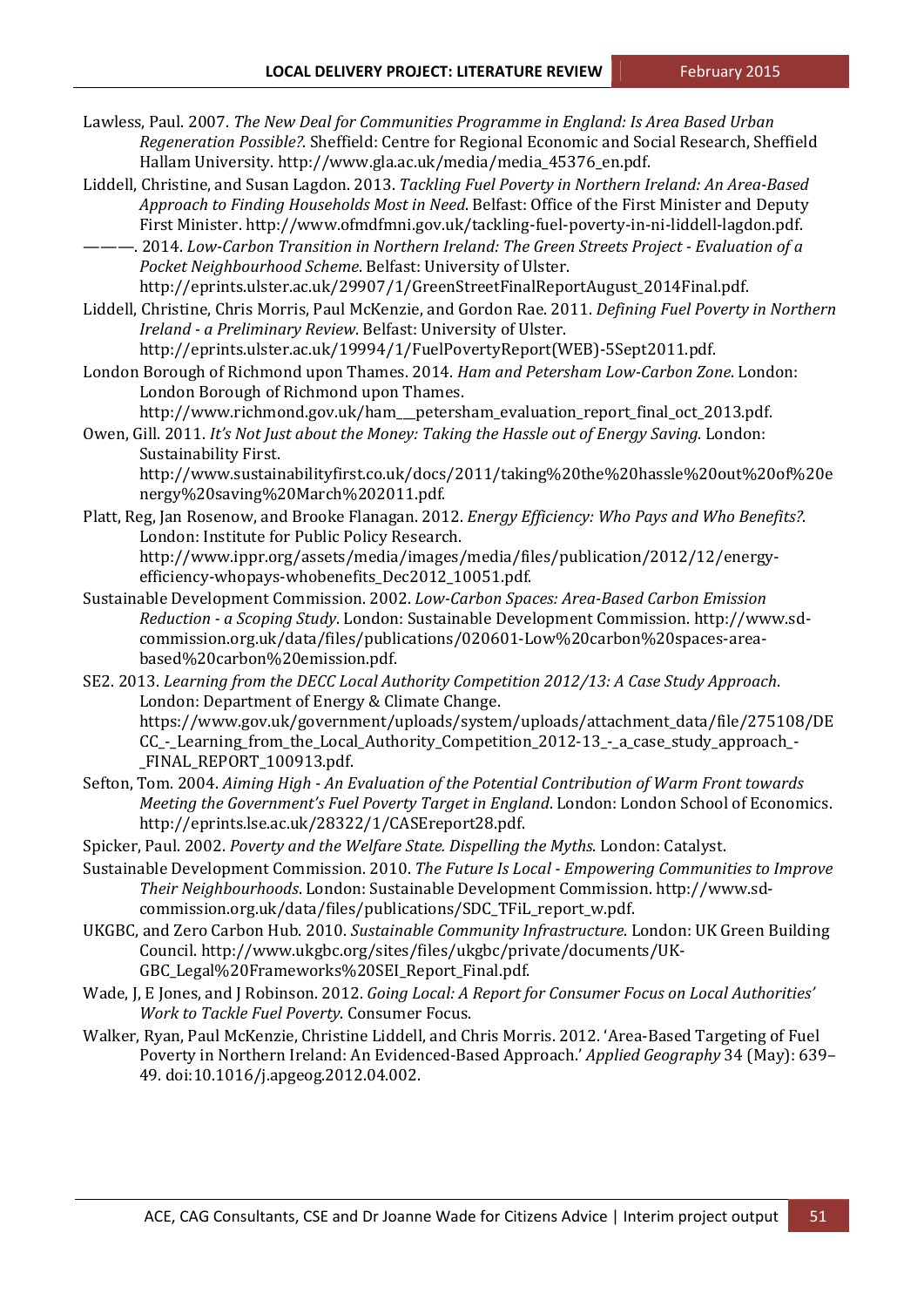- Lawless, Paul. 2007. *The New Deal for Communities Programme in England: Is Area Based Urban Regeneration Possible?*. Sheffield: Centre for Regional Economic and Social Research, Sheffield Hallam University. http://www.gla.ac.uk/media/media\_45376\_en.pdf.
- Liddell, Christine, and Susan Lagdon. 2013. *Tackling Fuel Poverty in Northern Ireland: An Area‐Based Approach to Finding Households Most in Need*. Belfast: Office of the First Minister and Deputy First Minister. http://www.ofmdfmni.gov.uk/tackling-fuel-poverty-in-ni-liddell-lagdon.pdf.
- ———. 2014. *Low‐Carbon Transition in Northern Ireland: The Green Streets Project ‐ Evaluation of a Pocket Neighbourhood Scheme*. Belfast: University of Ulster. http://eprints.ulster.ac.uk/29907/1/GreenStreetFinalReportAugust\_2014Final.pdf.
- Liddell, Christine, Chris Morris, Paul McKenzie, and Gordon Rae. 2011. *Defining Fuel Poverty in Northern Ireland* - a Preliminary Review. Belfast: University of Ulster.

http://eprints.ulster.ac.uk/19994/1/FuelPovertyReport(WEB)‐5Sept2011.pdf. 

- London Borough of Richmond upon Thames. 2014. *Ham and Petersham Low‐Carbon Zone*. London: London Borough of Richmond upon Thames.
- http://www.richmond.gov.uk/ham\_\_\_petersham\_evaluation\_report\_final\_oct\_2013.pdf. Owen, Gill. 2011. *It's Not Just about the Money: Taking the Hassle out of Energy Saving*. London:
- Sustainability First. http://www.sustainabilityfirst.co.uk/docs/2011/taking%20the%20hassle%20out%20of%20e nergy%20saving%20March%202011.pdf.
- Platt, Reg, Jan Rosenow, and Brooke Flanagan. 2012. *Energy Efficiency: Who Pays and Who Benefits?*. London: Institute for Public Policy Research. http://www.ippr.org/assets/media/images/media/files/publication/2012/12/energy‐

efficiency-whopays-whobenefits\_Dec2012\_10051.pdf.

- Sustainable Development Commission. 2002. *Low‐Carbon Spaces: Area‐Based Carbon Emission Reduction ‐ a Scoping Study*. London: Sustainable Development Commission. http://www.sd‐ commission.org.uk/data/files/publications/020601‐Low%20carbon%20spaces‐area‐ based%20carbon%20emission.pdf.
- SE2. 2013. *Learning from the DECC Local Authority Competition 2012/13: A Case Study Approach*. London: Department of Energy & Climate Change. https://www.gov.uk/government/uploads/system/uploads/attachment\_data/file/275108/DE CC\_‐\_Learning\_from\_the\_Local\_Authority\_Competition\_2012‐13\_‐\_a\_case\_study\_approach\_‐ FINAL REPORT 100913.pdf.
- Sefton, Tom. 2004. *Aiming High ‐ An Evaluation of the Potential Contribution of Warm Front towards Meeting the Government's Fuel Poverty Target in England*. London: London School of Economics. http://eprints.lse.ac.uk/28322/1/CASEreport28.pdf.
- Spicker, Paul. 2002. *Poverty and the Welfare State. Dispelling the Myths*. London: Catalyst.
- Sustainable Development Commission. 2010. *The Future Is Local ‐ Empowering Communities to Improve Their Neighbourhoods*. London: Sustainable Development Commission. http://www.sd‐ commission.org.uk/data/files/publications/SDC\_TFiL\_report\_w.pdf.
- UKGBC, and Zero Carbon Hub. 2010. *Sustainable Community Infrastructure*. London: UK Green Building Council. http://www.ukgbc.org/sites/files/ukgbc/private/documents/UK‐ GBC\_Legal%20Frameworks%20SEI\_Report\_Final.pdf.
- Wade, J, E Jones, and J Robinson. 2012. *Going Local: A Report for Consumer Focus on Local Authorities' Work to Tackle Fuel Poverty*. Consumer Focus.
- Walker, Ryan, Paul McKenzie, Christine Liddell, and Chris Morris. 2012. 'Area-Based Targeting of Fuel Poverty in Northern Ireland: An Evidenced-Based Approach.' *Applied Geography* 34 (May): 639– 49. doi:10.1016/j.apgeog.2012.04.002.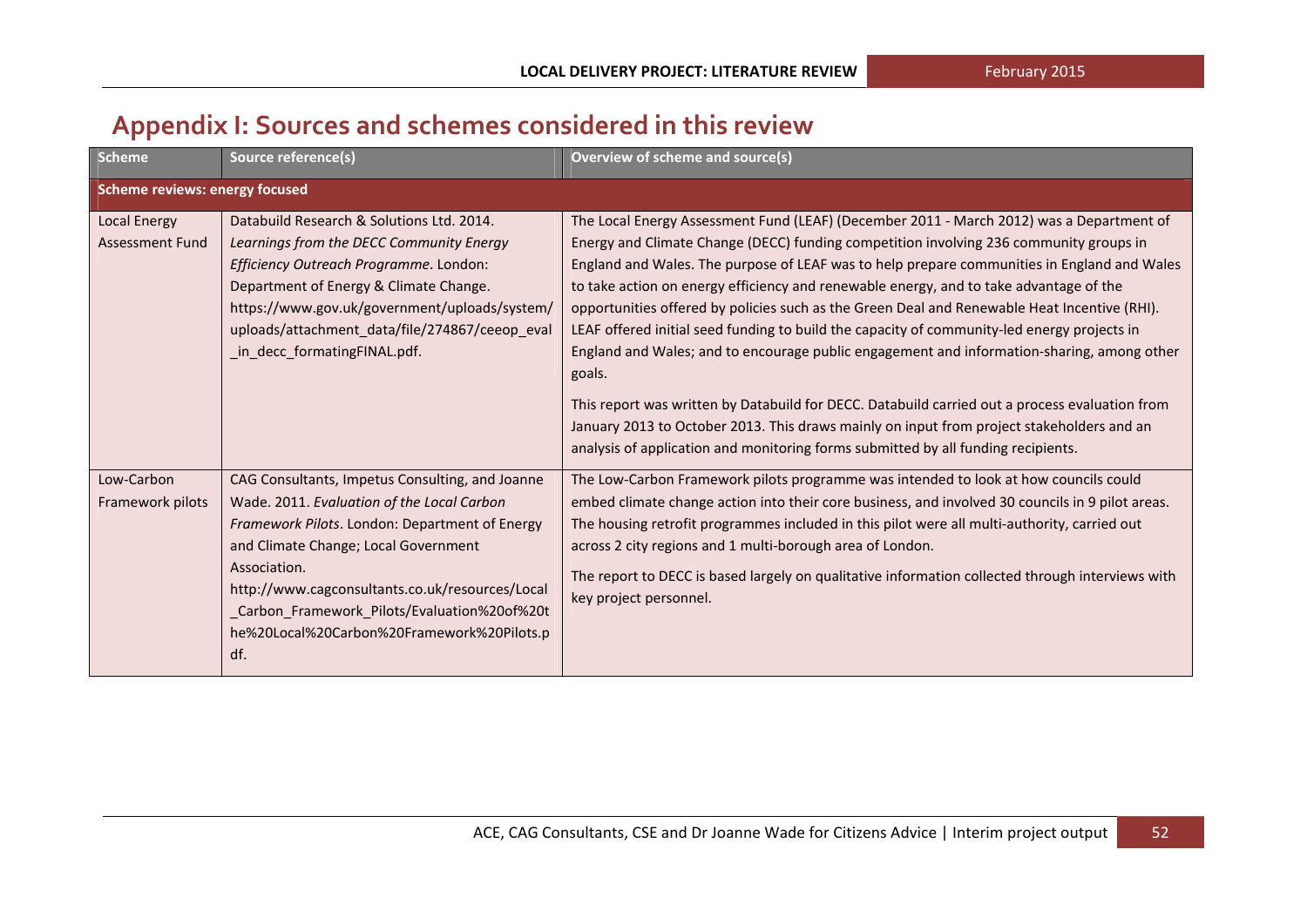## **Appendix I: Sources and schemes considered in this review**

| <b>Scheme</b>                                 | Source reference(s)                                                                                                                                                                                                                                                                                                                                             | Overview of scheme and source(s)                                                                                                                                                                                                                                                                                                                                                                                                                                                                                                                                                                                                                                                                                                                                                                                                                                                                                                                                       |
|-----------------------------------------------|-----------------------------------------------------------------------------------------------------------------------------------------------------------------------------------------------------------------------------------------------------------------------------------------------------------------------------------------------------------------|------------------------------------------------------------------------------------------------------------------------------------------------------------------------------------------------------------------------------------------------------------------------------------------------------------------------------------------------------------------------------------------------------------------------------------------------------------------------------------------------------------------------------------------------------------------------------------------------------------------------------------------------------------------------------------------------------------------------------------------------------------------------------------------------------------------------------------------------------------------------------------------------------------------------------------------------------------------------|
| <b>Scheme reviews: energy focused</b>         |                                                                                                                                                                                                                                                                                                                                                                 |                                                                                                                                                                                                                                                                                                                                                                                                                                                                                                                                                                                                                                                                                                                                                                                                                                                                                                                                                                        |
| <b>Local Energy</b><br><b>Assessment Fund</b> | Databuild Research & Solutions Ltd. 2014.<br>Learnings from the DECC Community Energy<br>Efficiency Outreach Programme. London:<br>Department of Energy & Climate Change.<br>https://www.gov.uk/government/uploads/system/<br>uploads/attachment_data/file/274867/ceeop_eval<br>_in_decc_formatingFINAL.pdf.                                                    | The Local Energy Assessment Fund (LEAF) (December 2011 - March 2012) was a Department of<br>Energy and Climate Change (DECC) funding competition involving 236 community groups in<br>England and Wales. The purpose of LEAF was to help prepare communities in England and Wales<br>to take action on energy efficiency and renewable energy, and to take advantage of the<br>opportunities offered by policies such as the Green Deal and Renewable Heat Incentive (RHI).<br>LEAF offered initial seed funding to build the capacity of community-led energy projects in<br>England and Wales; and to encourage public engagement and information-sharing, among other<br>goals.<br>This report was written by Databuild for DECC. Databuild carried out a process evaluation from<br>January 2013 to October 2013. This draws mainly on input from project stakeholders and an<br>analysis of application and monitoring forms submitted by all funding recipients. |
| Low-Carbon<br>Framework pilots                | CAG Consultants, Impetus Consulting, and Joanne<br>Wade. 2011. Evaluation of the Local Carbon<br>Framework Pilots. London: Department of Energy<br>and Climate Change; Local Government<br>Association.<br>http://www.cagconsultants.co.uk/resources/Local<br>_Carbon_Framework_Pilots/Evaluation%20of%20t<br>he%20Local%20Carbon%20Framework%20Pilots.p<br>df. | The Low-Carbon Framework pilots programme was intended to look at how councils could<br>embed climate change action into their core business, and involved 30 councils in 9 pilot areas.<br>The housing retrofit programmes included in this pilot were all multi-authority, carried out<br>across 2 city regions and 1 multi-borough area of London.<br>The report to DECC is based largely on qualitative information collected through interviews with<br>key project personnel.                                                                                                                                                                                                                                                                                                                                                                                                                                                                                    |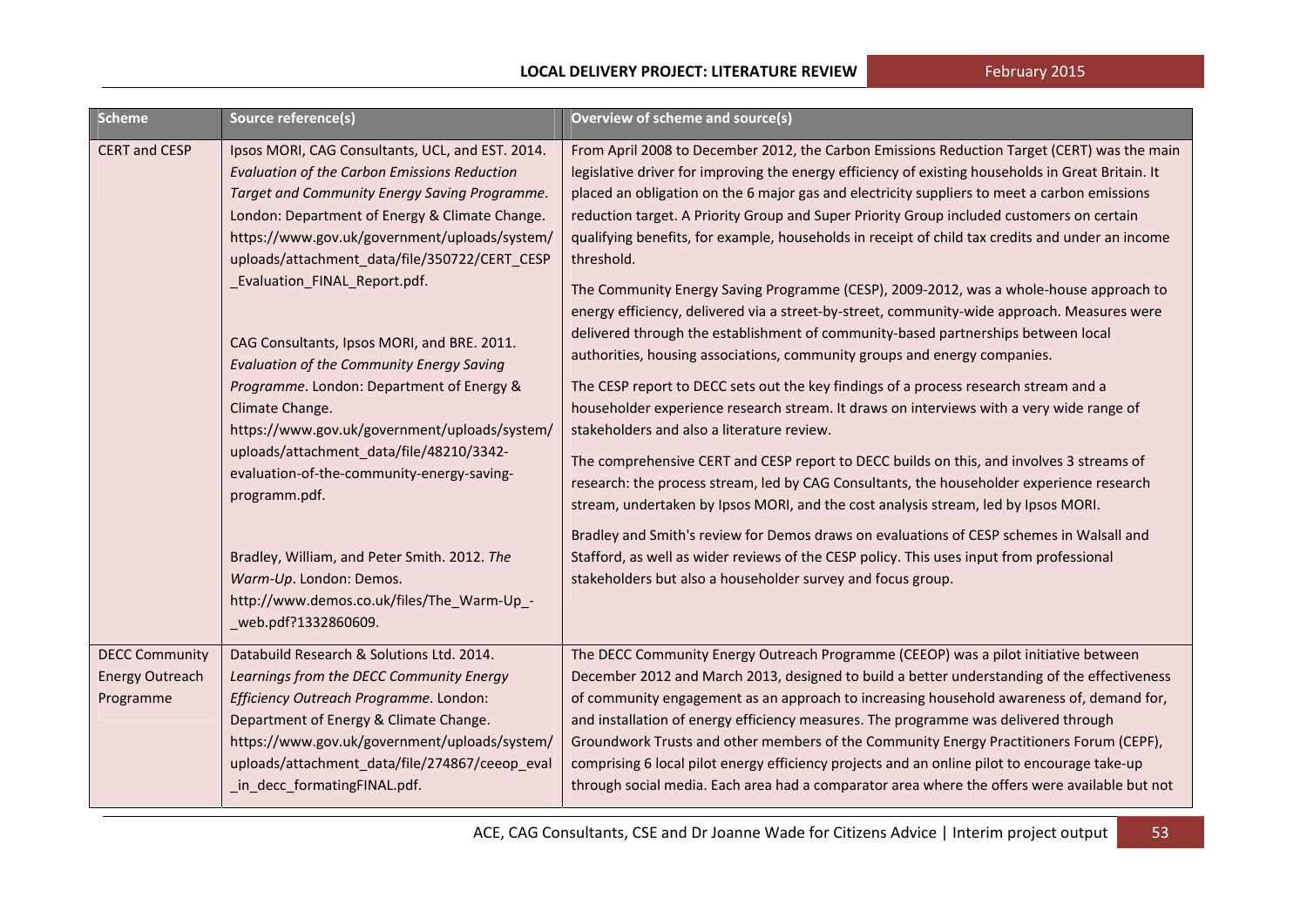| Scheme                                                       | Source reference(s)                                                                                                                                                                                                                                                                                                                           | <b>Overview of scheme and source(s)</b>                                                                                                                                                                                                                                                                                                                                                                                                                                                                                                                                                                                                                                                                   |
|--------------------------------------------------------------|-----------------------------------------------------------------------------------------------------------------------------------------------------------------------------------------------------------------------------------------------------------------------------------------------------------------------------------------------|-----------------------------------------------------------------------------------------------------------------------------------------------------------------------------------------------------------------------------------------------------------------------------------------------------------------------------------------------------------------------------------------------------------------------------------------------------------------------------------------------------------------------------------------------------------------------------------------------------------------------------------------------------------------------------------------------------------|
| <b>CERT and CESP</b>                                         | Ipsos MORI, CAG Consultants, UCL, and EST. 2014.<br><b>Evaluation of the Carbon Emissions Reduction</b><br>Target and Community Energy Saving Programme.<br>London: Department of Energy & Climate Change.<br>https://www.gov.uk/government/uploads/system/<br>uploads/attachment_data/file/350722/CERT_CESP<br>_Evaluation_FINAL_Report.pdf. | From April 2008 to December 2012, the Carbon Emissions Reduction Target (CERT) was the main<br>legislative driver for improving the energy efficiency of existing households in Great Britain. It<br>placed an obligation on the 6 major gas and electricity suppliers to meet a carbon emissions<br>reduction target. A Priority Group and Super Priority Group included customers on certain<br>qualifying benefits, for example, households in receipt of child tax credits and under an income<br>threshold.<br>The Community Energy Saving Programme (CESP), 2009-2012, was a whole-house approach to<br>energy efficiency, delivered via a street-by-street, community-wide approach. Measures were |
|                                                              | CAG Consultants, Ipsos MORI, and BRE. 2011.<br><b>Evaluation of the Community Energy Saving</b>                                                                                                                                                                                                                                               | delivered through the establishment of community-based partnerships between local<br>authorities, housing associations, community groups and energy companies.                                                                                                                                                                                                                                                                                                                                                                                                                                                                                                                                            |
|                                                              | Programme. London: Department of Energy &<br>Climate Change.<br>https://www.gov.uk/government/uploads/system/<br>uploads/attachment_data/file/48210/3342-<br>evaluation-of-the-community-energy-saving-<br>programm.pdf.                                                                                                                      | The CESP report to DECC sets out the key findings of a process research stream and a<br>householder experience research stream. It draws on interviews with a very wide range of<br>stakeholders and also a literature review.<br>The comprehensive CERT and CESP report to DECC builds on this, and involves 3 streams of<br>research: the process stream, led by CAG Consultants, the householder experience research<br>stream, undertaken by Ipsos MORI, and the cost analysis stream, led by Ipsos MORI.<br>Bradley and Smith's review for Demos draws on evaluations of CESP schemes in Walsall and                                                                                                 |
|                                                              | Bradley, William, and Peter Smith. 2012. The<br>Warm-Up. London: Demos.<br>http://www.demos.co.uk/files/The_Warm-Up_-<br>web.pdf?1332860609.                                                                                                                                                                                                  | Stafford, as well as wider reviews of the CESP policy. This uses input from professional<br>stakeholders but also a householder survey and focus group.                                                                                                                                                                                                                                                                                                                                                                                                                                                                                                                                                   |
| <b>DECC Community</b><br><b>Energy Outreach</b><br>Programme | Databuild Research & Solutions Ltd. 2014.<br>Learnings from the DECC Community Energy<br>Efficiency Outreach Programme. London:<br>Department of Energy & Climate Change.<br>https://www.gov.uk/government/uploads/system/<br>uploads/attachment_data/file/274867/ceeop_eval<br>_in_decc_formatingFINAL.pdf.                                  | The DECC Community Energy Outreach Programme (CEEOP) was a pilot initiative between<br>December 2012 and March 2013, designed to build a better understanding of the effectiveness<br>of community engagement as an approach to increasing household awareness of, demand for,<br>and installation of energy efficiency measures. The programme was delivered through<br>Groundwork Trusts and other members of the Community Energy Practitioners Forum (CEPF),<br>comprising 6 local pilot energy efficiency projects and an online pilot to encourage take-up<br>through social media. Each area had a comparator area where the offers were available but not                                         |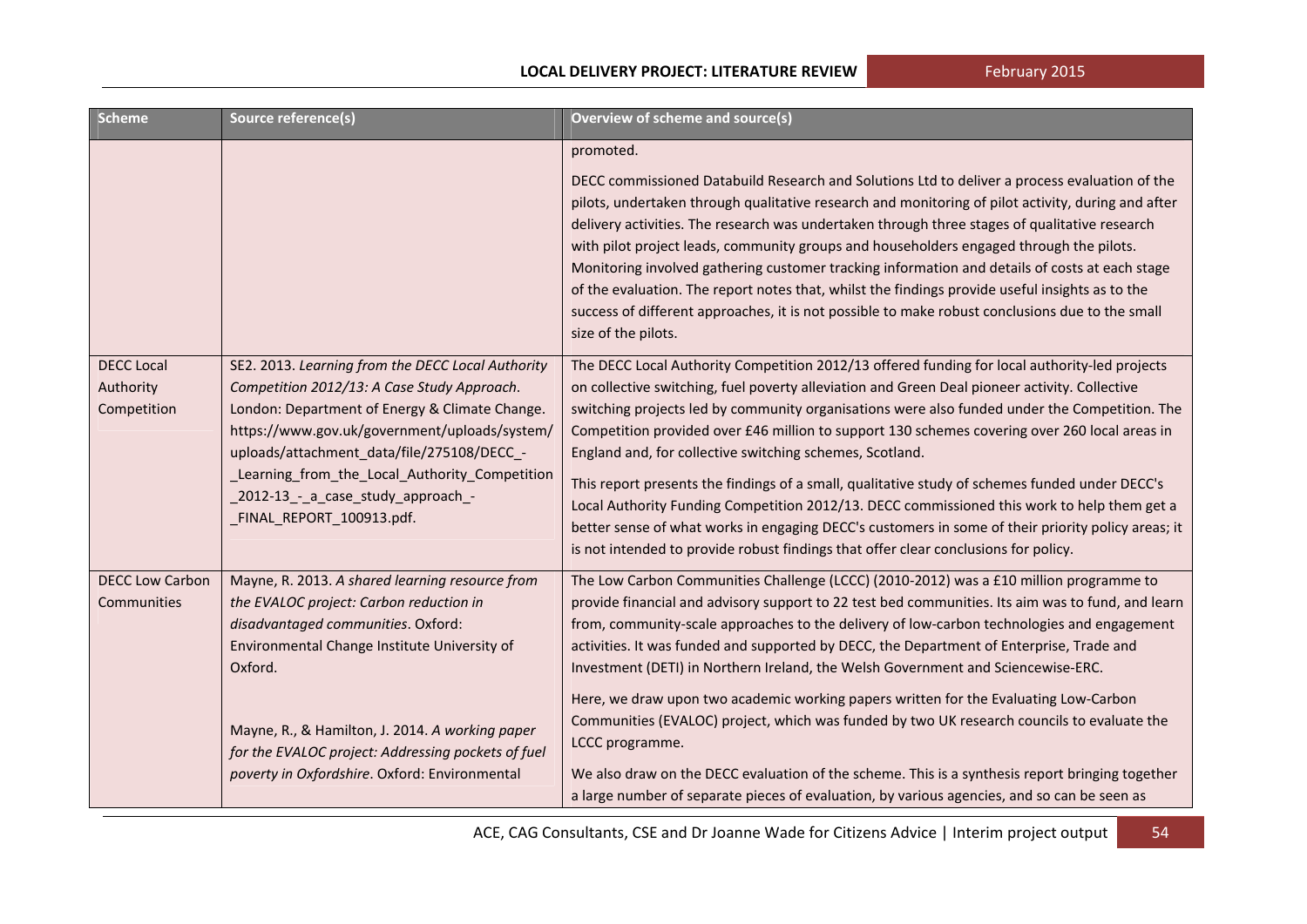| <b>Scheme</b>                                 | Source reference(s)                                                                                                                                                                                                                                                                                                                                                   | <b>Overview of scheme and source(s)</b>                                                                                                                                                                                                                                                                                                                                                                                                                                                                                                                                                                                                                                                                                                                                                                                                                    |
|-----------------------------------------------|-----------------------------------------------------------------------------------------------------------------------------------------------------------------------------------------------------------------------------------------------------------------------------------------------------------------------------------------------------------------------|------------------------------------------------------------------------------------------------------------------------------------------------------------------------------------------------------------------------------------------------------------------------------------------------------------------------------------------------------------------------------------------------------------------------------------------------------------------------------------------------------------------------------------------------------------------------------------------------------------------------------------------------------------------------------------------------------------------------------------------------------------------------------------------------------------------------------------------------------------|
|                                               |                                                                                                                                                                                                                                                                                                                                                                       | promoted.                                                                                                                                                                                                                                                                                                                                                                                                                                                                                                                                                                                                                                                                                                                                                                                                                                                  |
|                                               |                                                                                                                                                                                                                                                                                                                                                                       | DECC commissioned Databuild Research and Solutions Ltd to deliver a process evaluation of the<br>pilots, undertaken through qualitative research and monitoring of pilot activity, during and after<br>delivery activities. The research was undertaken through three stages of qualitative research<br>with pilot project leads, community groups and householders engaged through the pilots.<br>Monitoring involved gathering customer tracking information and details of costs at each stage<br>of the evaluation. The report notes that, whilst the findings provide useful insights as to the<br>success of different approaches, it is not possible to make robust conclusions due to the small<br>size of the pilots.                                                                                                                             |
| <b>DECC Local</b><br>Authority<br>Competition | SE2. 2013. Learning from the DECC Local Authority<br>Competition 2012/13: A Case Study Approach.<br>London: Department of Energy & Climate Change.<br>https://www.gov.uk/government/uploads/system/<br>uploads/attachment_data/file/275108/DECC_-<br>_Learning_from_the_Local_Authority_Competition<br>_2012-13_-_a_case_study_approach_-<br>FINAL_REPORT_100913.pdf. | The DECC Local Authority Competition 2012/13 offered funding for local authority-led projects<br>on collective switching, fuel poverty alleviation and Green Deal pioneer activity. Collective<br>switching projects led by community organisations were also funded under the Competition. The<br>Competition provided over £46 million to support 130 schemes covering over 260 local areas in<br>England and, for collective switching schemes, Scotland.<br>This report presents the findings of a small, qualitative study of schemes funded under DECC's<br>Local Authority Funding Competition 2012/13. DECC commissioned this work to help them get a<br>better sense of what works in engaging DECC's customers in some of their priority policy areas; it<br>is not intended to provide robust findings that offer clear conclusions for policy. |
| <b>DECC Low Carbon</b><br>Communities         | Mayne, R. 2013. A shared learning resource from<br>the EVALOC project: Carbon reduction in<br>disadvantaged communities. Oxford:<br>Environmental Change Institute University of<br>Oxford.<br>Mayne, R., & Hamilton, J. 2014. A working paper<br>for the EVALOC project: Addressing pockets of fuel<br>poverty in Oxfordshire. Oxford: Environmental                 | The Low Carbon Communities Challenge (LCCC) (2010-2012) was a £10 million programme to<br>provide financial and advisory support to 22 test bed communities. Its aim was to fund, and learn<br>from, community-scale approaches to the delivery of low-carbon technologies and engagement<br>activities. It was funded and supported by DECC, the Department of Enterprise, Trade and<br>Investment (DETI) in Northern Ireland, the Welsh Government and Sciencewise-ERC.<br>Here, we draw upon two academic working papers written for the Evaluating Low-Carbon<br>Communities (EVALOC) project, which was funded by two UK research councils to evaluate the<br>LCCC programme.<br>We also draw on the DECC evaluation of the scheme. This is a synthesis report bringing together                                                                      |
|                                               |                                                                                                                                                                                                                                                                                                                                                                       | a large number of separate pieces of evaluation, by various agencies, and so can be seen as                                                                                                                                                                                                                                                                                                                                                                                                                                                                                                                                                                                                                                                                                                                                                                |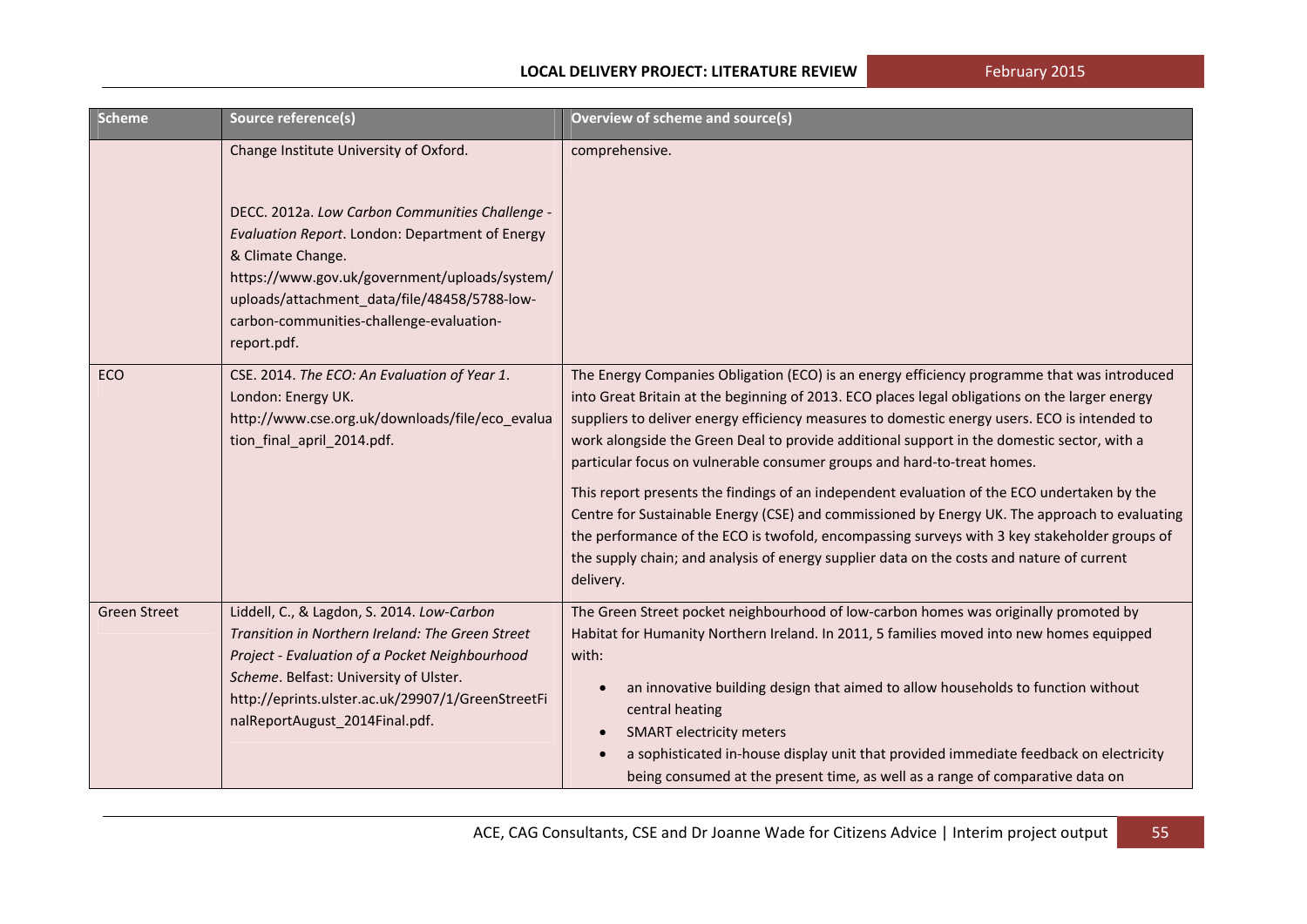| <b>Scheme</b>       | Source reference(s)                                                                                                                                                                                                                                                                                                           | Overview of scheme and source(s)                                                                                                                                                                                                                                                                                                                                                                                                                                                                                                                                                                                                                                                                                                                                                                                                                                                 |
|---------------------|-------------------------------------------------------------------------------------------------------------------------------------------------------------------------------------------------------------------------------------------------------------------------------------------------------------------------------|----------------------------------------------------------------------------------------------------------------------------------------------------------------------------------------------------------------------------------------------------------------------------------------------------------------------------------------------------------------------------------------------------------------------------------------------------------------------------------------------------------------------------------------------------------------------------------------------------------------------------------------------------------------------------------------------------------------------------------------------------------------------------------------------------------------------------------------------------------------------------------|
|                     | Change Institute University of Oxford.<br>DECC. 2012a. Low Carbon Communities Challenge -<br>Evaluation Report. London: Department of Energy<br>& Climate Change.<br>https://www.gov.uk/government/uploads/system/<br>uploads/attachment_data/file/48458/5788-low-<br>carbon-communities-challenge-evaluation-<br>report.pdf. | comprehensive.                                                                                                                                                                                                                                                                                                                                                                                                                                                                                                                                                                                                                                                                                                                                                                                                                                                                   |
| ECO                 | CSE. 2014. The ECO: An Evaluation of Year 1.<br>London: Energy UK.<br>http://www.cse.org.uk/downloads/file/eco_evalua<br>tion_final_april_2014.pdf.                                                                                                                                                                           | The Energy Companies Obligation (ECO) is an energy efficiency programme that was introduced<br>into Great Britain at the beginning of 2013. ECO places legal obligations on the larger energy<br>suppliers to deliver energy efficiency measures to domestic energy users. ECO is intended to<br>work alongside the Green Deal to provide additional support in the domestic sector, with a<br>particular focus on vulnerable consumer groups and hard-to-treat homes.<br>This report presents the findings of an independent evaluation of the ECO undertaken by the<br>Centre for Sustainable Energy (CSE) and commissioned by Energy UK. The approach to evaluating<br>the performance of the ECO is twofold, encompassing surveys with 3 key stakeholder groups of<br>the supply chain; and analysis of energy supplier data on the costs and nature of current<br>delivery. |
| <b>Green Street</b> | Liddell, C., & Lagdon, S. 2014. Low-Carbon<br>Transition in Northern Ireland: The Green Street<br>Project - Evaluation of a Pocket Neighbourhood<br>Scheme. Belfast: University of Ulster.<br>http://eprints.ulster.ac.uk/29907/1/GreenStreetFi<br>nalReportAugust_2014Final.pdf.                                             | The Green Street pocket neighbourhood of low-carbon homes was originally promoted by<br>Habitat for Humanity Northern Ireland. In 2011, 5 families moved into new homes equipped<br>with:<br>an innovative building design that aimed to allow households to function without<br>$\bullet$<br>central heating<br><b>SMART electricity meters</b><br>$\bullet$<br>a sophisticated in-house display unit that provided immediate feedback on electricity<br>being consumed at the present time, as well as a range of comparative data on                                                                                                                                                                                                                                                                                                                                          |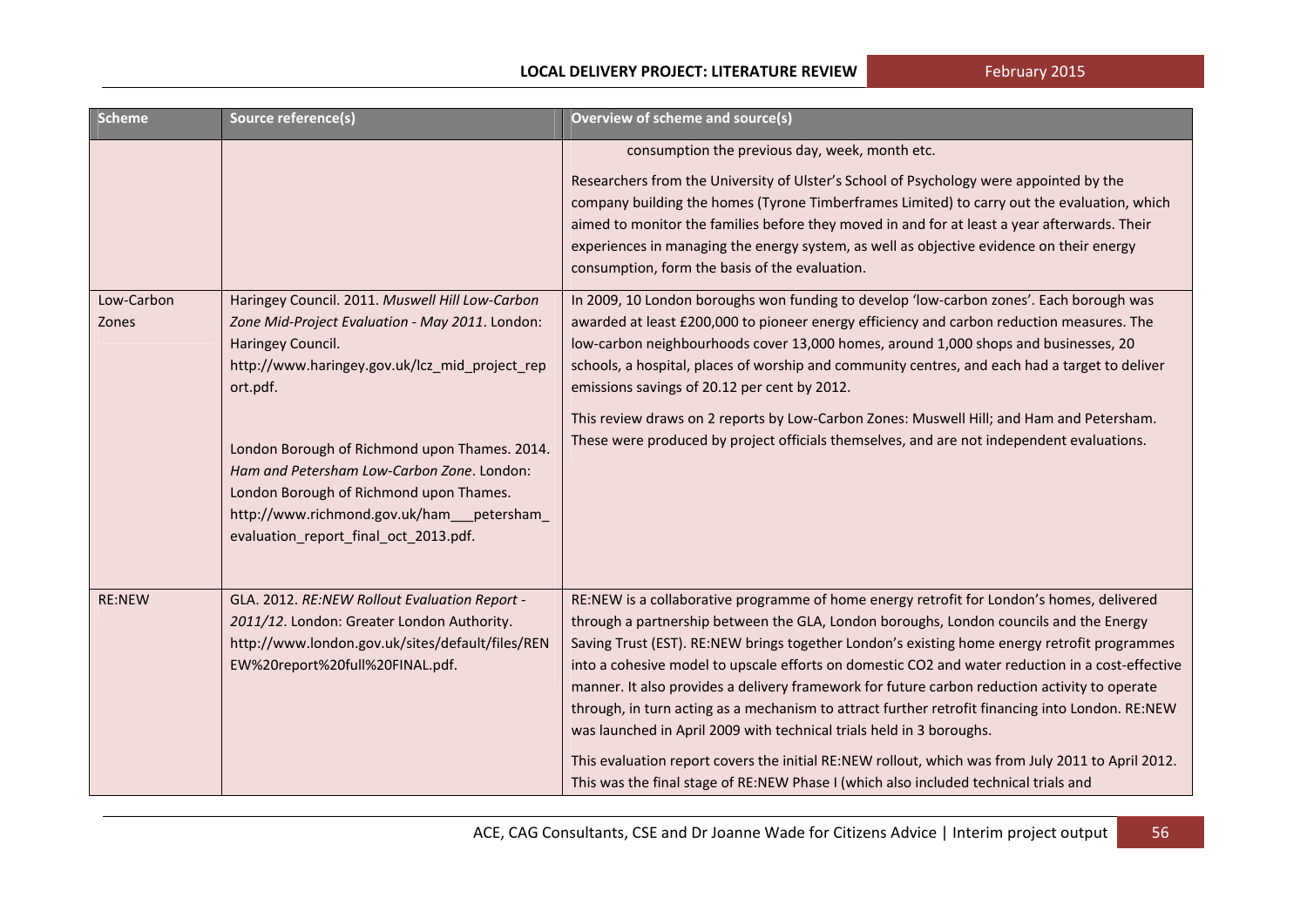February 2015

#### **LOCAL DELIVERY PROJECT: LITERATURE REVIEW**

| Scheme              | Source reference(s)                                                                                                                                                                                                                                                                                                                                                                                                     | Overview of scheme and source(s)                                                                                                                                                                                                                                                                                                                                                                                                                                                                                                                                                                                                                                                                                                                                                                                                                                  |
|---------------------|-------------------------------------------------------------------------------------------------------------------------------------------------------------------------------------------------------------------------------------------------------------------------------------------------------------------------------------------------------------------------------------------------------------------------|-------------------------------------------------------------------------------------------------------------------------------------------------------------------------------------------------------------------------------------------------------------------------------------------------------------------------------------------------------------------------------------------------------------------------------------------------------------------------------------------------------------------------------------------------------------------------------------------------------------------------------------------------------------------------------------------------------------------------------------------------------------------------------------------------------------------------------------------------------------------|
|                     |                                                                                                                                                                                                                                                                                                                                                                                                                         | consumption the previous day, week, month etc.<br>Researchers from the University of Ulster's School of Psychology were appointed by the<br>company building the homes (Tyrone Timberframes Limited) to carry out the evaluation, which<br>aimed to monitor the families before they moved in and for at least a year afterwards. Their<br>experiences in managing the energy system, as well as objective evidence on their energy<br>consumption, form the basis of the evaluation.                                                                                                                                                                                                                                                                                                                                                                             |
| Low-Carbon<br>Zones | Haringey Council. 2011. Muswell Hill Low-Carbon<br>Zone Mid-Project Evaluation - May 2011. London:<br>Haringey Council.<br>http://www.haringey.gov.uk/lcz_mid_project_rep<br>ort.pdf.<br>London Borough of Richmond upon Thames. 2014.<br>Ham and Petersham Low-Carbon Zone. London:<br>London Borough of Richmond upon Thames.<br>http://www.richmond.gov.uk/ham___petersham_<br>evaluation_report_final_oct_2013.pdf. | In 2009, 10 London boroughs won funding to develop 'low-carbon zones'. Each borough was<br>awarded at least £200,000 to pioneer energy efficiency and carbon reduction measures. The<br>low-carbon neighbourhoods cover 13,000 homes, around 1,000 shops and businesses, 20<br>schools, a hospital, places of worship and community centres, and each had a target to deliver<br>emissions savings of 20.12 per cent by 2012.<br>This review draws on 2 reports by Low-Carbon Zones: Muswell Hill; and Ham and Petersham.<br>These were produced by project officials themselves, and are not independent evaluations.                                                                                                                                                                                                                                            |
| <b>RE:NEW</b>       | GLA. 2012. RE:NEW Rollout Evaluation Report -<br>2011/12. London: Greater London Authority.<br>http://www.london.gov.uk/sites/default/files/REN<br>EW%20report%20full%20FINAL.pdf.                                                                                                                                                                                                                                      | RE:NEW is a collaborative programme of home energy retrofit for London's homes, delivered<br>through a partnership between the GLA, London boroughs, London councils and the Energy<br>Saving Trust (EST). RE:NEW brings together London's existing home energy retrofit programmes<br>into a cohesive model to upscale efforts on domestic CO2 and water reduction in a cost-effective<br>manner. It also provides a delivery framework for future carbon reduction activity to operate<br>through, in turn acting as a mechanism to attract further retrofit financing into London. RE:NEW<br>was launched in April 2009 with technical trials held in 3 boroughs.<br>This evaluation report covers the initial RE:NEW rollout, which was from July 2011 to April 2012.<br>This was the final stage of RE:NEW Phase I (which also included technical trials and |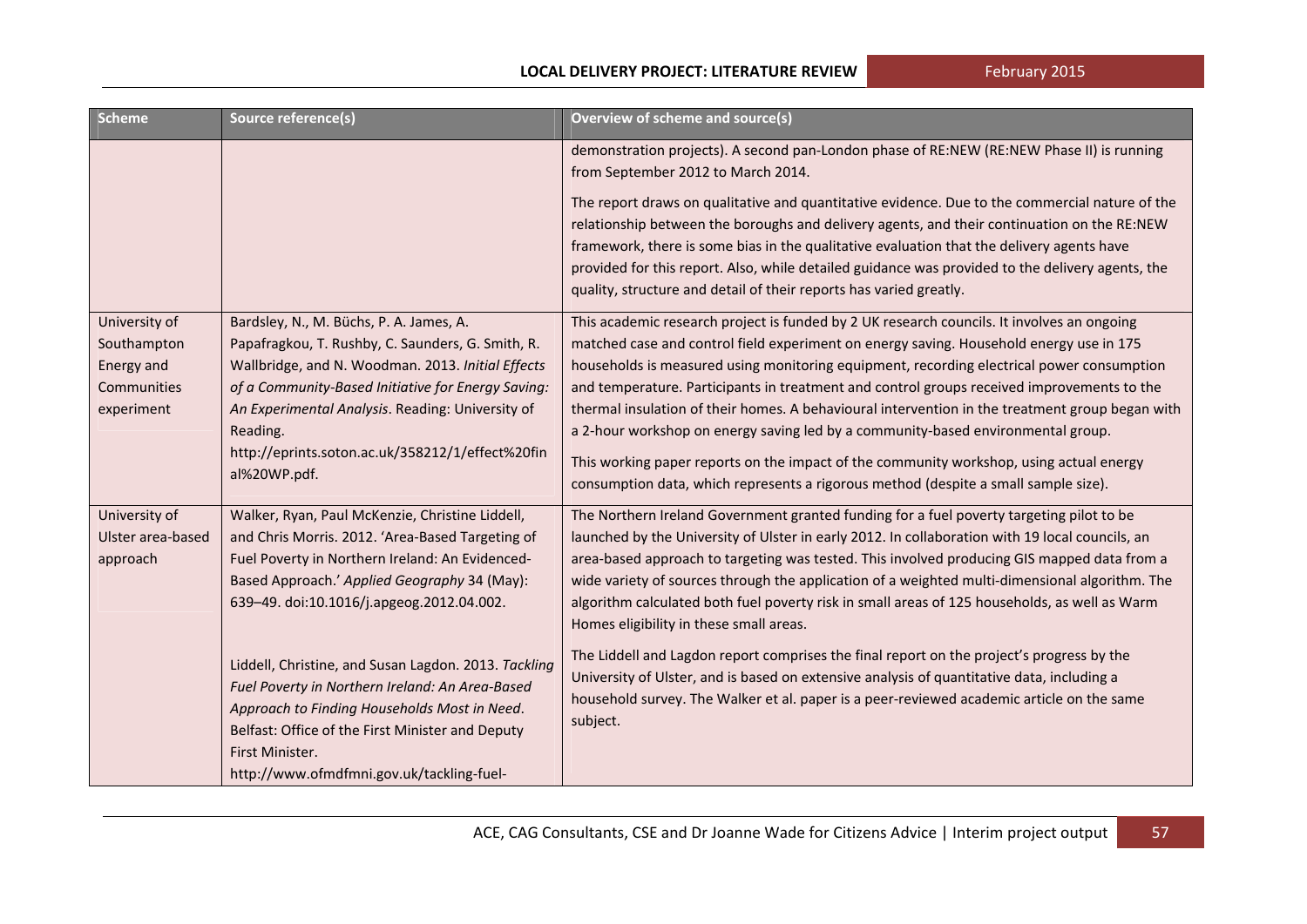February 2015

#### **LOCAL DELIVERY PROJECT: LITERATURE REVIEW**

| <b>Scheme</b>                                                           | Source reference(s)                                                                                                                                                                                                                                                                                                                         | Overview of scheme and source(s)                                                                                                                                                                                                                                                                                                                                                                                                                                                                                                                                                                                                                                                                                                                          |
|-------------------------------------------------------------------------|---------------------------------------------------------------------------------------------------------------------------------------------------------------------------------------------------------------------------------------------------------------------------------------------------------------------------------------------|-----------------------------------------------------------------------------------------------------------------------------------------------------------------------------------------------------------------------------------------------------------------------------------------------------------------------------------------------------------------------------------------------------------------------------------------------------------------------------------------------------------------------------------------------------------------------------------------------------------------------------------------------------------------------------------------------------------------------------------------------------------|
|                                                                         |                                                                                                                                                                                                                                                                                                                                             | demonstration projects). A second pan-London phase of RE:NEW (RE:NEW Phase II) is running<br>from September 2012 to March 2014.                                                                                                                                                                                                                                                                                                                                                                                                                                                                                                                                                                                                                           |
|                                                                         |                                                                                                                                                                                                                                                                                                                                             | The report draws on qualitative and quantitative evidence. Due to the commercial nature of the<br>relationship between the boroughs and delivery agents, and their continuation on the RE:NEW<br>framework, there is some bias in the qualitative evaluation that the delivery agents have<br>provided for this report. Also, while detailed guidance was provided to the delivery agents, the<br>quality, structure and detail of their reports has varied greatly.                                                                                                                                                                                                                                                                                      |
| University of<br>Southampton<br>Energy and<br>Communities<br>experiment | Bardsley, N., M. Büchs, P. A. James, A.<br>Papafragkou, T. Rushby, C. Saunders, G. Smith, R.<br>Wallbridge, and N. Woodman. 2013. Initial Effects<br>of a Community-Based Initiative for Energy Saving:<br>An Experimental Analysis. Reading: University of<br>Reading.<br>http://eprints.soton.ac.uk/358212/1/effect%20fin<br>al%20WP.pdf. | This academic research project is funded by 2 UK research councils. It involves an ongoing<br>matched case and control field experiment on energy saving. Household energy use in 175<br>households is measured using monitoring equipment, recording electrical power consumption<br>and temperature. Participants in treatment and control groups received improvements to the<br>thermal insulation of their homes. A behavioural intervention in the treatment group began with<br>a 2-hour workshop on energy saving led by a community-based environmental group.<br>This working paper reports on the impact of the community workshop, using actual energy<br>consumption data, which represents a rigorous method (despite a small sample size). |
| University of<br>Ulster area-based<br>approach                          | Walker, Ryan, Paul McKenzie, Christine Liddell,<br>and Chris Morris. 2012. 'Area-Based Targeting of<br>Fuel Poverty in Northern Ireland: An Evidenced-<br>Based Approach.' Applied Geography 34 (May):<br>639-49. doi:10.1016/j.apgeog.2012.04.002.                                                                                         | The Northern Ireland Government granted funding for a fuel poverty targeting pilot to be<br>launched by the University of Ulster in early 2012. In collaboration with 19 local councils, an<br>area-based approach to targeting was tested. This involved producing GIS mapped data from a<br>wide variety of sources through the application of a weighted multi-dimensional algorithm. The<br>algorithm calculated both fuel poverty risk in small areas of 125 households, as well as Warm<br>Homes eligibility in these small areas.                                                                                                                                                                                                                  |
|                                                                         | Liddell, Christine, and Susan Lagdon. 2013. Tackling<br>Fuel Poverty in Northern Ireland: An Area-Based<br>Approach to Finding Households Most in Need.<br>Belfast: Office of the First Minister and Deputy<br>First Minister.<br>http://www.ofmdfmni.gov.uk/tackling-fuel-                                                                 | The Liddell and Lagdon report comprises the final report on the project's progress by the<br>University of Ulster, and is based on extensive analysis of quantitative data, including a<br>household survey. The Walker et al. paper is a peer-reviewed academic article on the same<br>subject.                                                                                                                                                                                                                                                                                                                                                                                                                                                          |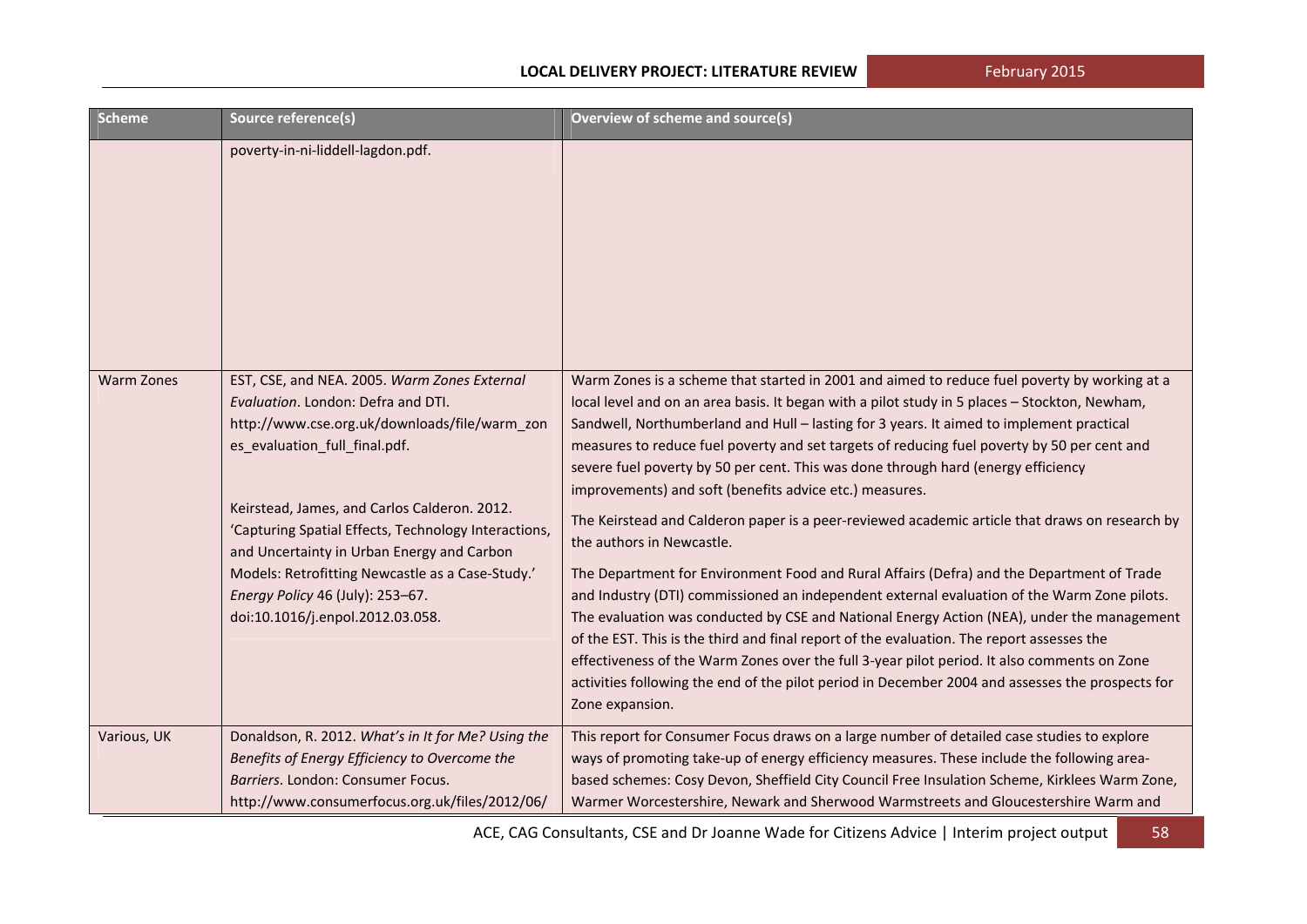February 2015

| <b>Scheme</b>     | Source reference(s)                                                                                                                                                                                                                                                                                                                                                                                                                                    | Overview of scheme and source(s)                                                                                                                                                                                                                                                                                                                                                                                                                                                                                                                                                                                                                                                                                                                                                                                                                                                                                                                                                                                                                                                                                                                                                                                                                                                     |
|-------------------|--------------------------------------------------------------------------------------------------------------------------------------------------------------------------------------------------------------------------------------------------------------------------------------------------------------------------------------------------------------------------------------------------------------------------------------------------------|--------------------------------------------------------------------------------------------------------------------------------------------------------------------------------------------------------------------------------------------------------------------------------------------------------------------------------------------------------------------------------------------------------------------------------------------------------------------------------------------------------------------------------------------------------------------------------------------------------------------------------------------------------------------------------------------------------------------------------------------------------------------------------------------------------------------------------------------------------------------------------------------------------------------------------------------------------------------------------------------------------------------------------------------------------------------------------------------------------------------------------------------------------------------------------------------------------------------------------------------------------------------------------------|
|                   | poverty-in-ni-liddell-lagdon.pdf.                                                                                                                                                                                                                                                                                                                                                                                                                      |                                                                                                                                                                                                                                                                                                                                                                                                                                                                                                                                                                                                                                                                                                                                                                                                                                                                                                                                                                                                                                                                                                                                                                                                                                                                                      |
| <b>Warm Zones</b> | EST, CSE, and NEA. 2005. Warm Zones External<br>Evaluation. London: Defra and DTI.<br>http://www.cse.org.uk/downloads/file/warm_zon<br>es_evaluation_full_final.pdf.<br>Keirstead, James, and Carlos Calderon. 2012.<br>'Capturing Spatial Effects, Technology Interactions,<br>and Uncertainty in Urban Energy and Carbon<br>Models: Retrofitting Newcastle as a Case-Study.'<br>Energy Policy 46 (July): 253-67.<br>doi:10.1016/j.enpol.2012.03.058. | Warm Zones is a scheme that started in 2001 and aimed to reduce fuel poverty by working at a<br>local level and on an area basis. It began with a pilot study in 5 places - Stockton, Newham,<br>Sandwell, Northumberland and Hull - lasting for 3 years. It aimed to implement practical<br>measures to reduce fuel poverty and set targets of reducing fuel poverty by 50 per cent and<br>severe fuel poverty by 50 per cent. This was done through hard (energy efficiency<br>improvements) and soft (benefits advice etc.) measures.<br>The Keirstead and Calderon paper is a peer-reviewed academic article that draws on research by<br>the authors in Newcastle.<br>The Department for Environment Food and Rural Affairs (Defra) and the Department of Trade<br>and Industry (DTI) commissioned an independent external evaluation of the Warm Zone pilots.<br>The evaluation was conducted by CSE and National Energy Action (NEA), under the management<br>of the EST. This is the third and final report of the evaluation. The report assesses the<br>effectiveness of the Warm Zones over the full 3-year pilot period. It also comments on Zone<br>activities following the end of the pilot period in December 2004 and assesses the prospects for<br>Zone expansion. |
| Various, UK       | Donaldson, R. 2012. What's in It for Me? Using the<br>Benefits of Energy Efficiency to Overcome the<br>Barriers. London: Consumer Focus.<br>http://www.consumerfocus.org.uk/files/2012/06/                                                                                                                                                                                                                                                             | This report for Consumer Focus draws on a large number of detailed case studies to explore<br>ways of promoting take-up of energy efficiency measures. These include the following area-<br>based schemes: Cosy Devon, Sheffield City Council Free Insulation Scheme, Kirklees Warm Zone,<br>Warmer Worcestershire, Newark and Sherwood Warmstreets and Gloucestershire Warm and                                                                                                                                                                                                                                                                                                                                                                                                                                                                                                                                                                                                                                                                                                                                                                                                                                                                                                     |

ACE, CAG Consultants, CSE and Dr Joanne Wade for Citizens Advice | Interim project output | 58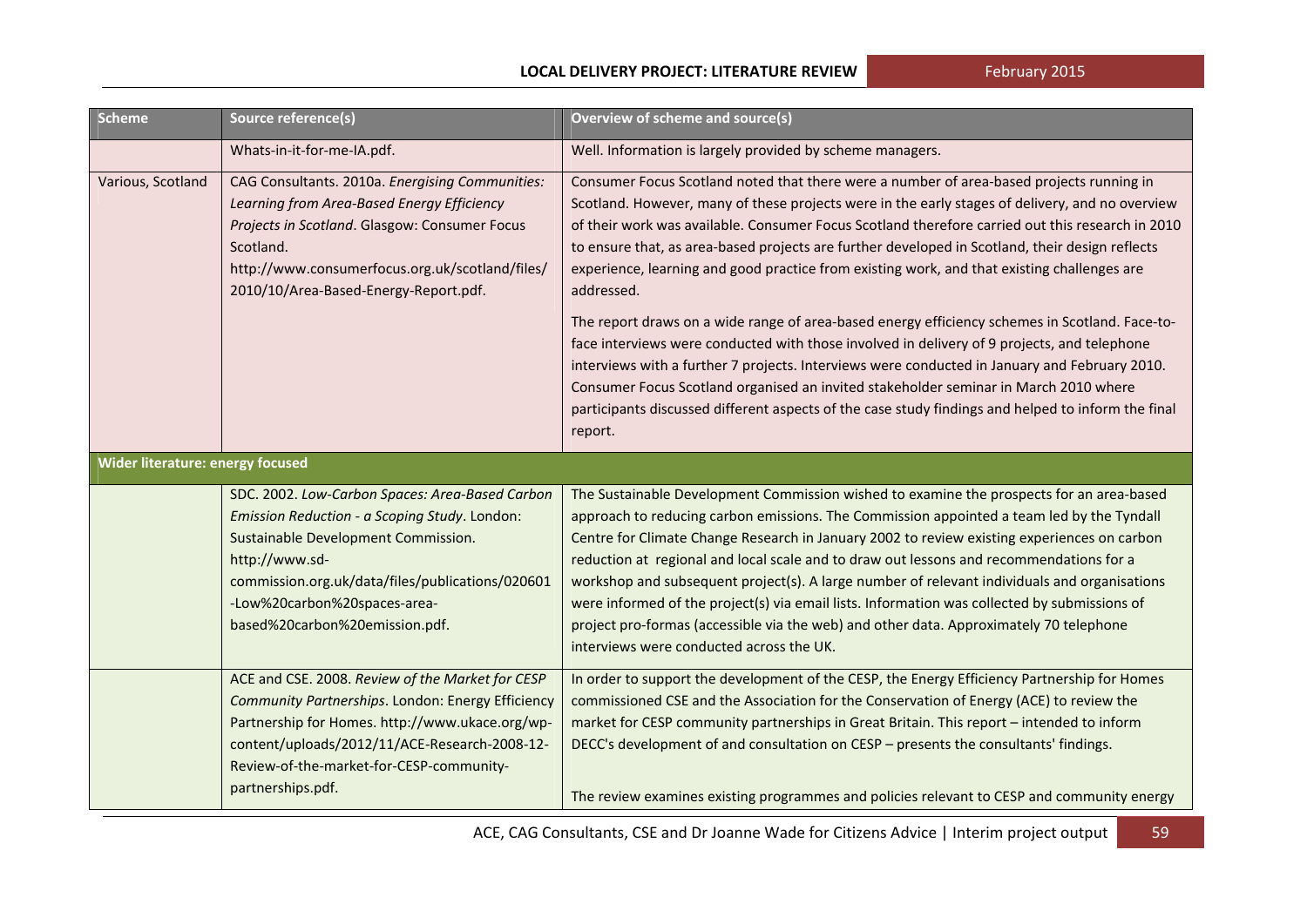| <b>Scheme</b>                    | Source reference(s)                                                                                                                                                                                                                                                             | <b>Overview of scheme and source(s)</b>                                                                                                                                                                                                                                                                                                                                                                                                                                                                                                                                                                                                                                                                               |
|----------------------------------|---------------------------------------------------------------------------------------------------------------------------------------------------------------------------------------------------------------------------------------------------------------------------------|-----------------------------------------------------------------------------------------------------------------------------------------------------------------------------------------------------------------------------------------------------------------------------------------------------------------------------------------------------------------------------------------------------------------------------------------------------------------------------------------------------------------------------------------------------------------------------------------------------------------------------------------------------------------------------------------------------------------------|
|                                  | Whats-in-it-for-me-IA.pdf.                                                                                                                                                                                                                                                      | Well. Information is largely provided by scheme managers.                                                                                                                                                                                                                                                                                                                                                                                                                                                                                                                                                                                                                                                             |
| Various, Scotland                | CAG Consultants. 2010a. Energising Communities:<br>Learning from Area-Based Energy Efficiency<br>Projects in Scotland. Glasgow: Consumer Focus<br>Scotland.<br>http://www.consumerfocus.org.uk/scotland/files/<br>2010/10/Area-Based-Energy-Report.pdf.                         | Consumer Focus Scotland noted that there were a number of area-based projects running in<br>Scotland. However, many of these projects were in the early stages of delivery, and no overview<br>of their work was available. Consumer Focus Scotland therefore carried out this research in 2010<br>to ensure that, as area-based projects are further developed in Scotland, their design reflects<br>experience, learning and good practice from existing work, and that existing challenges are<br>addressed.                                                                                                                                                                                                       |
|                                  |                                                                                                                                                                                                                                                                                 | The report draws on a wide range of area-based energy efficiency schemes in Scotland. Face-to-<br>face interviews were conducted with those involved in delivery of 9 projects, and telephone<br>interviews with a further 7 projects. Interviews were conducted in January and February 2010.<br>Consumer Focus Scotland organised an invited stakeholder seminar in March 2010 where<br>participants discussed different aspects of the case study findings and helped to inform the final<br>report.                                                                                                                                                                                                               |
| Wider literature: energy focused |                                                                                                                                                                                                                                                                                 |                                                                                                                                                                                                                                                                                                                                                                                                                                                                                                                                                                                                                                                                                                                       |
|                                  | SDC. 2002. Low-Carbon Spaces: Area-Based Carbon<br>Emission Reduction - a Scoping Study. London:<br>Sustainable Development Commission.<br>http://www.sd-<br>commission.org.uk/data/files/publications/020601<br>-Low%20carbon%20spaces-area-<br>based%20carbon%20emission.pdf. | The Sustainable Development Commission wished to examine the prospects for an area-based<br>approach to reducing carbon emissions. The Commission appointed a team led by the Tyndall<br>Centre for Climate Change Research in January 2002 to review existing experiences on carbon<br>reduction at regional and local scale and to draw out lessons and recommendations for a<br>workshop and subsequent project(s). A large number of relevant individuals and organisations<br>were informed of the project(s) via email lists. Information was collected by submissions of<br>project pro-formas (accessible via the web) and other data. Approximately 70 telephone<br>interviews were conducted across the UK. |
|                                  | ACE and CSE. 2008. Review of the Market for CESP<br>Community Partnerships. London: Energy Efficiency<br>Partnership for Homes. http://www.ukace.org/wp-<br>content/uploads/2012/11/ACE-Research-2008-12-<br>Review-of-the-market-for-CESP-community-<br>partnerships.pdf.      | In order to support the development of the CESP, the Energy Efficiency Partnership for Homes<br>commissioned CSE and the Association for the Conservation of Energy (ACE) to review the<br>market for CESP community partnerships in Great Britain. This report - intended to inform<br>DECC's development of and consultation on CESP - presents the consultants' findings.<br>The review examines existing programmes and policies relevant to CESP and community energy                                                                                                                                                                                                                                            |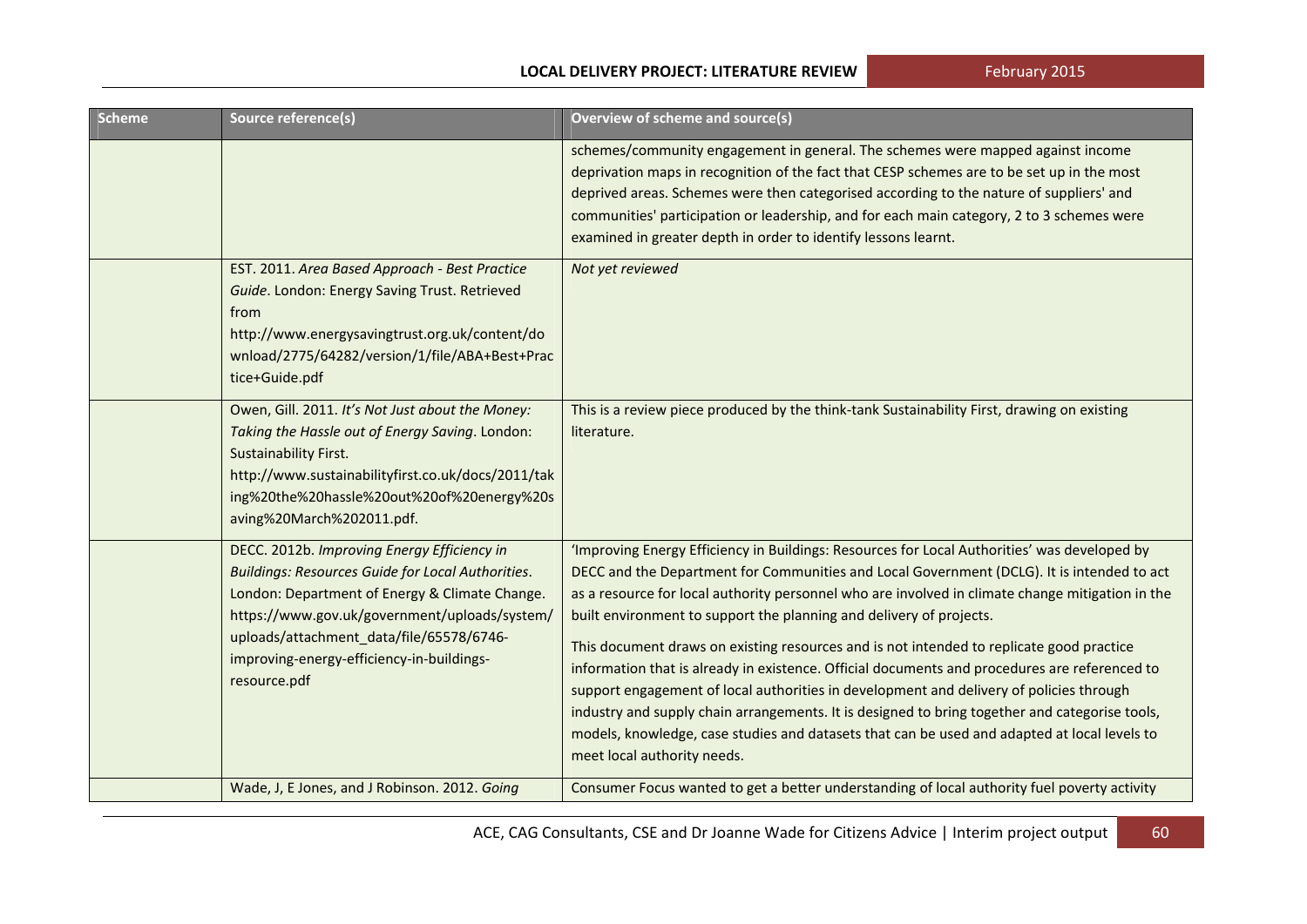| <b>Scheme</b> | Source reference(s)                                                                                                                                                                                                                                                                                                 | Overview of scheme and source(s)                                                                                                                                                                                                                                                                                                                                                                                                                                                                                                                                                                                                                                                                                                                                                                                                                                                               |
|---------------|---------------------------------------------------------------------------------------------------------------------------------------------------------------------------------------------------------------------------------------------------------------------------------------------------------------------|------------------------------------------------------------------------------------------------------------------------------------------------------------------------------------------------------------------------------------------------------------------------------------------------------------------------------------------------------------------------------------------------------------------------------------------------------------------------------------------------------------------------------------------------------------------------------------------------------------------------------------------------------------------------------------------------------------------------------------------------------------------------------------------------------------------------------------------------------------------------------------------------|
|               |                                                                                                                                                                                                                                                                                                                     | schemes/community engagement in general. The schemes were mapped against income<br>deprivation maps in recognition of the fact that CESP schemes are to be set up in the most<br>deprived areas. Schemes were then categorised according to the nature of suppliers' and<br>communities' participation or leadership, and for each main category, 2 to 3 schemes were<br>examined in greater depth in order to identify lessons learnt.                                                                                                                                                                                                                                                                                                                                                                                                                                                        |
|               | EST. 2011. Area Based Approach - Best Practice<br>Guide. London: Energy Saving Trust. Retrieved<br>from<br>http://www.energysavingtrust.org.uk/content/do<br>wnload/2775/64282/version/1/file/ABA+Best+Prac<br>tice+Guide.pdf                                                                                       | Not yet reviewed                                                                                                                                                                                                                                                                                                                                                                                                                                                                                                                                                                                                                                                                                                                                                                                                                                                                               |
|               | Owen, Gill. 2011. It's Not Just about the Money:<br>Taking the Hassle out of Energy Saving. London:<br>Sustainability First.<br>http://www.sustainabilityfirst.co.uk/docs/2011/tak<br>ing%20the%20hassle%20out%20of%20energy%20s<br>aving%20March%202011.pdf.                                                       | This is a review piece produced by the think-tank Sustainability First, drawing on existing<br>literature.                                                                                                                                                                                                                                                                                                                                                                                                                                                                                                                                                                                                                                                                                                                                                                                     |
|               | DECC. 2012b. Improving Energy Efficiency in<br><b>Buildings: Resources Guide for Local Authorities.</b><br>London: Department of Energy & Climate Change.<br>https://www.gov.uk/government/uploads/system/<br>uploads/attachment_data/file/65578/6746-<br>improving-energy-efficiency-in-buildings-<br>resource.pdf | 'Improving Energy Efficiency in Buildings: Resources for Local Authorities' was developed by<br>DECC and the Department for Communities and Local Government (DCLG). It is intended to act<br>as a resource for local authority personnel who are involved in climate change mitigation in the<br>built environment to support the planning and delivery of projects.<br>This document draws on existing resources and is not intended to replicate good practice<br>information that is already in existence. Official documents and procedures are referenced to<br>support engagement of local authorities in development and delivery of policies through<br>industry and supply chain arrangements. It is designed to bring together and categorise tools,<br>models, knowledge, case studies and datasets that can be used and adapted at local levels to<br>meet local authority needs. |
|               | Wade, J, E Jones, and J Robinson. 2012. Going                                                                                                                                                                                                                                                                       | Consumer Focus wanted to get a better understanding of local authority fuel poverty activity                                                                                                                                                                                                                                                                                                                                                                                                                                                                                                                                                                                                                                                                                                                                                                                                   |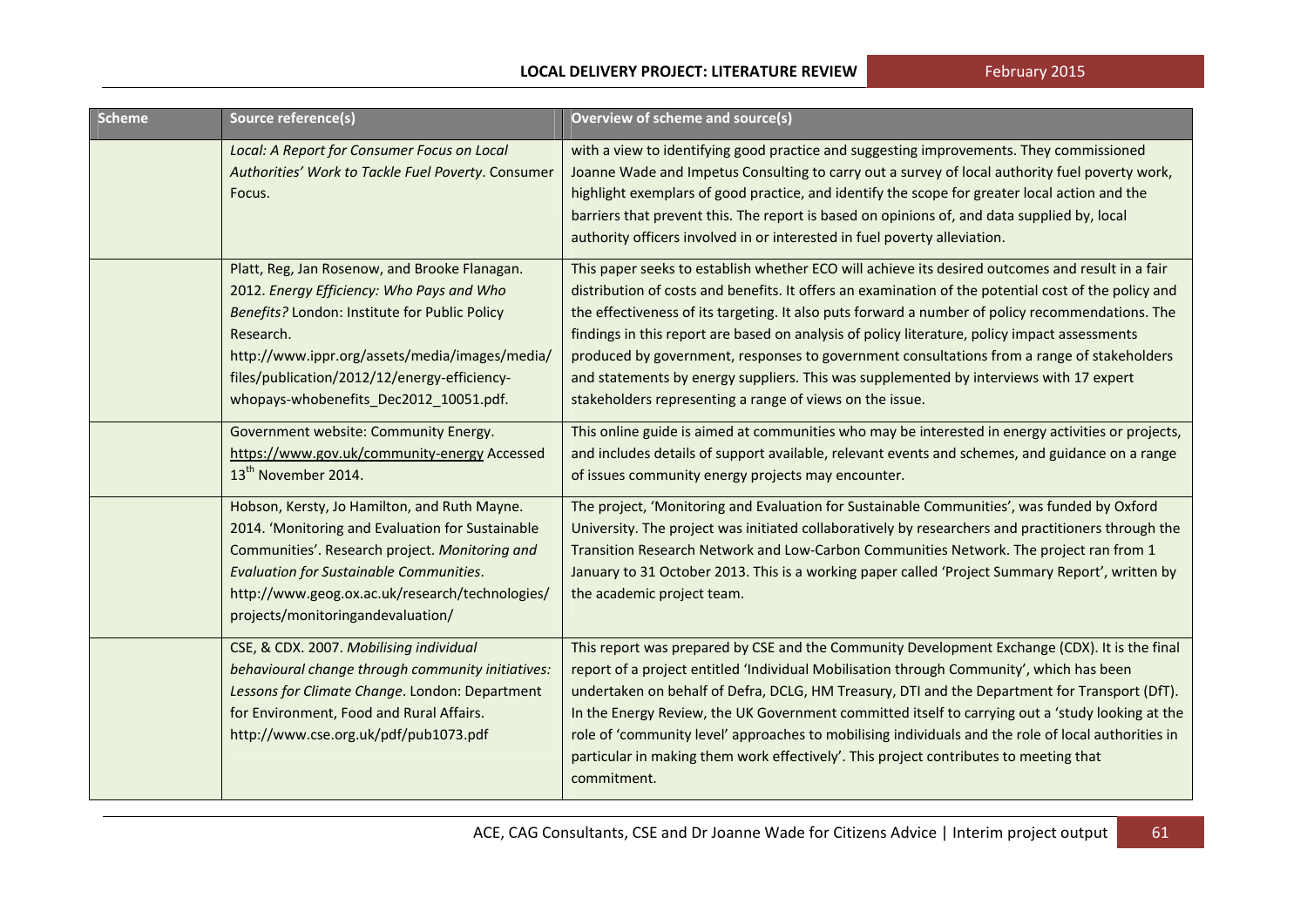| <b>Scheme</b> | Source reference(s)                                                                                                                                                                                                                                                                                  | <b>Overview of scheme and source(s)</b>                                                                                                                                                                                                                                                                                                                                                                                                                                                                                                                                                                                                                           |
|---------------|------------------------------------------------------------------------------------------------------------------------------------------------------------------------------------------------------------------------------------------------------------------------------------------------------|-------------------------------------------------------------------------------------------------------------------------------------------------------------------------------------------------------------------------------------------------------------------------------------------------------------------------------------------------------------------------------------------------------------------------------------------------------------------------------------------------------------------------------------------------------------------------------------------------------------------------------------------------------------------|
|               | Local: A Report for Consumer Focus on Local<br>Authorities' Work to Tackle Fuel Poverty. Consumer<br>Focus.                                                                                                                                                                                          | with a view to identifying good practice and suggesting improvements. They commissioned<br>Joanne Wade and Impetus Consulting to carry out a survey of local authority fuel poverty work,<br>highlight exemplars of good practice, and identify the scope for greater local action and the<br>barriers that prevent this. The report is based on opinions of, and data supplied by, local<br>authority officers involved in or interested in fuel poverty alleviation.                                                                                                                                                                                            |
|               | Platt, Reg, Jan Rosenow, and Brooke Flanagan.<br>2012. Energy Efficiency: Who Pays and Who<br>Benefits? London: Institute for Public Policy<br>Research.<br>http://www.ippr.org/assets/media/images/media/<br>files/publication/2012/12/energy-efficiency-<br>whopays-whobenefits_Dec2012_10051.pdf. | This paper seeks to establish whether ECO will achieve its desired outcomes and result in a fair<br>distribution of costs and benefits. It offers an examination of the potential cost of the policy and<br>the effectiveness of its targeting. It also puts forward a number of policy recommendations. The<br>findings in this report are based on analysis of policy literature, policy impact assessments<br>produced by government, responses to government consultations from a range of stakeholders<br>and statements by energy suppliers. This was supplemented by interviews with 17 expert<br>stakeholders representing a range of views on the issue. |
|               | Government website: Community Energy.<br>https://www.gov.uk/community-energy Accessed<br>13 <sup>th</sup> November 2014.                                                                                                                                                                             | This online guide is aimed at communities who may be interested in energy activities or projects,<br>and includes details of support available, relevant events and schemes, and guidance on a range<br>of issues community energy projects may encounter.                                                                                                                                                                                                                                                                                                                                                                                                        |
|               | Hobson, Kersty, Jo Hamilton, and Ruth Mayne.<br>2014. 'Monitoring and Evaluation for Sustainable<br>Communities'. Research project. Monitoring and<br>Evaluation for Sustainable Communities.<br>http://www.geog.ox.ac.uk/research/technologies/<br>projects/monitoringandevaluation/                | The project, 'Monitoring and Evaluation for Sustainable Communities', was funded by Oxford<br>University. The project was initiated collaboratively by researchers and practitioners through the<br>Transition Research Network and Low-Carbon Communities Network. The project ran from 1<br>January to 31 October 2013. This is a working paper called 'Project Summary Report', written by<br>the academic project team.                                                                                                                                                                                                                                       |
|               | CSE, & CDX. 2007. Mobilising individual<br>behavioural change through community initiatives:<br>Lessons for Climate Change. London: Department<br>for Environment, Food and Rural Affairs.<br>http://www.cse.org.uk/pdf/pub1073.pdf                                                                  | This report was prepared by CSE and the Community Development Exchange (CDX). It is the final<br>report of a project entitled 'Individual Mobilisation through Community', which has been<br>undertaken on behalf of Defra, DCLG, HM Treasury, DTI and the Department for Transport (DfT).<br>In the Energy Review, the UK Government committed itself to carrying out a 'study looking at the<br>role of 'community level' approaches to mobilising individuals and the role of local authorities in<br>particular in making them work effectively'. This project contributes to meeting that<br>commitment.                                                     |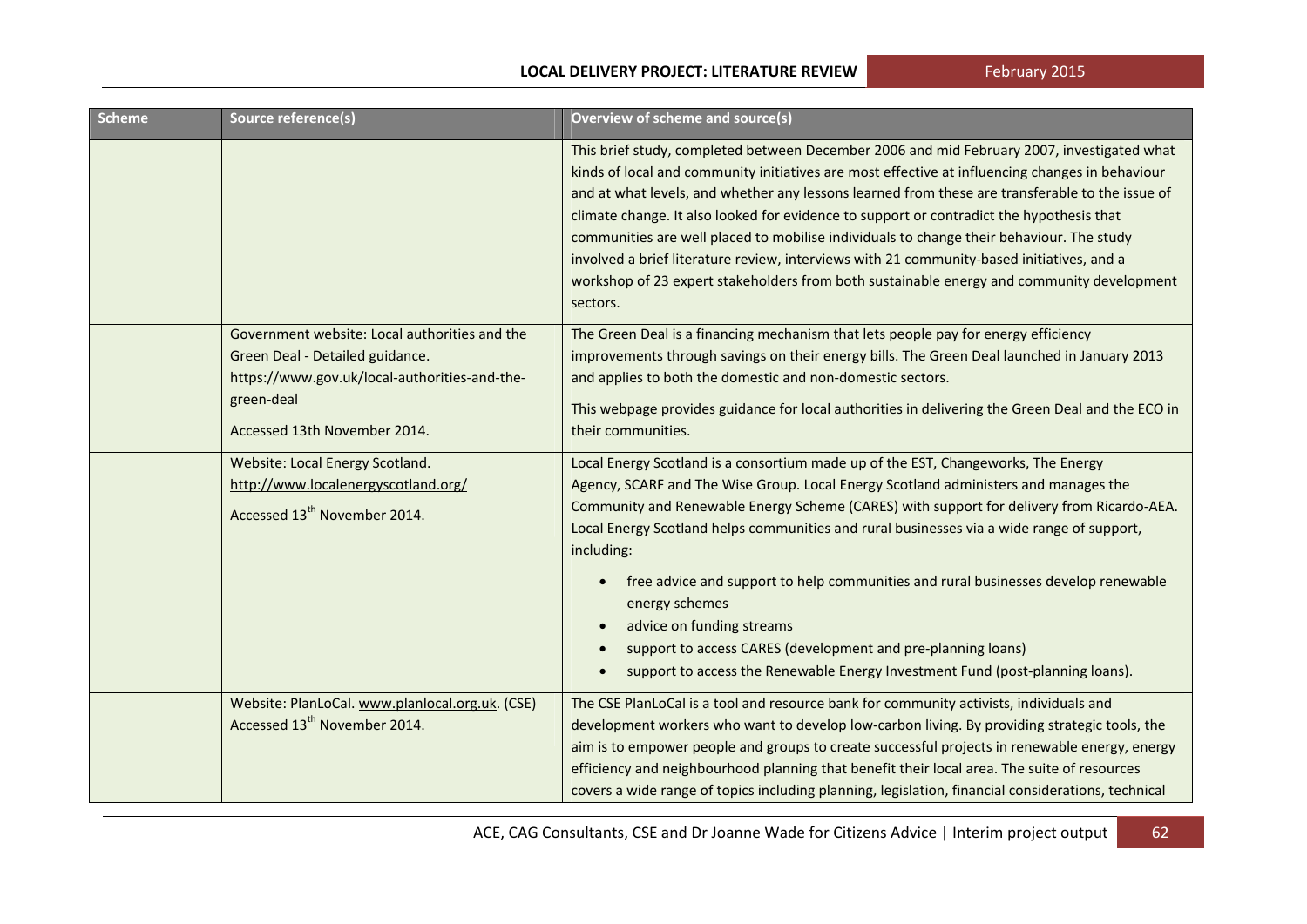| <b>Scheme</b> | Source reference(s)                                                                                                                                                             | Overview of scheme and source(s)                                                                                                                                                                                                                                                                                                                                                                                                                                                                                                                                                                                                                                                                              |
|---------------|---------------------------------------------------------------------------------------------------------------------------------------------------------------------------------|---------------------------------------------------------------------------------------------------------------------------------------------------------------------------------------------------------------------------------------------------------------------------------------------------------------------------------------------------------------------------------------------------------------------------------------------------------------------------------------------------------------------------------------------------------------------------------------------------------------------------------------------------------------------------------------------------------------|
|               |                                                                                                                                                                                 | This brief study, completed between December 2006 and mid February 2007, investigated what<br>kinds of local and community initiatives are most effective at influencing changes in behaviour<br>and at what levels, and whether any lessons learned from these are transferable to the issue of<br>climate change. It also looked for evidence to support or contradict the hypothesis that<br>communities are well placed to mobilise individuals to change their behaviour. The study<br>involved a brief literature review, interviews with 21 community-based initiatives, and a<br>workshop of 23 expert stakeholders from both sustainable energy and community development<br>sectors.                |
|               | Government website: Local authorities and the<br>Green Deal - Detailed guidance.<br>https://www.gov.uk/local-authorities-and-the-<br>green-deal<br>Accessed 13th November 2014. | The Green Deal is a financing mechanism that lets people pay for energy efficiency<br>improvements through savings on their energy bills. The Green Deal launched in January 2013<br>and applies to both the domestic and non-domestic sectors.<br>This webpage provides guidance for local authorities in delivering the Green Deal and the ECO in<br>their communities.                                                                                                                                                                                                                                                                                                                                     |
|               | Website: Local Energy Scotland.<br>http://www.localenergyscotland.org/<br>Accessed 13 <sup>th</sup> November 2014.                                                              | Local Energy Scotland is a consortium made up of the EST, Changeworks, The Energy<br>Agency, SCARF and The Wise Group. Local Energy Scotland administers and manages the<br>Community and Renewable Energy Scheme (CARES) with support for delivery from Ricardo-AEA.<br>Local Energy Scotland helps communities and rural businesses via a wide range of support,<br>including:<br>free advice and support to help communities and rural businesses develop renewable<br>$\bullet$<br>energy schemes<br>advice on funding streams<br>support to access CARES (development and pre-planning loans)<br>$\bullet$<br>support to access the Renewable Energy Investment Fund (post-planning loans).<br>$\bullet$ |
|               | Website: PlanLoCal. www.planlocal.org.uk. (CSE)<br>Accessed 13 <sup>th</sup> November 2014.                                                                                     | The CSE PlanLoCal is a tool and resource bank for community activists, individuals and<br>development workers who want to develop low-carbon living. By providing strategic tools, the<br>aim is to empower people and groups to create successful projects in renewable energy, energy<br>efficiency and neighbourhood planning that benefit their local area. The suite of resources<br>covers a wide range of topics including planning, legislation, financial considerations, technical                                                                                                                                                                                                                  |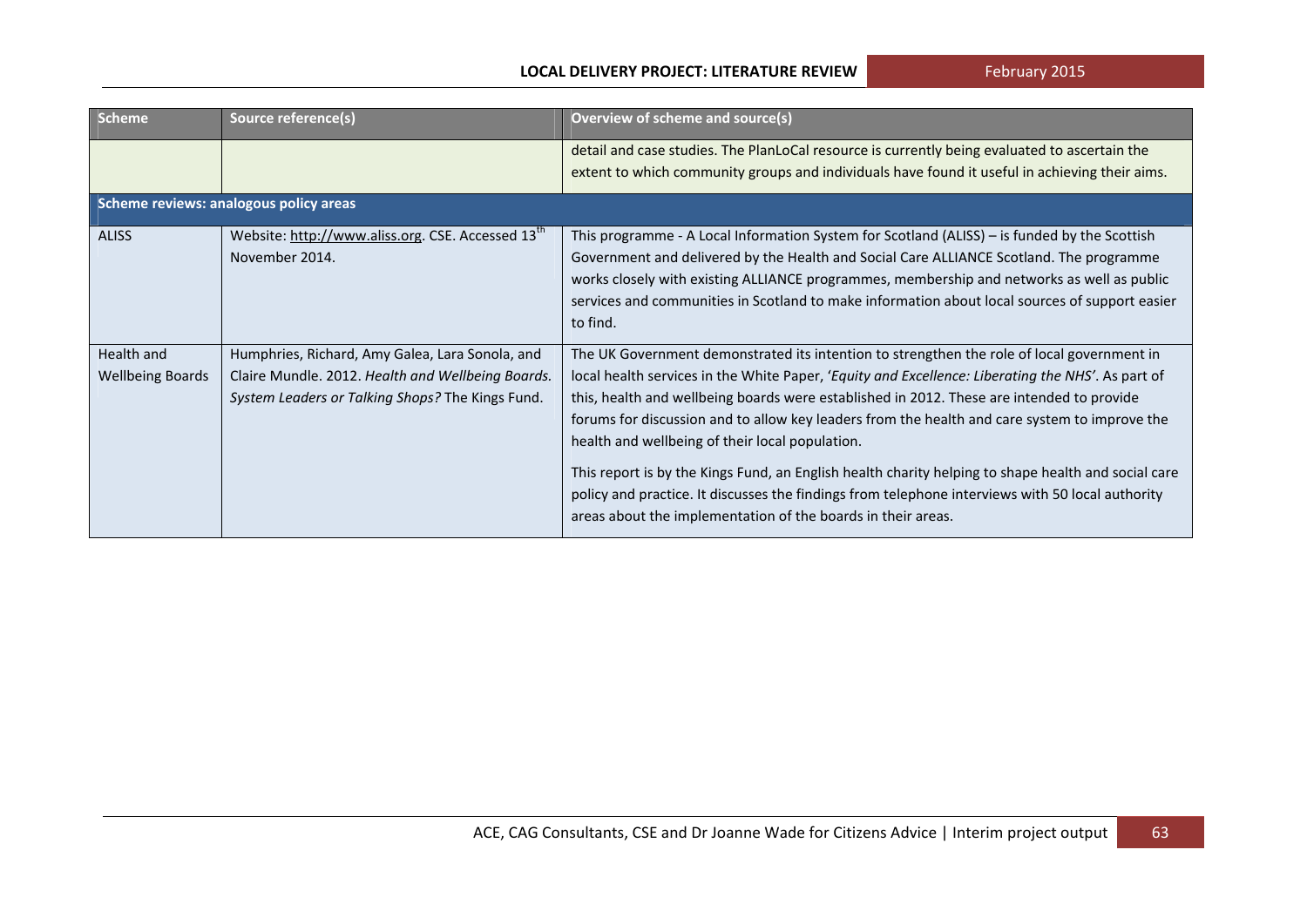| <b>Scheme</b>                          | Source reference(s)                                                                                                                                      | Overview of scheme and source(s)                                                                                                                                                                                                                                                                                                                                                                                                                                                                                                                                                                                                                                                                                            |  |
|----------------------------------------|----------------------------------------------------------------------------------------------------------------------------------------------------------|-----------------------------------------------------------------------------------------------------------------------------------------------------------------------------------------------------------------------------------------------------------------------------------------------------------------------------------------------------------------------------------------------------------------------------------------------------------------------------------------------------------------------------------------------------------------------------------------------------------------------------------------------------------------------------------------------------------------------------|--|
|                                        |                                                                                                                                                          | detail and case studies. The PlanLoCal resource is currently being evaluated to ascertain the<br>extent to which community groups and individuals have found it useful in achieving their aims.                                                                                                                                                                                                                                                                                                                                                                                                                                                                                                                             |  |
| Scheme reviews: analogous policy areas |                                                                                                                                                          |                                                                                                                                                                                                                                                                                                                                                                                                                                                                                                                                                                                                                                                                                                                             |  |
| <b>ALISS</b>                           | Website: http://www.aliss.org. CSE. Accessed 13 <sup>th</sup><br>November 2014.                                                                          | This programme - A Local Information System for Scotland (ALISS) – is funded by the Scottish<br>Government and delivered by the Health and Social Care ALLIANCE Scotland. The programme<br>works closely with existing ALLIANCE programmes, membership and networks as well as public<br>services and communities in Scotland to make information about local sources of support easier<br>to find.                                                                                                                                                                                                                                                                                                                         |  |
| Health and<br><b>Wellbeing Boards</b>  | Humphries, Richard, Amy Galea, Lara Sonola, and<br>Claire Mundle. 2012. Health and Wellbeing Boards.<br>System Leaders or Talking Shops? The Kings Fund. | The UK Government demonstrated its intention to strengthen the role of local government in<br>local health services in the White Paper, 'Equity and Excellence: Liberating the NHS'. As part of<br>this, health and wellbeing boards were established in 2012. These are intended to provide<br>forums for discussion and to allow key leaders from the health and care system to improve the<br>health and wellbeing of their local population.<br>This report is by the Kings Fund, an English health charity helping to shape health and social care<br>policy and practice. It discusses the findings from telephone interviews with 50 local authority<br>areas about the implementation of the boards in their areas. |  |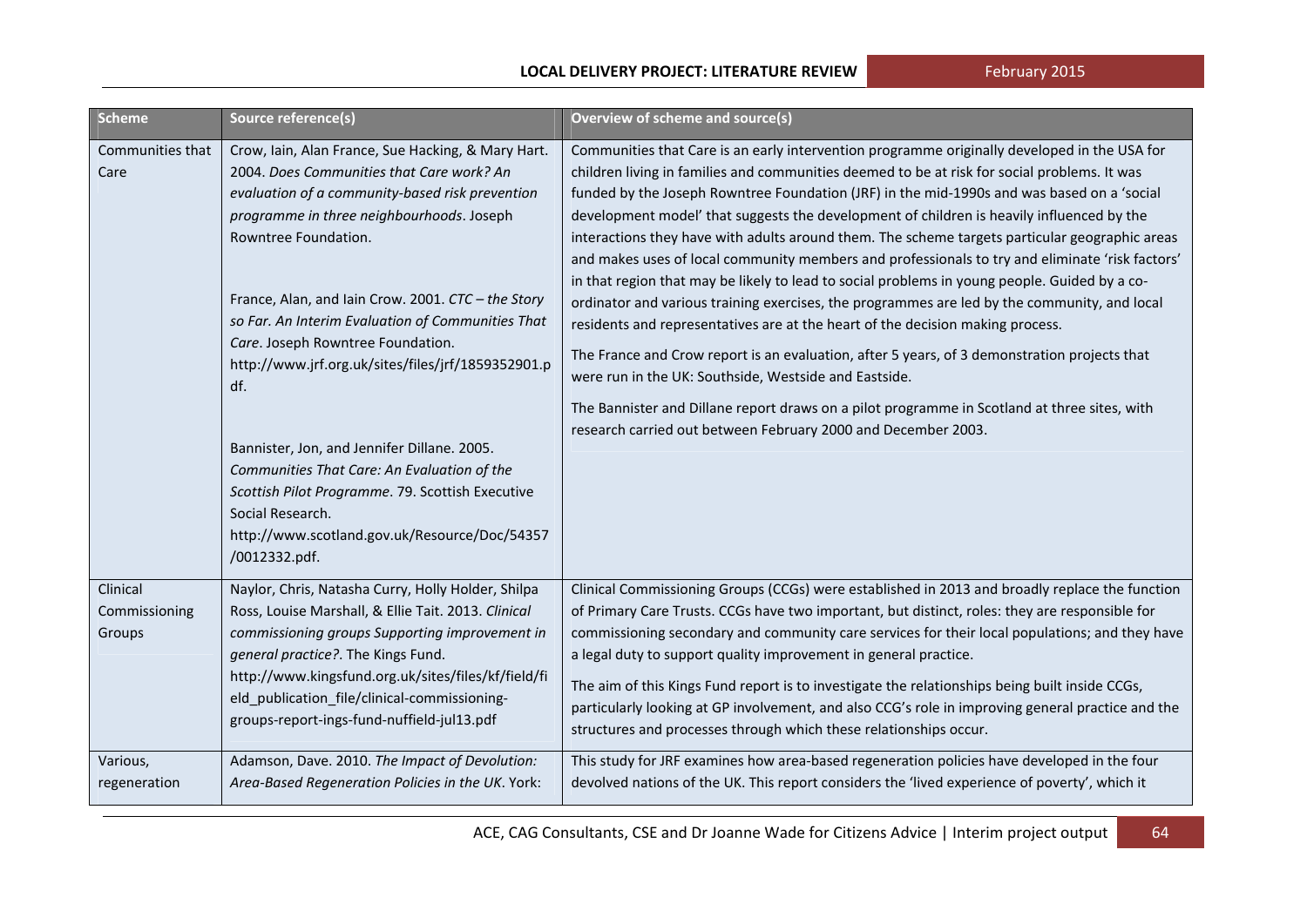| <b>Scheme</b>                       | Source reference(s)                                                                                                                                                                                                                                                                                                                                                                                                                                                                                                                                                                                                                                                          | Overview of scheme and source(s)                                                                                                                                                                                                                                                                                                                                                                                                                                                                                                                                                                                                                                                                                                                                                                                                                                                                                                                                                                                                                                                                                                                                                                          |
|-------------------------------------|------------------------------------------------------------------------------------------------------------------------------------------------------------------------------------------------------------------------------------------------------------------------------------------------------------------------------------------------------------------------------------------------------------------------------------------------------------------------------------------------------------------------------------------------------------------------------------------------------------------------------------------------------------------------------|-----------------------------------------------------------------------------------------------------------------------------------------------------------------------------------------------------------------------------------------------------------------------------------------------------------------------------------------------------------------------------------------------------------------------------------------------------------------------------------------------------------------------------------------------------------------------------------------------------------------------------------------------------------------------------------------------------------------------------------------------------------------------------------------------------------------------------------------------------------------------------------------------------------------------------------------------------------------------------------------------------------------------------------------------------------------------------------------------------------------------------------------------------------------------------------------------------------|
| Communities that<br>Care            | Crow, Iain, Alan France, Sue Hacking, & Mary Hart.<br>2004. Does Communities that Care work? An<br>evaluation of a community-based risk prevention<br>programme in three neighbourhoods. Joseph<br>Rowntree Foundation.<br>France, Alan, and Iain Crow. 2001. CTC - the Story<br>so Far. An Interim Evaluation of Communities That<br>Care. Joseph Rowntree Foundation.<br>http://www.jrf.org.uk/sites/files/jrf/1859352901.p<br>df.<br>Bannister, Jon, and Jennifer Dillane. 2005.<br>Communities That Care: An Evaluation of the<br>Scottish Pilot Programme. 79. Scottish Executive<br>Social Research.<br>http://www.scotland.gov.uk/Resource/Doc/54357<br>/0012332.pdf. | Communities that Care is an early intervention programme originally developed in the USA for<br>children living in families and communities deemed to be at risk for social problems. It was<br>funded by the Joseph Rowntree Foundation (JRF) in the mid-1990s and was based on a 'social<br>development model' that suggests the development of children is heavily influenced by the<br>interactions they have with adults around them. The scheme targets particular geographic areas<br>and makes uses of local community members and professionals to try and eliminate 'risk factors'<br>in that region that may be likely to lead to social problems in young people. Guided by a co-<br>ordinator and various training exercises, the programmes are led by the community, and local<br>residents and representatives are at the heart of the decision making process.<br>The France and Crow report is an evaluation, after 5 years, of 3 demonstration projects that<br>were run in the UK: Southside, Westside and Eastside.<br>The Bannister and Dillane report draws on a pilot programme in Scotland at three sites, with<br>research carried out between February 2000 and December 2003. |
| Clinical<br>Commissioning<br>Groups | Naylor, Chris, Natasha Curry, Holly Holder, Shilpa<br>Ross, Louise Marshall, & Ellie Tait. 2013. Clinical<br>commissioning groups Supporting improvement in<br>general practice?. The Kings Fund.<br>http://www.kingsfund.org.uk/sites/files/kf/field/fi<br>eld_publication_file/clinical-commissioning-<br>groups-report-ings-fund-nuffield-jul13.pdf                                                                                                                                                                                                                                                                                                                       | Clinical Commissioning Groups (CCGs) were established in 2013 and broadly replace the function<br>of Primary Care Trusts. CCGs have two important, but distinct, roles: they are responsible for<br>commissioning secondary and community care services for their local populations; and they have<br>a legal duty to support quality improvement in general practice.<br>The aim of this Kings Fund report is to investigate the relationships being built inside CCGs,<br>particularly looking at GP involvement, and also CCG's role in improving general practice and the<br>structures and processes through which these relationships occur.                                                                                                                                                                                                                                                                                                                                                                                                                                                                                                                                                        |
| Various,<br>regeneration            | Adamson, Dave. 2010. The Impact of Devolution:<br>Area-Based Regeneration Policies in the UK. York:                                                                                                                                                                                                                                                                                                                                                                                                                                                                                                                                                                          | This study for JRF examines how area-based regeneration policies have developed in the four<br>devolved nations of the UK. This report considers the 'lived experience of poverty', which it                                                                                                                                                                                                                                                                                                                                                                                                                                                                                                                                                                                                                                                                                                                                                                                                                                                                                                                                                                                                              |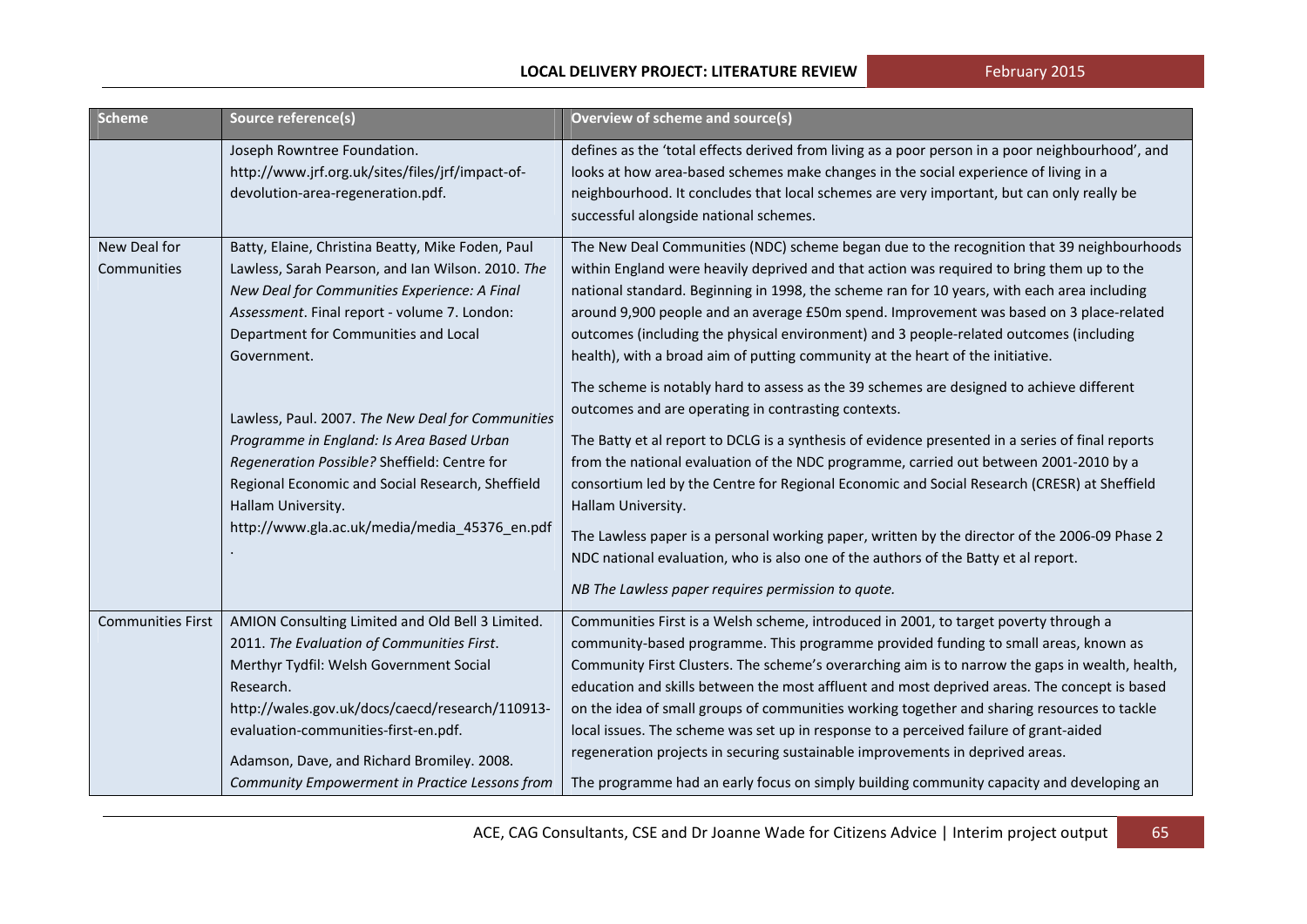| <b>Scheme</b>               | Source reference(s)                                                                                                                                                                                                                                                                                                                                             | <b>Overview of scheme and source(s)</b>                                                                                                                                                                                                                                                                                                                                                                                                                                                                                                                                                                                                                                                                                                                                                                             |
|-----------------------------|-----------------------------------------------------------------------------------------------------------------------------------------------------------------------------------------------------------------------------------------------------------------------------------------------------------------------------------------------------------------|---------------------------------------------------------------------------------------------------------------------------------------------------------------------------------------------------------------------------------------------------------------------------------------------------------------------------------------------------------------------------------------------------------------------------------------------------------------------------------------------------------------------------------------------------------------------------------------------------------------------------------------------------------------------------------------------------------------------------------------------------------------------------------------------------------------------|
|                             | Joseph Rowntree Foundation.<br>http://www.jrf.org.uk/sites/files/jrf/impact-of-<br>devolution-area-regeneration.pdf.                                                                                                                                                                                                                                            | defines as the 'total effects derived from living as a poor person in a poor neighbourhood', and<br>looks at how area-based schemes make changes in the social experience of living in a<br>neighbourhood. It concludes that local schemes are very important, but can only really be<br>successful alongside national schemes.                                                                                                                                                                                                                                                                                                                                                                                                                                                                                     |
| New Deal for<br>Communities | Batty, Elaine, Christina Beatty, Mike Foden, Paul<br>Lawless, Sarah Pearson, and Ian Wilson. 2010. The<br>New Deal for Communities Experience: A Final<br>Assessment. Final report - volume 7. London:<br>Department for Communities and Local<br>Government.<br>Lawless, Paul. 2007. The New Deal for Communities<br>Programme in England: Is Area Based Urban | The New Deal Communities (NDC) scheme began due to the recognition that 39 neighbourhoods<br>within England were heavily deprived and that action was required to bring them up to the<br>national standard. Beginning in 1998, the scheme ran for 10 years, with each area including<br>around 9,900 people and an average £50m spend. Improvement was based on 3 place-related<br>outcomes (including the physical environment) and 3 people-related outcomes (including<br>health), with a broad aim of putting community at the heart of the initiative.<br>The scheme is notably hard to assess as the 39 schemes are designed to achieve different<br>outcomes and are operating in contrasting contexts.<br>The Batty et al report to DCLG is a synthesis of evidence presented in a series of final reports |
|                             | Regeneration Possible? Sheffield: Centre for<br>Regional Economic and Social Research, Sheffield<br>Hallam University.<br>http://www.gla.ac.uk/media/media_45376_en.pdf                                                                                                                                                                                         | from the national evaluation of the NDC programme, carried out between 2001-2010 by a<br>consortium led by the Centre for Regional Economic and Social Research (CRESR) at Sheffield<br>Hallam University.<br>The Lawless paper is a personal working paper, written by the director of the 2006-09 Phase 2<br>NDC national evaluation, who is also one of the authors of the Batty et al report.<br>NB The Lawless paper requires permission to quote.                                                                                                                                                                                                                                                                                                                                                             |
| <b>Communities First</b>    | AMION Consulting Limited and Old Bell 3 Limited.<br>2011. The Evaluation of Communities First.<br>Merthyr Tydfil: Welsh Government Social<br>Research.<br>http://wales.gov.uk/docs/caecd/research/110913-<br>evaluation-communities-first-en.pdf.<br>Adamson, Dave, and Richard Bromiley. 2008.<br>Community Empowerment in Practice Lessons from               | Communities First is a Welsh scheme, introduced in 2001, to target poverty through a<br>community-based programme. This programme provided funding to small areas, known as<br>Community First Clusters. The scheme's overarching aim is to narrow the gaps in wealth, health,<br>education and skills between the most affluent and most deprived areas. The concept is based<br>on the idea of small groups of communities working together and sharing resources to tackle<br>local issues. The scheme was set up in response to a perceived failure of grant-aided<br>regeneration projects in securing sustainable improvements in deprived areas.<br>The programme had an early focus on simply building community capacity and developing an                                                                 |